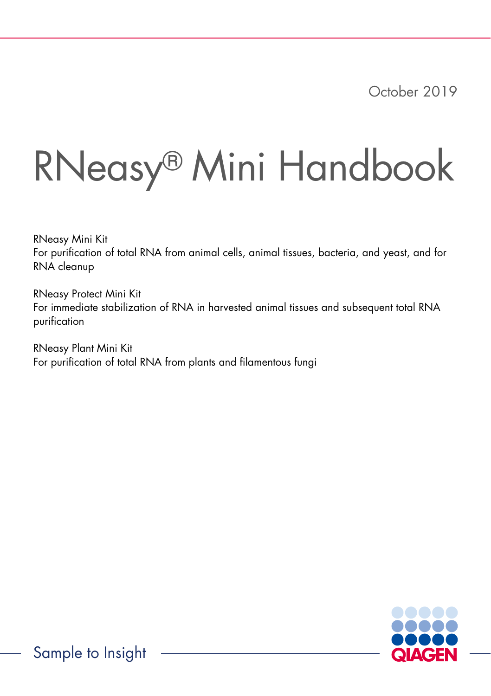October 2019

# RNeasy® Mini Handbook

RNeasy Mini Kit For purification of total RNA from animal cells, animal tissues, bacteria, and yeast, and for RNA cleanup

RNeasy Protect Mini Kit For immediate stabilization of RNA in harvested animal tissues and subsequent total RNA purification

RNeasy Plant Mini Kit For purification of total RNA from plants and filamentous fungi

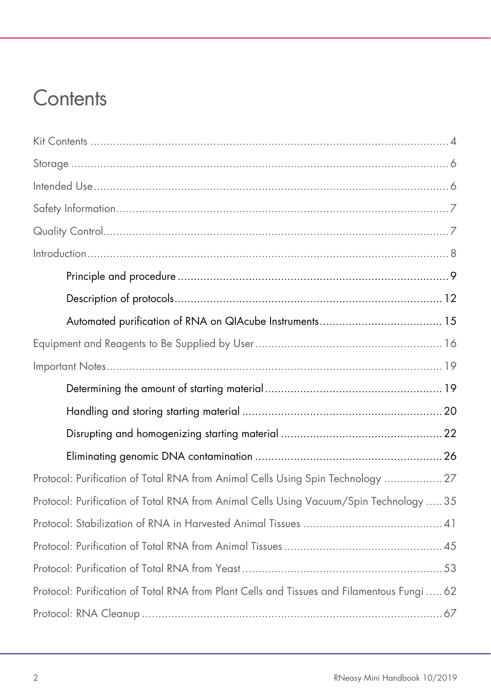# **Contents**

| Protocol: Purification of Total RNA from Animal Cells Using Spin Technology  27            |
|--------------------------------------------------------------------------------------------|
| Protocol: Purification of Total RNA from Animal Cells Using Vacuum/Spin Technology  35     |
|                                                                                            |
|                                                                                            |
|                                                                                            |
| Protocol: Purification of Total RNA from Plant Cells and Tissues and Filamentous Fungi  62 |
|                                                                                            |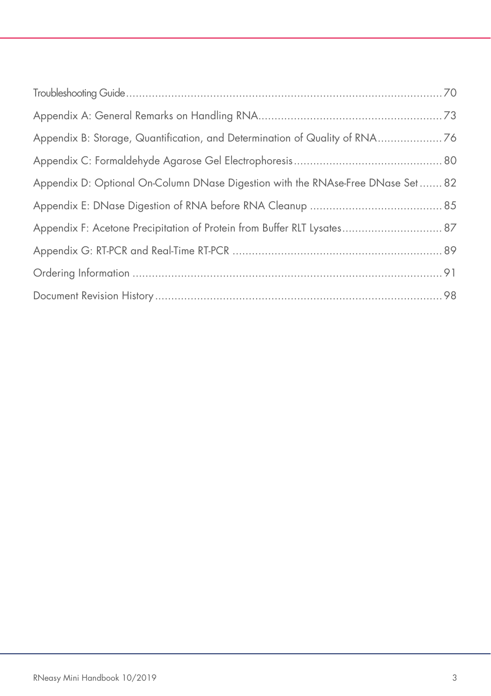| Appendix B: Storage, Quantification, and Determination of Quality of RNA76      |  |
|---------------------------------------------------------------------------------|--|
|                                                                                 |  |
| Appendix D: Optional On-Column DNase Digestion with the RNAse-Free DNase Set 82 |  |
|                                                                                 |  |
| Appendix F: Acetone Precipitation of Protein from Buffer RLT Lysates 87         |  |
|                                                                                 |  |
|                                                                                 |  |
|                                                                                 |  |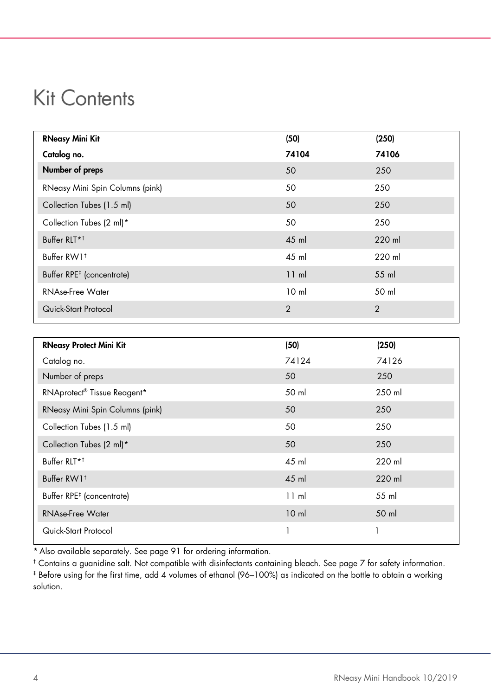# <span id="page-3-0"></span>Kit Contents

| <b>RNeasy Mini Kit</b>                | (50)            | (250)          |
|---------------------------------------|-----------------|----------------|
| Catalog no.                           | 74104           | 74106          |
| Number of preps                       | 50              | 250            |
| RNeasy Mini Spin Columns (pink)       | 50              | 250            |
| Collection Tubes (1.5 ml)             | 50              | 250            |
| Collection Tubes (2 ml)*              | 50              | 250            |
| Buffer RLT* <sup>†</sup>              | 45 ml           | 220 ml         |
| Buffer RW1 <sup>t</sup>               | 45 ml           | 220 ml         |
| Buffer RPE <sup>#</sup> (concentrate) | 11 ml           | 55 ml          |
| <b>RNAse-Free Water</b>               | 10 <sub>m</sub> | 50 ml          |
| Quick-Start Protocol                  | 2               | $\overline{2}$ |

| <b>RNeasy Protect Mini Kit</b>          | (50)            | (250)  |
|-----------------------------------------|-----------------|--------|
| Catalog no.                             | 74124           | 74126  |
| Number of preps                         | 50              | 250    |
| RNAprotect <sup>®</sup> Tissue Reagent* | 50 ml           | 250 ml |
| RNeasy Mini Spin Columns (pink)         | 50              | 250    |
| Collection Tubes (1.5 ml)               | 50              | 250    |
| Collection Tubes (2 ml)*                | 50              | 250    |
| Buffer RLT* <sup>†</sup>                | 45 ml           | 220 ml |
| Buffer RW1 <sup>t</sup>                 | 45 ml           | 220 ml |
| Buffer RPE <sup>#</sup> (concentrate)   | 11 ml           | 55 ml  |
| <b>RNAse-Free Water</b>                 | 10 <sub>m</sub> | 50 ml  |
| Quick-Start Protocol                    |                 |        |

\* Also available separately. See pag[e 91](#page-90-0) for ordering information.

† Contains a guanidine salt. Not compatible with disinfectants containing bleach. See page [7](#page-6-0) for safety information. ‡ Before using for the first time, add 4 volumes of ethanol (96–100%) as indicated on the bottle to obtain a working solution.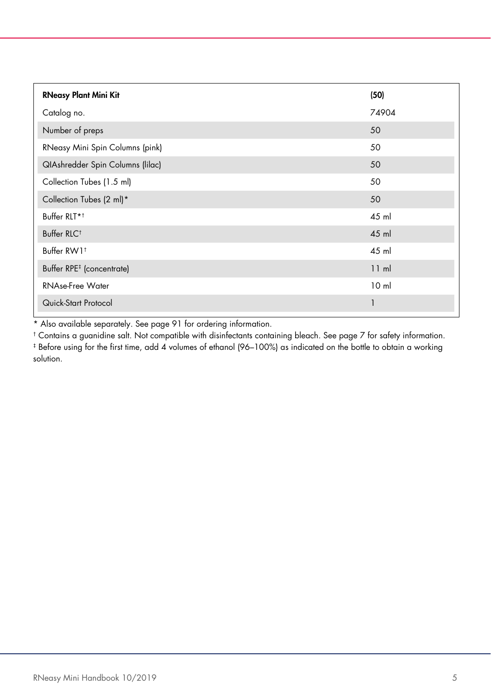| <b>RNeasy Plant Mini Kit</b>          | (50)            |
|---------------------------------------|-----------------|
| Catalog no.                           | 74904           |
| Number of preps                       | 50              |
| RNeasy Mini Spin Columns (pink)       | 50              |
| QIAshredder Spin Columns (lilac)      | 50              |
| Collection Tubes (1.5 ml)             | 50              |
| Collection Tubes (2 ml)*              | 50              |
| Buffer RLT* <sup>+</sup>              | 45 ml           |
| Buffer RLC <sup>t</sup>               | 45 ml           |
| Buffer RW1 <sup>+</sup>               | 45 ml           |
| Buffer RPE <sup>#</sup> (concentrate) | 11 ml           |
| <b>RNAse-Free Water</b>               | 10 <sub>m</sub> |
| Quick-Start Protocol                  |                 |

\* Also available separately. See page [91](#page-90-0) for ordering information.

† Contains a guanidine salt. Not compatible with disinfectants containing bleach. See page [7](#page-6-0) for safety information. ‡ Before using for the first time, add 4 volumes of ethanol (96–100%) as indicated on the bottle to obtain a working solution.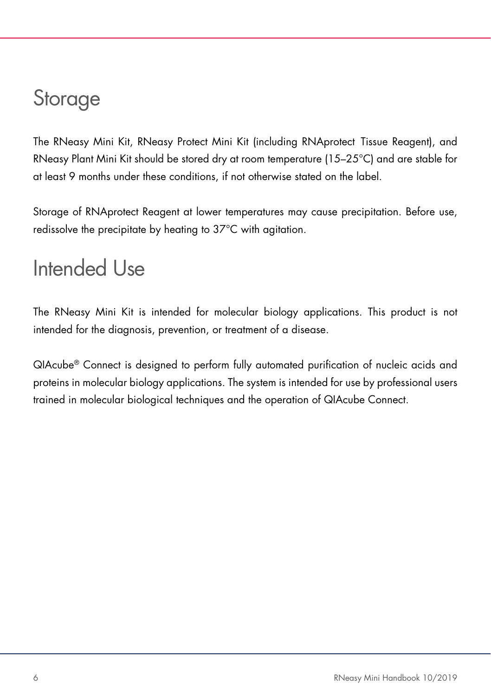# <span id="page-5-0"></span>Storage

The RNeasy Mini Kit, RNeasy Protect Mini Kit (including RNAprotect Tissue Reagent), and RNeasy Plant Mini Kit should be stored dry at room temperature (15–25°C) and are stable for at least 9 months under these conditions, if not otherwise stated on the label.

Storage of RNAprotect Reagent at lower temperatures may cause precipitation. Before use, redissolve the precipitate by heating to 37°C with agitation.

# <span id="page-5-1"></span>Intended Use

The RNeasy Mini Kit is intended for molecular biology applications. This product is not intended for the diagnosis, prevention, or treatment of a disease.

QIAcube® Connect is designed to perform fully automated purification of nucleic acids and proteins in molecular biology applications. The system is intended for use by professional users trained in molecular biological techniques and the operation of QIAcube Connect.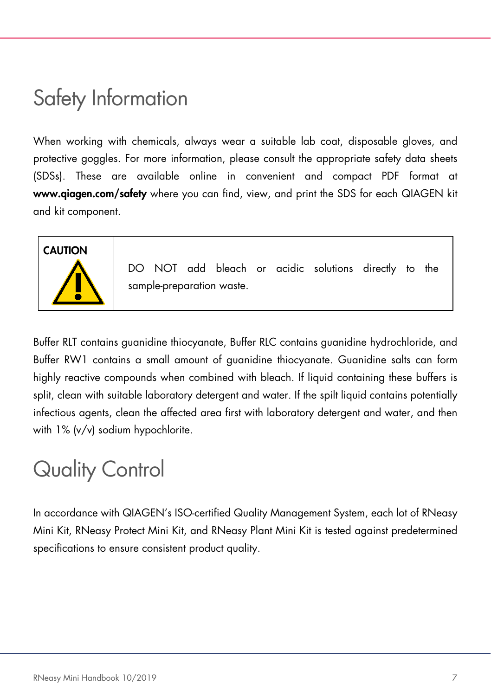# <span id="page-6-0"></span>Safety Information

When working with chemicals, always wear a suitable lab coat, disposable gloves, and protective goggles. For more information, please consult the appropriate safety data sheets (SDSs). These are available online in convenient and compact PDF format at [www.qiagen.com/safety](https://www.qiagen.com/ph/support/qa-qc-safety-data/safety-data-sheets/?akamai-feo=off) where you can find, view, and print the SDS for each QIAGEN kit and kit component.

# **CAUTION**

DO NOT add bleach or acidic solutions directly to the sample-preparation waste.

Buffer RLT contains guanidine thiocyanate, Buffer RLC contains guanidine hydrochloride, and Buffer RW1 contains a small amount of guanidine thiocyanate. Guanidine salts can form highly reactive compounds when combined with bleach. If liquid containing these buffers is split, clean with suitable laboratory detergent and water. If the spilt liquid contains potentially infectious agents, clean the affected area first with laboratory detergent and water, and then with 1% (v/v) sodium hypochlorite.

# <span id="page-6-1"></span>Quality Control

In accordance with QIAGEN's ISO-certified Quality Management System, each lot of RNeasy Mini Kit, RNeasy Protect Mini Kit, and RNeasy Plant Mini Kit is tested against predetermined specifications to ensure consistent product quality.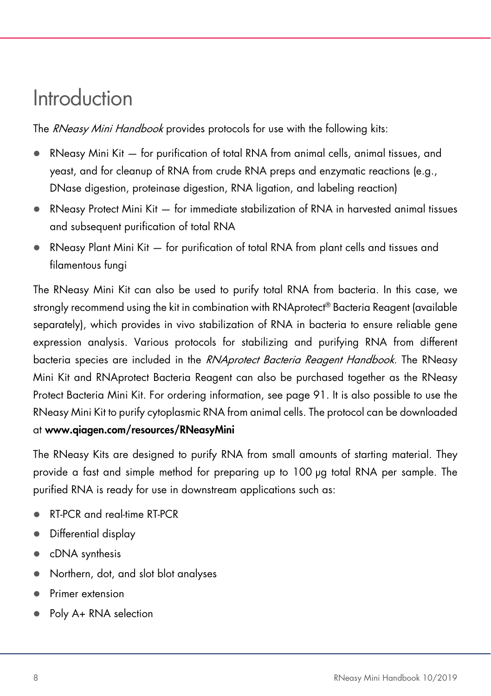# <span id="page-7-0"></span>Introduction

The RNeasy Mini Handbook provides protocols for use with the following kits:

- RNeasy Mini Kit for purification of total RNA from animal cells, animal tissues, and yeast, and for cleanup of RNA from crude RNA preps and enzymatic reactions (e.g., DNase digestion, proteinase digestion, RNA ligation, and labeling reaction)
- RNeasy Protect Mini Kit for immediate stabilization of RNA in harvested animal tissues and subsequent purification of total RNA
- RNeasy Plant Mini Kit for purification of total RNA from plant cells and tissues and filamentous fungi

The RNeasy Mini Kit can also be used to purify total RNA from bacteria. In this case, we strongly recommend using the kit in combination with RNAprotect<sup>®</sup> Bacteria Reagent (available separately), which provides in vivo stabilization of RNA in bacteria to ensure reliable gene expression analysis. Various protocols for stabilizing and purifying RNA from different bacteria species are included in the RNAprotect Bacteria Reagent Handbook. The RNeasy Mini Kit and RNAprotect Bacteria Reagent can also be purchased together as the RNeasy Protect Bacteria Mini Kit. For ordering information, see page [91.](#page-90-0) It is also possible to use the RNeasy Mini Kit to purify cytoplasmic RNA from animal cells. The protocol can be downloaded at www.qiagen.com/resources/RNeasyMini

The RNeasy Kits are designed to purify RNA from small amounts of starting material. They provide a fast and simple method for preparing up to 100 µg total RNA per sample. The purified RNA is ready for use in downstream applications such as:

- RT-PCR and real-time RT-PCR
- Differential display
- cDNA synthesis
- Northern, dot, and slot blot analyses
- Primer extension
- Poly A+ RNA selection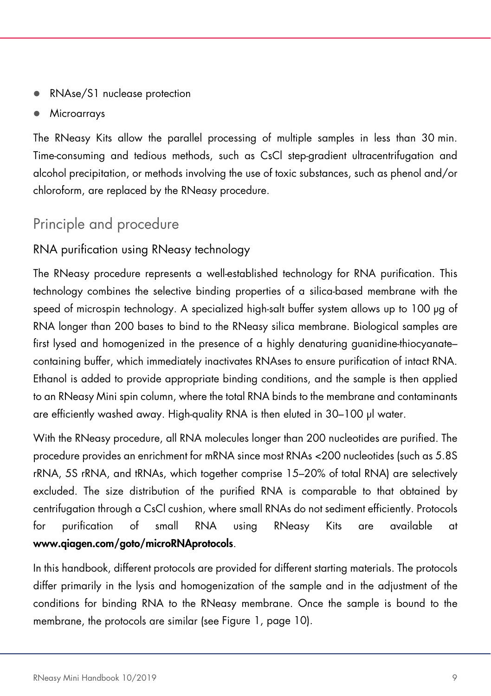- RNAse/S1 nuclease protection
- **Microarrays**

The RNeasy Kits allow the parallel processing of multiple samples in less than 30 min. Time-consuming and tedious methods, such as CsCl step-gradient ultracentrifugation and alcohol precipitation, or methods involving the use of toxic substances, such as phenol and/or chloroform, are replaced by the RNeasy procedure.

# <span id="page-8-0"></span>Principle and procedure

# RNA purification using RNeasy technology

The RNeasy procedure represents a well-established technology for RNA purification. This technology combines the selective binding properties of a silica-based membrane with the speed of microspin technology. A specialized high-salt buffer system allows up to 100 µg of RNA longer than 200 bases to bind to the RNeasy silica membrane. Biological samples are first lysed and homogenized in the presence of a highly denaturing guanidine-thiocyanate– containing buffer, which immediately inactivates RNAses to ensure purification of intact RNA. Ethanol is added to provide appropriate binding conditions, and the sample is then applied to an RNeasy Mini spin column, where the total RNA binds to the membrane and contaminants are efficiently washed away. High-quality RNA is then eluted in 30–100 µl water.

With the RNeasy procedure, all RNA molecules longer than 200 nucleotides are purified. The procedure provides an enrichment for mRNA since most RNAs <200 nucleotides (such as 5.8S rRNA, 5S rRNA, and tRNAs, which together comprise 15–20% of total RNA) are selectively excluded. The size distribution of the purified RNA is comparable to that obtained by centrifugation through a CsCl cushion, where small RNAs do not sediment efficiently. Protocols for purification of small RNA using RNeasy Kits are available at www.qiagen.com/goto/microRNAprotocols.

In this handbook, different protocols are provided for different starting materials. The protocols differ primarily in the lysis and homogenization of the sample and in the adjustment of the conditions for binding RNA to the RNeasy membrane. Once the sample is bound to the membrane, the protocols are similar (see [Figure 1,](#page-9-0) page [10\).](#page-9-0)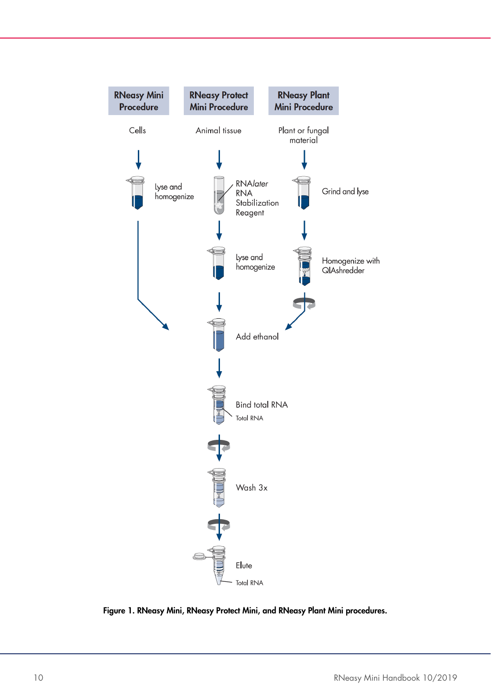

<span id="page-9-0"></span>Figure 1. RNeasy Mini, RNeasy Protect Mini, and RNeasy Plant Mini procedures.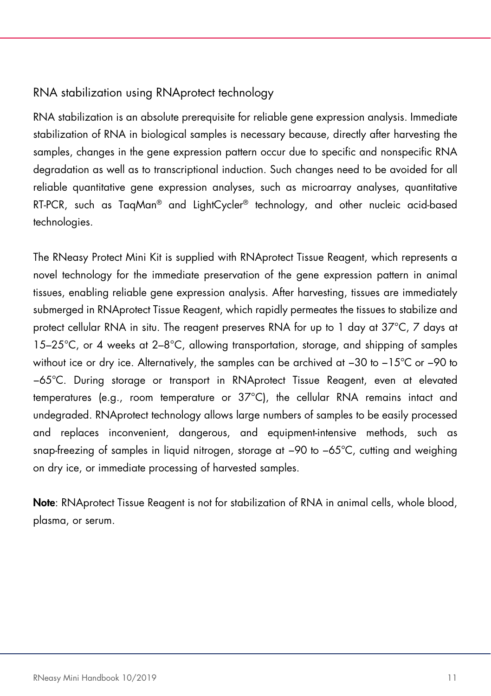### RNA stabilization using RNAprotect technology

RNA stabilization is an absolute prerequisite for reliable gene expression analysis. Immediate stabilization of RNA in biological samples is necessary because, directly after harvesting the samples, changes in the gene expression pattern occur due to specific and nonspecific RNA degradation as well as to transcriptional induction. Such changes need to be avoided for all reliable quantitative gene expression analyses, such as microarray analyses, quantitative RT-PCR, such as TaqMan® and LightCycler® technology, and other nucleic acid-based technologies.

The RNeasy Protect Mini Kit is supplied with RNAprotect Tissue Reagent, which represents a novel technology for the immediate preservation of the gene expression pattern in animal tissues, enabling reliable gene expression analysis. After harvesting, tissues are immediately submerged in RNAprotect Tissue Reagent, which rapidly permeates the tissues to stabilize and protect cellular RNA in situ. The reagent preserves RNA for up to 1 day at 37°C, 7 days at 15–25°C, or 4 weeks at 2–8°C, allowing transportation, storage, and shipping of samples without ice or dry ice. Alternatively, the samples can be archived at −30 to −15°C or −90 to −65°C. During storage or transport in RNAprotect Tissue Reagent, even at elevated temperatures (e.g., room temperature or 37°C), the cellular RNA remains intact and undegraded. RNAprotect technology allows large numbers of samples to be easily processed and replaces inconvenient, dangerous, and equipment-intensive methods, such as snap-freezing of samples in liquid nitrogen, storage at −90 to −65°C, cutting and weighing on dry ice, or immediate processing of harvested samples.

Note: RNAprotect Tissue Reagent is not for stabilization of RNA in animal cells, whole blood, plasma, or serum.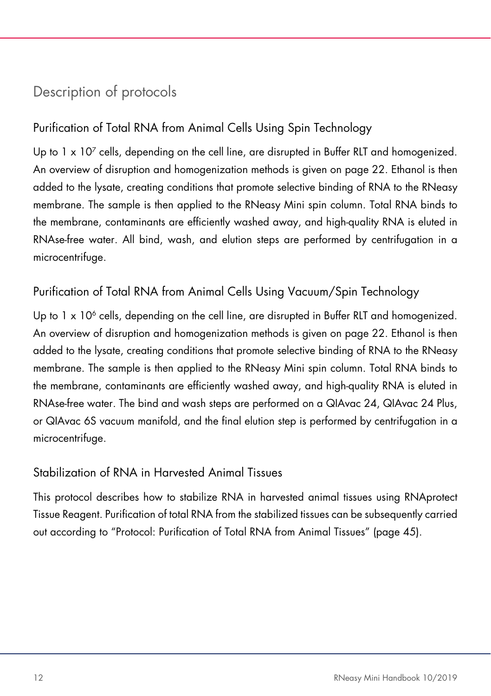# <span id="page-11-0"></span>Description of protocols

# Purification of Total RNA from Animal Cells Using Spin Technology

Up to  $1 \times 10^7$  cells, depending on the cell line, are disrupted in Buffer RLT and homogenized. An overview of disruption and homogenization methods is given on page [22.](#page-21-0) Ethanol is then added to the lysate, creating conditions that promote selective binding of RNA to the RNeasy membrane. The sample is then applied to the RNeasy Mini spin column. Total RNA binds to the membrane, contaminants are efficiently washed away, and high-quality RNA is eluted in RNAse-free water. All bind, wash, and elution steps are performed by centrifugation in a microcentrifuge.

# Purification of Total RNA from Animal Cells Using Vacuum/Spin Technology

Up to  $1 \times 10^6$  cells, depending on the cell line, are disrupted in Buffer RLT and homogenized. An overview of disruption and homogenization methods is given on page [22.](#page-21-0) Ethanol is then added to the lysate, creating conditions that promote selective binding of RNA to the RNeasy membrane. The sample is then applied to the RNeasy Mini spin column. Total RNA binds to the membrane, contaminants are efficiently washed away, and high-quality RNA is eluted in RNAse-free water. The bind and wash steps are performed on a QIAvac 24, QIAvac 24 Plus, or QIAvac 6S vacuum manifold, and the final elution step is performed by centrifugation in a microcentrifuge.

### Stabilization of RNA in Harvested Animal Tissues

This protocol describes how to stabilize RNA in harvested animal tissues using RNAprotect Tissue Reagent. Purification of total RNA from the stabilized tissues can be subsequently carried out according to "Protocol: Purification of Total RNA from Animal Tissues" (pag[e 45\)](#page-44-0).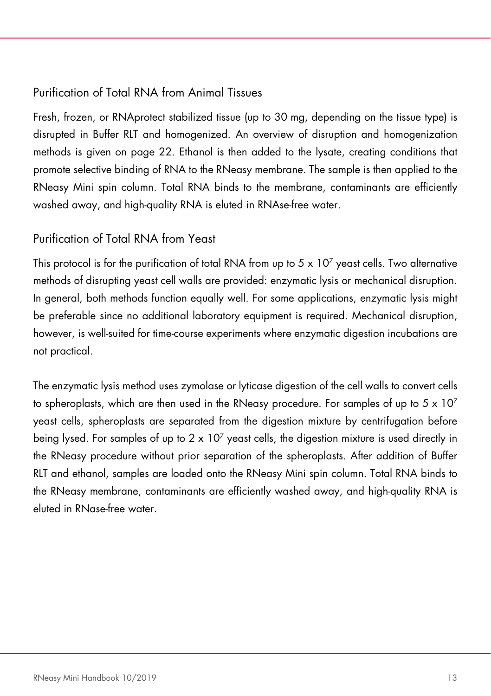# Purification of Total RNA from Animal Tissues

Fresh, frozen, or RNAprotect stabilized tissue (up to 30 mg, depending on the tissue type) is disrupted in Buffer RLT and homogenized. An overview of disruption and homogenization methods is given on page [22.](#page-21-0) Ethanol is then added to the lysate, creating conditions that promote selective binding of RNA to the RNeasy membrane. The sample is then applied to the RNeasy Mini spin column. Total RNA binds to the membrane, contaminants are efficiently washed away, and high-quality RNA is eluted in RNAse-free water.

# Purification of Total RNA from Yeast

This protocol is for the purification of total RNA from up to  $5 \times 10^7$  yeast cells. Two alternative methods of disrupting yeast cell walls are provided: enzymatic lysis or mechanical disruption. In general, both methods function equally well. For some applications, enzymatic lysis might be preferable since no additional laboratory equipment is required. Mechanical disruption, however, is well-suited for time-course experiments where enzymatic digestion incubations are not practical.

The enzymatic lysis method uses zymolase or lyticase digestion of the cell walls to convert cells to spheroplasts, which are then used in the RNeasy procedure. For samples of up to  $5 \times 10^7$ yeast cells, spheroplasts are separated from the digestion mixture by centrifugation before being lysed. For samples of up to  $2 \times 10^7$  yeast cells, the digestion mixture is used directly in the RNeasy procedure without prior separation of the spheroplasts. After addition of Buffer RLT and ethanol, samples are loaded onto the RNeasy Mini spin column. Total RNA binds to the RNeasy membrane, contaminants are efficiently washed away, and high-quality RNA is eluted in RNase-free water.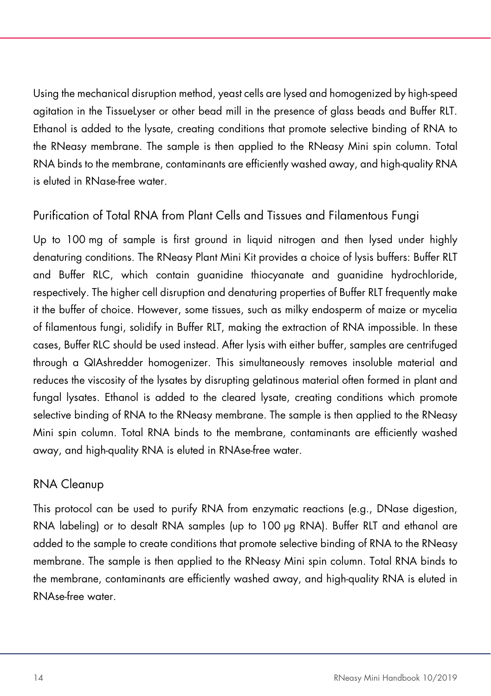Using the mechanical disruption method, yeast cells are lysed and homogenized by high-speed agitation in the TissueLyser or other bead mill in the presence of glass beads and Buffer RLT. Ethanol is added to the lysate, creating conditions that promote selective binding of RNA to the RNeasy membrane. The sample is then applied to the RNeasy Mini spin column. Total RNA binds to the membrane, contaminants are efficiently washed away, and high-quality RNA is eluted in RNase-free water.

# Purification of Total RNA from Plant Cells and Tissues and Filamentous Fungi

Up to 100 mg of sample is first ground in liquid nitrogen and then lysed under highly denaturing conditions. The RNeasy Plant Mini Kit provides a choice of lysis buffers: Buffer RLT and Buffer RLC, which contain guanidine thiocyanate and guanidine hydrochloride, respectively. The higher cell disruption and denaturing properties of Buffer RLT frequently make it the buffer of choice. However, some tissues, such as milky endosperm of maize or mycelia of filamentous fungi, solidify in Buffer RLT, making the extraction of RNA impossible. In these cases, Buffer RLC should be used instead. After lysis with either buffer, samples are centrifuged through a QIAshredder homogenizer. This simultaneously removes insoluble material and reduces the viscosity of the lysates by disrupting gelatinous material often formed in plant and fungal lysates. Ethanol is added to the cleared lysate, creating conditions which promote selective binding of RNA to the RNeasy membrane. The sample is then applied to the RNeasy Mini spin column. Total RNA binds to the membrane, contaminants are efficiently washed away, and high-quality RNA is eluted in RNAse-free water.

### RNA Cleanup

This protocol can be used to purify RNA from enzymatic reactions (e.g., DNase digestion, RNA labeling) or to desalt RNA samples (up to 100 µg RNA). Buffer RLT and ethanol are added to the sample to create conditions that promote selective binding of RNA to the RNeasy membrane. The sample is then applied to the RNeasy Mini spin column. Total RNA binds to the membrane, contaminants are efficiently washed away, and high-quality RNA is eluted in RNAse-free water.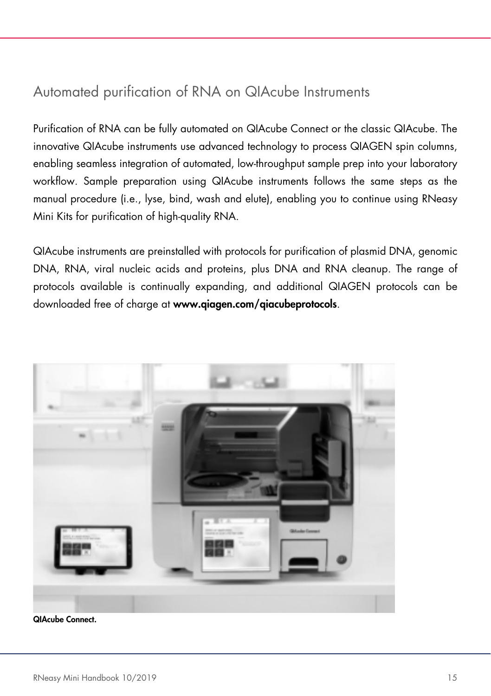# <span id="page-14-0"></span>Automated purification of RNA on QIAcube Instruments

Purification of RNA can be fully automated on QIAcube Connect or the classic QIAcube. The innovative QIAcube instruments use advanced technology to process QIAGEN spin columns, enabling seamless integration of automated, low-throughput sample prep into your laboratory workflow. Sample preparation using QIAcube instruments follows the same steps as the manual procedure (i.e., lyse, bind, wash and elute), enabling you to continue using RNeasy Mini Kits for purification of high-quality RNA.

QIAcube instruments are preinstalled with protocols for purification of plasmid DNA, genomic DNA, RNA, viral nucleic acids and proteins, plus DNA and RNA cleanup. The range of protocols available is continually expanding, and additional QIAGEN protocols can be downloaded free of charge at www.qiagen.com/qiacubeprotocols.



QIAcube Connect.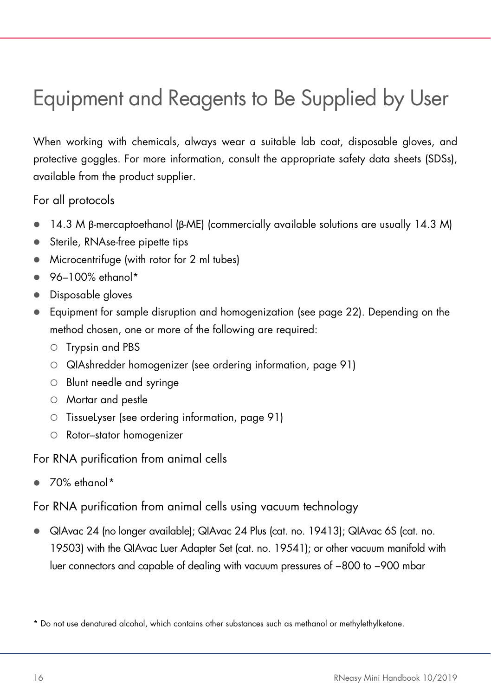# <span id="page-15-0"></span>Equipment and Reagents to Be Supplied by User

When working with chemicals, always wear a suitable lab coat, disposable gloves, and protective goggles. For more information, consult the appropriate safety data sheets (SDSs), available from the product supplier.

For all protocols

- $\bullet$  14.3 M β-mercaptoethanol (β-ME) (commercially available solutions are usually 14.3 M)
- Sterile, RNAse-free pipette tips
- Microcentrifuge (with rotor for 2 ml tubes)
- $96-100%$  ethanol\*
- Disposable gloves
- Equipment for sample disruption and homogenization (see page [22\)](#page-21-0). Depending on the method chosen, one or more of the following are required:
	- O Trypsin and PBS
	- QIAshredder homogenizer (see ordering information, page [91\)](#page-90-0)
	- Blunt needle and syringe
	- Mortar and pestle
	- $\circ$  TissueLyser (see ordering information, page [91\)](#page-90-0)
	- Rotor–stator homogenizer

For RNA purification from animal cells

 $\bullet$  70% ethanol[\\*](#page-15-1)

For RNA purification from animal cells using vacuum technology

 QIAvac 24 (no longer available); QIAvac 24 Plus (cat. no. 19413); QIAvac 6S (cat. no. 19503) with the QIAvac Luer Adapter Set (cat. no. 19541); or other vacuum manifold with luer connectors and capable of dealing with vacuum pressures of −800 to −900 mbar

<span id="page-15-1"></span><sup>\*</sup> Do not use denatured alcohol, which contains other substances such as methanol or methylethylketone.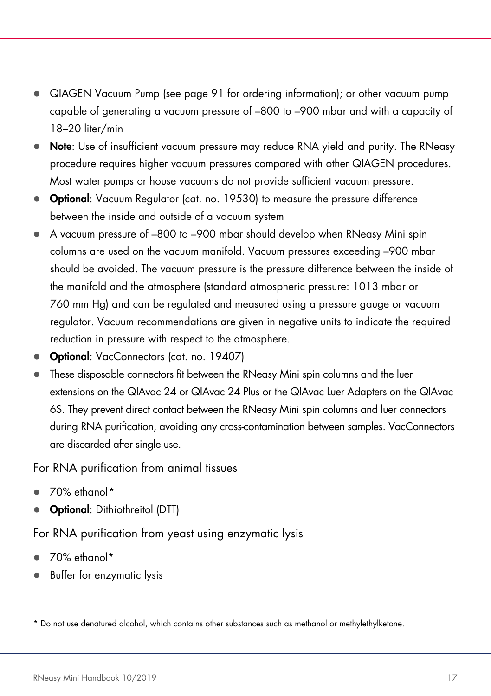- QIAGEN Vacuum Pump (see page [91](#page-90-0) for ordering information); or other vacuum pump capable of generating a vacuum pressure of –800 to –900 mbar and with a capacity of 18–20 liter/min
- Note: Use of insufficient vacuum pressure may reduce RNA yield and purity. The RNeasy procedure requires higher vacuum pressures compared with other QIAGEN procedures. Most water pumps or house vacuums do not provide sufficient vacuum pressure.
- Optional: Vacuum Regulator (cat. no. 19530) to measure the pressure difference between the inside and outside of a vacuum system
- A vacuum pressure of –800 to –900 mbar should develop when RNeasy Mini spin columns are used on the vacuum manifold. Vacuum pressures exceeding –900 mbar should be avoided. The vacuum pressure is the pressure difference between the inside of the manifold and the atmosphere (standard atmospheric pressure: 1013 mbar or 760 mm Hg) and can be regulated and measured using a pressure gauge or vacuum regulator. Vacuum recommendations are given in negative units to indicate the required reduction in pressure with respect to the atmosphere.
- Optional: VacConnectors (cat. no. 19407)
- These disposable connectors fit between the RNeasy Mini spin columns and the luer extensions on the QIAvac 24 or QIAvac 24 Plus or the QIAvac Luer Adapters on the QIAvac 6S. They prevent direct contact between the RNeasy Mini spin columns and luer connectors during RNA purification, avoiding any cross-contamination between samples. VacConnectors are discarded after single use.

#### For RNA purification from animal tissues

- 70% ethanol[\\*](#page-16-0)
- Optional: Dithiothreitol (DTT)

For RNA purification from yeast using enzymatic lysis

- $\bullet$  70% ethanol\*
- Buffer for enzymatic lysis

<span id="page-16-0"></span><sup>\*</sup> Do not use denatured alcohol, which contains other substances such as methanol or methylethylketone.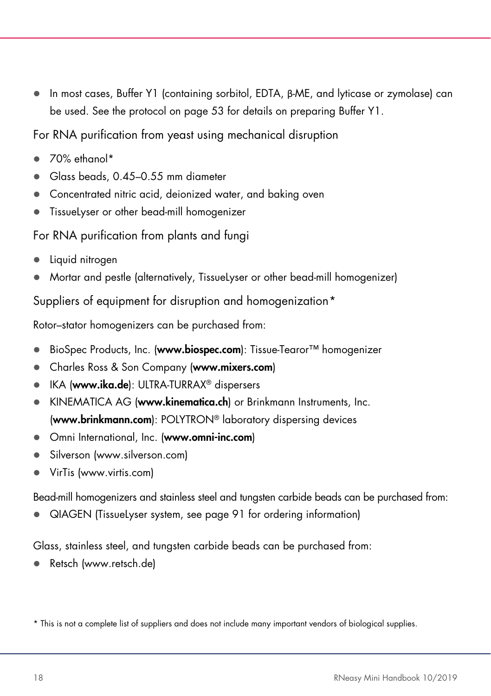In most cases, Buffer Y1 (containing sorbitol, EDTA, β-ME, and lyticase or zymolase) can be used. See the protocol on page [53](#page-52-0) for details on preparing Buffer Y1.

For RNA purification from yeast using mechanical disruption

- 70% ethanol\*
- Glass beads, 0.45–0.55 mm diameter
- Concentrated nitric acid, deionized water, and baking oven
- TissueLyser or other bead-mill homogenizer

# For RNA purification from plants and fungi

- Liquid nitrogen
- Mortar and pestle (alternatively, TissueLyser or other bead-mill homogenizer)

Suppliers of equipment for disruption and homogenization[\\*](#page-17-0)

Rotor–stator homogenizers can be purchased from:

- BioSpec Products, Inc. (www.biospec.com): Tissue-Tearor™ homogenizer
- Charles Ross & Son Company (www.mixers.com)
- IKA (www.ika.de): ULTRA-TURRAX<sup>®</sup> dispersers
- KINEMATICA AG (www.kinematica.ch) or Brinkmann Instruments, Inc. (www.brinkmann.com): POLYTRON® laboratory dispersing devices
- Omni International, Inc. (www.omni-inc.com)
- Silverson (www.silverson.com)
- VirTis (www.virtis.com)

Bead-mill homogenizers and stainless steel and tungsten carbide beads can be purchased from:

QIAGEN (TissueLyser system, see page [91](#page-90-0) for ordering information)

Glass, stainless steel, and tungsten carbide beads can be purchased from:

Retsch (www.retsch.de)

<span id="page-17-0"></span><sup>\*</sup> This is not a complete list of suppliers and does not include many important vendors of biological supplies.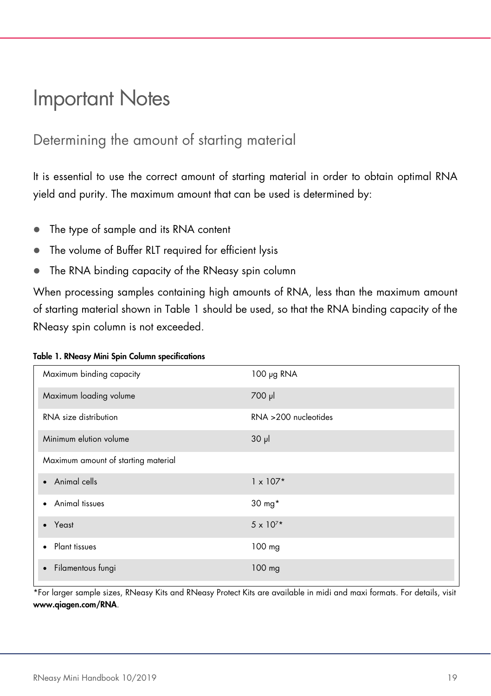# <span id="page-18-0"></span>Important Notes

# <span id="page-18-1"></span>Determining the amount of starting material

It is essential to use the correct amount of starting material in order to obtain optimal RNA yield and purity. The maximum amount that can be used is determined by:

- The type of sample and its RNA content
- The volume of Buffer RLT required for efficient lysis
- The RNA binding capacity of the RNeasy spin column

When processing samples containing high amounts of RNA, less than the maximum amount of starting material shown in [Table 1](#page-18-2) should be used, so that the RNA binding capacity of the RNeasy spin column is not exceeded.

<span id="page-18-2"></span>

|  |  |  |  |  |  | Table 1. RNeasy Mini Spin Column specifications |
|--|--|--|--|--|--|-------------------------------------------------|
|--|--|--|--|--|--|-------------------------------------------------|

| Maximum binding capacity            | 100 µg RNA              |
|-------------------------------------|-------------------------|
| Maximum loading volume              | 700 µl                  |
| RNA size distribution               | $RNA > 200$ nucleotides |
| Minimum elution volume              | $30 \mu$                |
| Maximum amount of starting material |                         |
| • Animal cells                      | $1 \times 107*$         |
| • Animal tissues                    | 30 mg*                  |
| Yeast<br>$\bullet$                  | $5 \times 10^{7*}$      |
| Plant tissues<br>$\bullet$          | $100$ mg                |
| Filamentous fungi<br>$\bullet$      | 100 mg                  |

\*For larger sample sizes, RNeasy Kits and RNeasy Protect Kits are available in midi and maxi formats. For details, visit [www.qiagen.com/RNA](http://www.qiagen.com/RNA).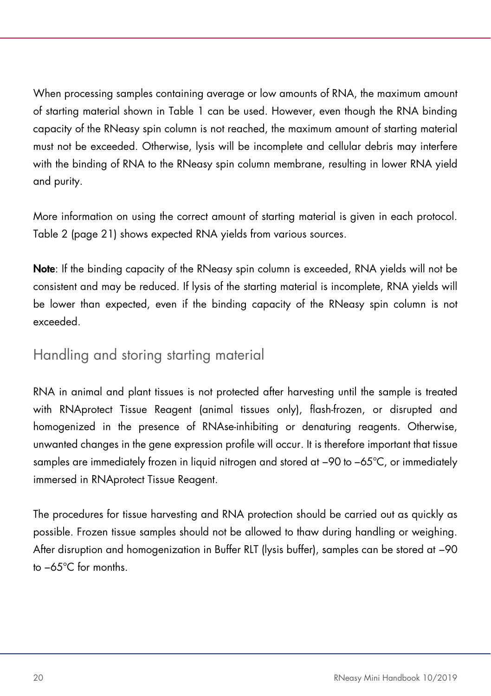When processing samples containing average or low amounts of RNA, the maximum amount of starting material shown in [Table 1](#page-18-2) can be used. However, even though the RNA binding capacity of the RNeasy spin column is not reached, the maximum amount of starting material must not be exceeded. Otherwise, lysis will be incomplete and cellular debris may interfere with the binding of RNA to the RNeasy spin column membrane, resulting in lower RNA yield and purity.

More information on using the correct amount of starting material is given in each protocol. [Table 2](#page-19-1) (page [21\)](#page-19-1) shows expected RNA yields from various sources.

Note: If the binding capacity of the RNeasy spin column is exceeded, RNA yields will not be consistent and may be reduced. If lysis of the starting material is incomplete, RNA yields will be lower than expected, even if the binding capacity of the RNeasy spin column is not exceeded.

# <span id="page-19-0"></span>Handling and storing starting material

RNA in animal and plant tissues is not protected after harvesting until the sample is treated with RNAprotect Tissue Reagent (animal tissues only), flash-frozen, or disrupted and homogenized in the presence of RNAse-inhibiting or denaturing reagents. Otherwise, unwanted changes in the gene expression profile will occur. It is therefore important that tissue samples are immediately frozen in liquid nitrogen and stored at −90 to −65°C, or immediately immersed in RNAprotect Tissue Reagent.

<span id="page-19-1"></span>The procedures for tissue harvesting and RNA protection should be carried out as quickly as possible. Frozen tissue samples should not be allowed to thaw during handling or weighing. After disruption and homogenization in Buffer RLT (lysis buffer), samples can be stored at −90 to −65°C for months.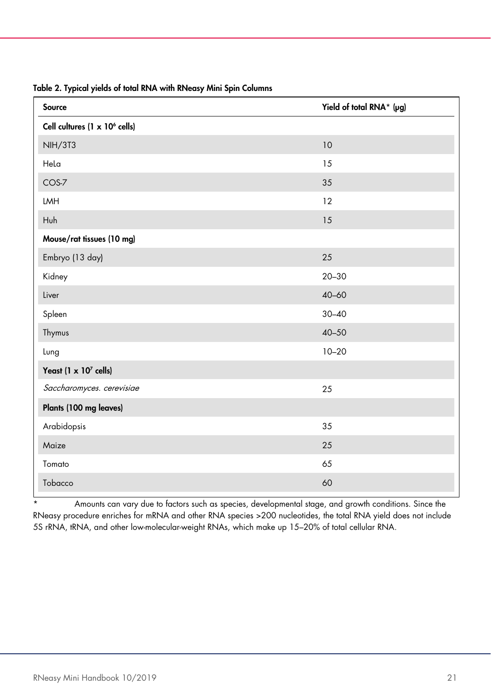| Source                                    | Yield of total RNA* (µg) |
|-------------------------------------------|--------------------------|
| Cell cultures (1 x 10 <sup>6</sup> cells) |                          |
| <b>NIH/3T3</b>                            | 10                       |
| Hela                                      | 15                       |
| COS-7                                     | 35                       |
| <b>LMH</b>                                | 12                       |
| Huh                                       | 15                       |
| Mouse/rat tissues (10 mg)                 |                          |
| Embryo (13 day)                           | 25                       |
| Kidney                                    | $20 - 30$                |
| Liver                                     | $40 - 60$                |
| Spleen                                    | $30 - 40$                |
| Thymus                                    | $40 - 50$                |
| Lung                                      | $10 - 20$                |
| Yeast (1 x 10 <sup>7</sup> cells)         |                          |
| Saccharomyces. cerevisiae                 | 25                       |
| Plants (100 mg leaves)                    |                          |
| Arabidopsis                               | 35                       |
| Maize                                     | 25                       |
| Tomato                                    | 65                       |
| Tobacco                                   | 60                       |

#### Table 2. Typical yields of total RNA with RNeasy Mini Spin Columns

\* Amounts can vary due to factors such as species, developmental stage, and growth conditions. Since the RNeasy procedure enriches for mRNA and other RNA species >200 nucleotides, the total RNA yield does not include 5S rRNA, tRNA, and other low-molecular-weight RNAs, which make up 15–20% of total cellular RNA.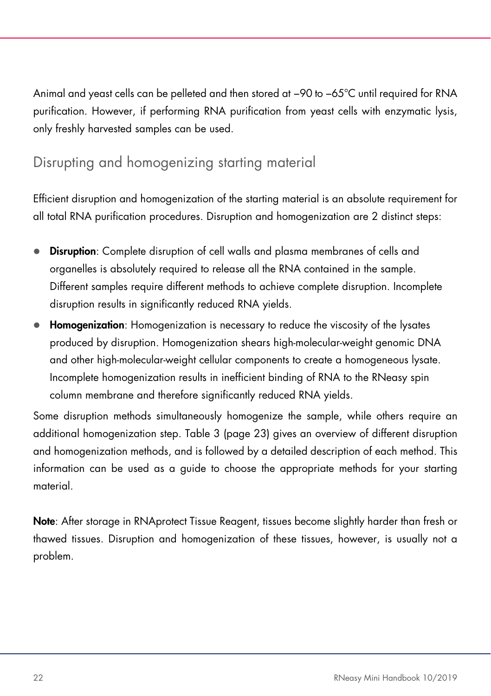Animal and yeast cells can be pelleted and then stored at −90 to −65°C until required for RNA purification. However, if performing RNA purification from yeast cells with enzymatic lysis, only freshly harvested samples can be used.

# <span id="page-21-0"></span>Disrupting and homogenizing starting material

Efficient disruption and homogenization of the starting material is an absolute requirement for all total RNA purification procedures. Disruption and homogenization are 2 distinct steps:

- **Disruption:** Complete disruption of cell walls and plasma membranes of cells and organelles is absolutely required to release all the RNA contained in the sample. Different samples require different methods to achieve complete disruption. Incomplete disruption results in significantly reduced RNA yields.
- Homogenization: Homogenization is necessary to reduce the viscosity of the lysates produced by disruption. Homogenization shears high-molecular-weight genomic DNA and other high-molecular-weight cellular components to create a homogeneous lysate. Incomplete homogenization results in inefficient binding of RNA to the RNeasy spin column membrane and therefore significantly reduced RNA yields.

Some disruption methods simultaneously homogenize the sample, while others require an additional homogenization step. [Table 3](#page-21-1) (page [23\)](#page-21-1) gives an overview of different disruption and homogenization methods, and is followed by a detailed description of each method. This information can be used as a guide to choose the appropriate methods for your starting material.

<span id="page-21-1"></span>Note: After storage in RNAprotect Tissue Reagent, tissues become slightly harder than fresh or thawed tissues. Disruption and homogenization of these tissues, however, is usually not a problem.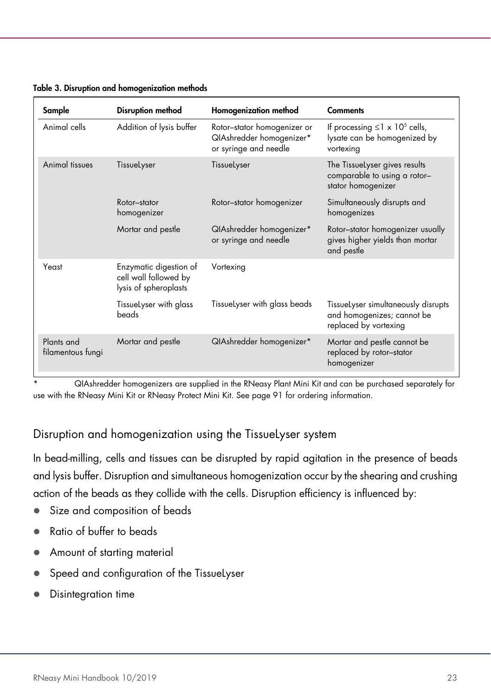| Sample                          | Disruption method                                                        | Homogenization method                                                            | <b>Comments</b>                                                                              |
|---------------------------------|--------------------------------------------------------------------------|----------------------------------------------------------------------------------|----------------------------------------------------------------------------------------------|
| Animal cells                    | Addition of lysis buffer                                                 | Rotor-stator homogenizer or<br>QIAshredder homogenizer*<br>or syringe and needle | If processing $\leq$ 1 x 10 <sup>5</sup> cells,<br>lysate can be homogenized by<br>vortexing |
| Animal tissues                  | TissueLyser                                                              | TissueLyser                                                                      | The TissueLyser gives results<br>comparable to using a rotor-<br>stator homogenizer          |
|                                 | Rotor-stator<br>homogenizer                                              | Rotor-stator homogenizer                                                         | Simultaneously disrupts and<br>homogenizes                                                   |
|                                 | Mortar and pestle                                                        | QIAshredder homogenizer*<br>or syringe and needle                                | Rotor-stator homogenizer usually<br>gives higher yields than mortar<br>and pestle            |
| Yeast                           | Enzymatic digestion of<br>cell wall followed by<br>lysis of spheroplasts | Vortexing                                                                        |                                                                                              |
|                                 | TissueLyser with glass<br>beads                                          | TissueLyser with glass beads                                                     | TissueLyser simultaneously disrupts<br>and homogenizes; cannot be<br>replaced by vortexing   |
| Plants and<br>filamentous fungi | Mortar and pestle                                                        | QIAshredder homogenizer*                                                         | Mortar and pestle cannot be<br>replaced by rotor-stator<br>homogenizer                       |

#### Table 3. Disruption and homogenization methods

\* QIAshredder homogenizers are supplied in the RNeasy Plant Mini Kit and can be purchased separately for use with the RNeasy Mini Kit or RNeasy Protect Mini Kit. See pag[e 91](#page-90-0) for ordering information.

### Disruption and homogenization using the TissueLyser system

In bead-milling, cells and tissues can be disrupted by rapid agitation in the presence of beads and lysis buffer. Disruption and simultaneous homogenization occur by the shearing and crushing action of the beads as they collide with the cells. Disruption efficiency is influenced by:

- Size and composition of beads
- Ratio of buffer to beads
- Amount of starting material
- Speed and configuration of the TissueLyser
- **•** Disintegration time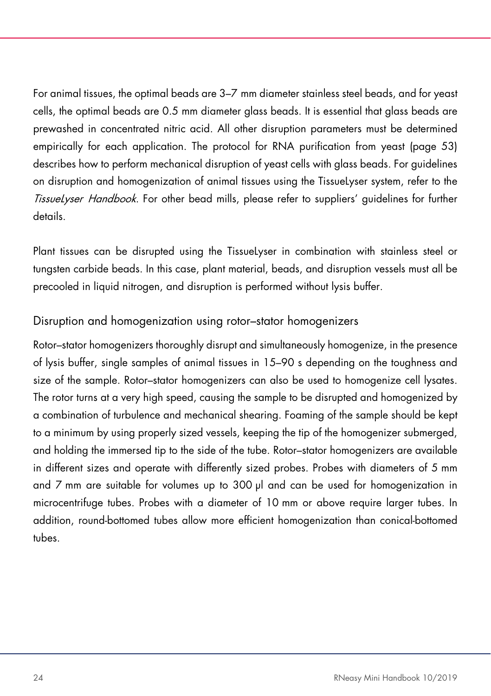For animal tissues, the optimal beads are 3–7 mm diameter stainless steel beads, and for yeast cells, the optimal beads are 0.5 mm diameter glass beads. It is essential that glass beads are prewashed in concentrated nitric acid. All other disruption parameters must be determined empirically for each application. The protocol for RNA purification from yeast (page [53\)](#page-52-0) describes how to perform mechanical disruption of yeast cells with glass beads. For guidelines on disruption and homogenization of animal tissues using the TissueLyser system, refer to the TissueLyser Handbook. For other bead mills, please refer to suppliers' quidelines for further details.

Plant tissues can be disrupted using the TissueLyser in combination with stainless steel or tungsten carbide beads. In this case, plant material, beads, and disruption vessels must all be precooled in liquid nitrogen, and disruption is performed without lysis buffer.

### Disruption and homogenization using rotor–stator homogenizers

Rotor–stator homogenizers thoroughly disrupt and simultaneously homogenize, in the presence of lysis buffer, single samples of animal tissues in 15–90 s depending on the toughness and size of the sample. Rotor–stator homogenizers can also be used to homogenize cell lysates. The rotor turns at a very high speed, causing the sample to be disrupted and homogenized by a combination of turbulence and mechanical shearing. Foaming of the sample should be kept to a minimum by using properly sized vessels, keeping the tip of the homogenizer submerged, and holding the immersed tip to the side of the tube. Rotor–stator homogenizers are available in different sizes and operate with differently sized probes. Probes with diameters of 5 mm and 7 mm are suitable for volumes up to 300 µl and can be used for homogenization in microcentrifuge tubes. Probes with a diameter of 10 mm or above require larger tubes. In addition, round-bottomed tubes allow more efficient homogenization than conical-bottomed tubes.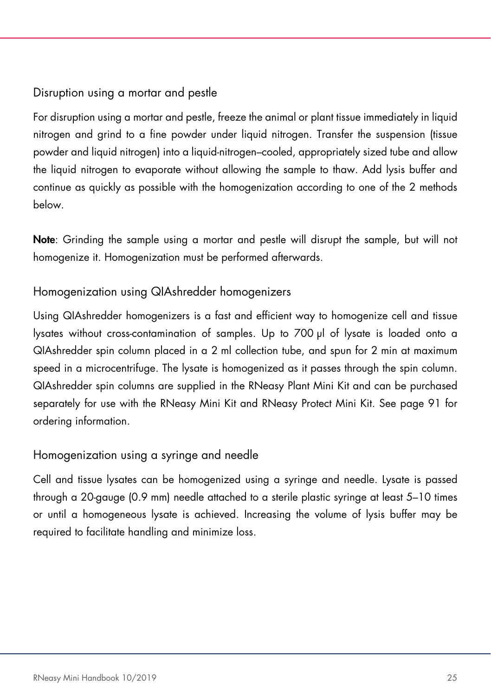# <span id="page-24-0"></span>Disruption using a mortar and pestle

For disruption using a mortar and pestle, freeze the animal or plant tissue immediately in liquid nitrogen and grind to a fine powder under liquid nitrogen. Transfer the suspension (tissue powder and liquid nitrogen) into a liquid-nitrogen–cooled, appropriately sized tube and allow the liquid nitrogen to evaporate without allowing the sample to thaw. Add lysis buffer and continue as quickly as possible with the homogenization according to one of the 2 methods below.

Note: Grinding the sample using a mortar and pestle will disrupt the sample, but will not homogenize it. Homogenization must be performed afterwards.

### Homogenization using QIAshredder homogenizers

Using QIAshredder homogenizers is a fast and efficient way to homogenize cell and tissue lysates without cross-contamination of samples. Up to 700 µl of lysate is loaded onto a QIAshredder spin column placed in a 2 ml collection tube, and spun for 2 min at maximum speed in a microcentrifuge. The lysate is homogenized as it passes through the spin column. QIAshredder spin columns are supplied in the RNeasy Plant Mini Kit and can be purchased separately for use with the RNeasy Mini Kit and RNeasy Protect Mini Kit. See page [91](#page-90-0) for ordering information.

### Homogenization using a syringe and needle

Cell and tissue lysates can be homogenized using a syringe and needle. Lysate is passed through a 20-gauge (0.9 mm) needle attached to a sterile plastic syringe at least 5–10 times or until a homogeneous lysate is achieved. Increasing the volume of lysis buffer may be required to facilitate handling and minimize loss.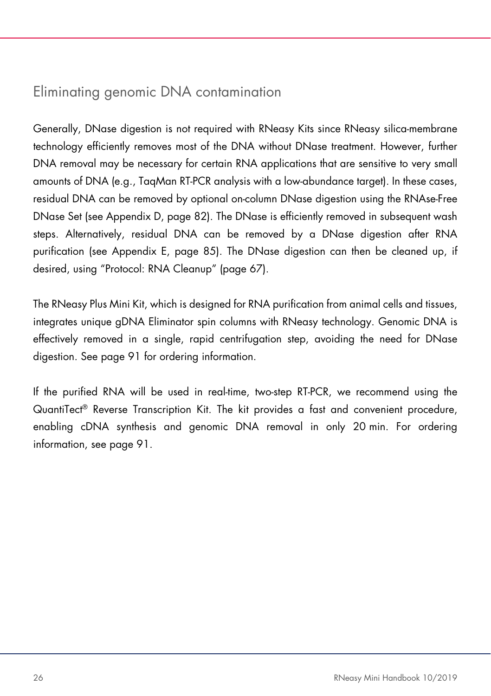# Eliminating genomic DNA contamination

Generally, DNase digestion is not required with RNeasy Kits since RNeasy silica-membrane technology efficiently removes most of the DNA without DNase treatment. However, further DNA removal may be necessary for certain RNA applications that are sensitive to very small amounts of DNA (e.g., TaqMan RT-PCR analysis with a low-abundance target). In these cases, residual DNA can be removed by optional on-column DNase digestion using the RNAse-Free DNase Set (see Appendix D, page [82\)](#page-81-0). The DNase is efficiently removed in subsequent wash steps. Alternatively, residual DNA can be removed by a DNase digestion after RNA purification (see Appendix E, page [85\)](#page-84-0). The DNase digestion can then be cleaned up, if desired, using "Protocol: RNA Cleanup" (page [67\)](#page-66-0).

The RNeasy Plus Mini Kit, which is designed for RNA purification from animal cells and tissues, integrates unique gDNA Eliminator spin columns with RNeasy technology. Genomic DNA is effectively removed in a single, rapid centrifugation step, avoiding the need for DNase digestion. See page [91](#page-90-0) for ordering information.

If the purified RNA will be used in real-time, two-step RT-PCR, we recommend using the QuantiTect® Reverse Transcription Kit. The kit provides a fast and convenient procedure, enabling cDNA synthesis and genomic DNA removal in only 20 min. For ordering information, see pag[e 91.](#page-90-0)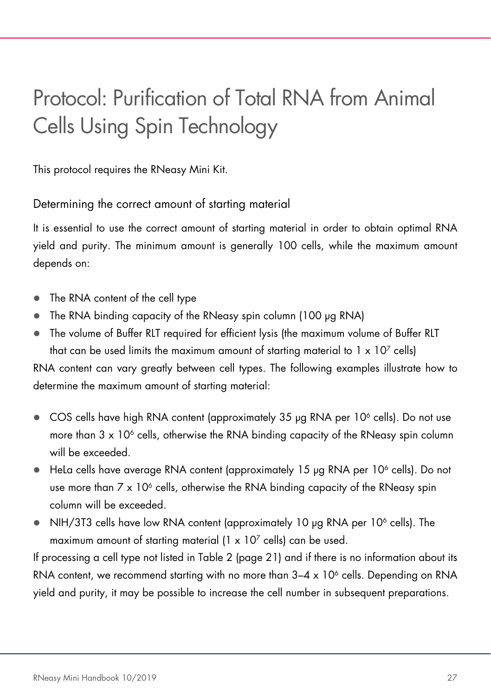# <span id="page-26-0"></span>Protocol: Purification of Total RNA from Animal Cells Using Spin Technology

This protocol requires the RNeasy Mini Kit.

### <span id="page-26-1"></span>Determining the correct amount of starting material

It is essential to use the correct amount of starting material in order to obtain optimal RNA yield and purity. The minimum amount is generally 100 cells, while the maximum amount depends on:

- The RNA content of the cell type
- The RNA binding capacity of the RNeasy spin column (100 µg RNA)
- The volume of Buffer RLT required for efficient lysis (the maximum volume of Buffer RLT that can be used limits the maximum amount of starting material to  $1 \times 10^7$  cells)

RNA content can vary greatly between cell types. The following examples illustrate how to determine the maximum amount of starting material:

- $\bullet$  COS cells have high RNA content (approximately 35 µg RNA per 10<sup>6</sup> cells). Do not use more than  $3 \times 10^6$  cells, otherwise the RNA binding capacity of the RNeasy spin column will be exceeded.
- $\bullet$  HeLa cells have average RNA content (approximately 15 µg RNA per 10 $\degree$  cells). Do not use more than  $7 \times 10^6$  cells, otherwise the RNA binding capacity of the RNeasy spin column will be exceeded.
- $\bullet$  NIH/3T3 cells have low RNA content (approximately 10 µg RNA per 10<sup>6</sup> cells). The maximum amount of starting material  $(1 \times 10^7 \text{ cells})$  can be used.

If processing a cell type not listed in [Table 2](#page-19-1) (page [21\)](#page-19-1) and if there is no information about its RNA content, we recommend starting with no more than  $3-4 \times 10^6$  cells. Depending on RNA yield and purity, it may be possible to increase the cell number in subsequent preparations.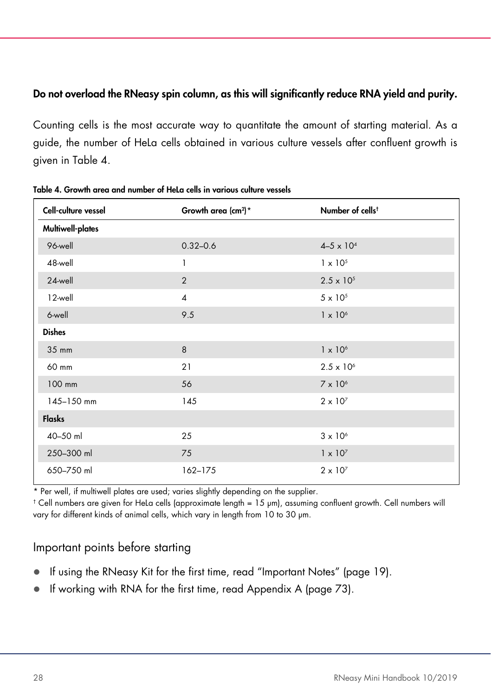### Do not overload the RNeasy spin column, as this will significantly reduce RNA yield and purity.

Counting cells is the most accurate way to quantitate the amount of starting material. As a guide, the number of HeLa cells obtained in various culture vessels after confluent growth is given in [Table 4.](#page-27-0)

| Cell-culture vessel | Growth area $(cm^2)^*$ | Number of cells <sup>t</sup> |
|---------------------|------------------------|------------------------------|
| Multiwell-plates    |                        |                              |
| 96-well             | $0.32 - 0.6$           | $4 - 5 \times 10^{4}$        |
| 48-well             | 1                      | $1 \times 10^{5}$            |
| 24-well             | 2                      | $2.5 \times 10^{5}$          |
| 12-well             | $\overline{4}$         | $5 \times 10^5$              |
| 6-well              | 9.5                    | $1 \times 10^6$              |
| <b>Dishes</b>       |                        |                              |
| 35 mm               | 8                      | $1 \times 10^6$              |
| 60 mm               | 21                     | $2.5 \times 10^{6}$          |
| 100 mm              | 56                     | $7 \times 10^6$              |
| 145-150 mm          | 145                    | $2 \times 10^7$              |
| <b>Flasks</b>       |                        |                              |
| 40-50 ml            | 25                     | $3 \times 10^6$              |
| 250-300 ml          | 75                     | $1 \times 10^7$              |
| 650-750 ml          | 162-175                | $2 \times 10^{7}$            |

<span id="page-27-0"></span>Table 4. Growth area and number of HeLa cells in various culture vessels

\* Per well, if multiwell plates are used; varies slightly depending on the supplier.

† Cell numbers are given for HeLa cells (approximate length = 15 μm), assuming confluent growth. Cell numbers will vary for different kinds of animal cells, which vary in length from 10 to 30 μm.

# Important points before starting

- If using the RNeasy Kit for the first time, read "Important Notes" (page [19\)](#page-18-0).
- If working with RNA for the first time, read Appendix A (page [73\)](#page-72-0).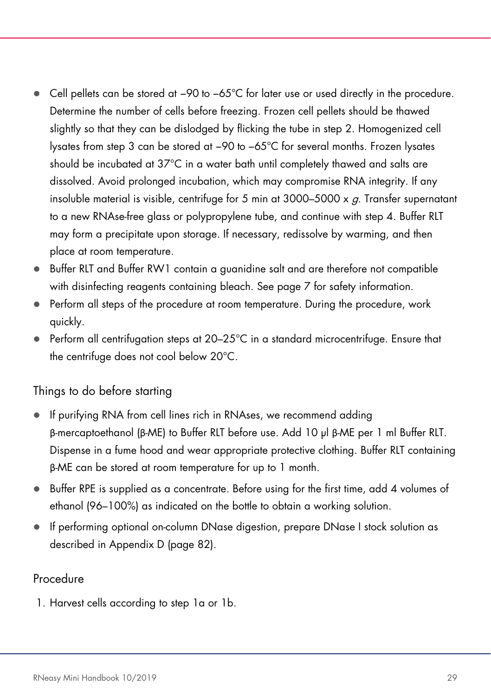- Cell pellets can be stored at −90 to −65°C for later use or used directly in the procedure. Determine the number of cells before freezing. Frozen cell pellets should be thawed slightly so that they can be dislodged by flicking the tube in step 2. Homogenized cell lysates from step [3](#page-30-0) can be stored at −90 to −65°C for several months. Frozen lysates should be incubated at 37°C in a water bath until completely thawed and salts are dissolved. Avoid prolonged incubation, which may compromise RNA integrity. If any insoluble material is visible, centrifuge for 5 min at  $3000-5000 \times q$ . Transfer supernatant to a new RNAse-free glass or polypropylene tube, and continue with step [4.](#page-31-0) Buffer RLT may form a precipitate upon storage. If necessary, redissolve by warming, and then place at room temperature.
- Buffer RLT and Buffer RW1 contain a guanidine salt and are therefore not compatible with disinfecting reagents containing bleach. See page [7](#page-6-0) for safety information.
- Perform all steps of the procedure at room temperature. During the procedure, work quickly.
- Perform all centrifugation steps at 20–25°C in a standard microcentrifuge. Ensure that the centrifuge does not cool below 20°C.

### Things to do before starting

- If purifying RNA from cell lines rich in RNAses, we recommend adding β-mercaptoethanol (β-ME) to Buffer RLT before use. Add 10 µl β-ME per 1 ml Buffer RLT. Dispense in a fume hood and wear appropriate protective clothing. Buffer RLT containing β-ME can be stored at room temperature for up to 1 month.
- Buffer RPE is supplied as a concentrate. Before using for the first time, add 4 volumes of ethanol (96–100%) as indicated on the bottle to obtain a working solution.
- If performing optional on-column DNase digestion, prepare DNase I stock solution as described in Appendix D (page [82\)](#page-81-0).

### Procedure

1. Harvest cells according to step 1a or 1b.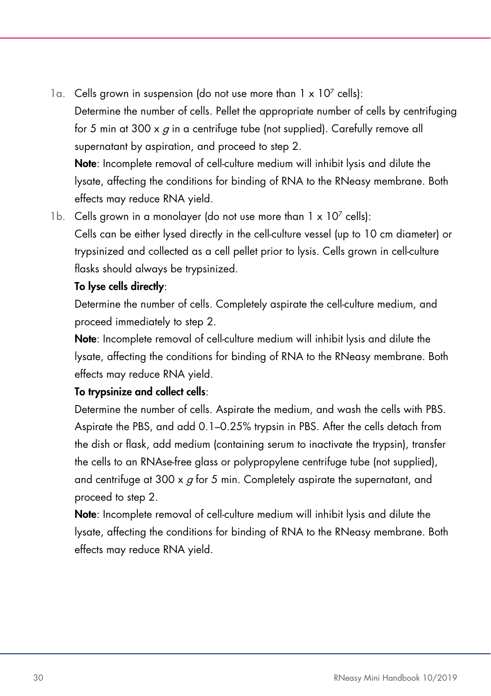- 1a. Cells grown in suspension (do not use more than  $1 \times 10^7$  cells): Determine the number of cells. Pellet the appropriate number of cells by centrifuging for 5 min at 300  $\times$  q in a centrifuge tube (not supplied). Carefully remove all supernatant by aspiration, and proceed to step 2. Note: Incomplete removal of cell-culture medium will inhibit lysis and dilute the lysate, affecting the conditions for binding of RNA to the RNeasy membrane. Both effects may reduce RNA yield.
- 1b. Cells grown in a monolayer (do not use more than  $1 \times 10^7$  cells): Cells can be either lysed directly in the cell-culture vessel (up to 10 cm diameter) or trypsinized and collected as a cell pellet prior to lysis. Cells grown in cell-culture flasks should always be trypsinized.

#### To lyse cells directly:

Determine the number of cells. Completely aspirate the cell-culture medium, and proceed immediately to step 2.

Note: Incomplete removal of cell-culture medium will inhibit lysis and dilute the lysate, affecting the conditions for binding of RNA to the RNeasy membrane. Both effects may reduce RNA yield.

#### To trypsinize and collect cells:

Determine the number of cells. Aspirate the medium, and wash the cells with PBS. Aspirate the PBS, and add 0.1–0.25% trypsin in PBS. After the cells detach from the dish or flask, add medium (containing serum to inactivate the trypsin), transfer the cells to an RNAse-free glass or polypropylene centrifuge tube (not supplied), and centrifuge at 300  $\times$  g for 5 min. Completely aspirate the supernatant, and proceed to step 2.

Note: Incomplete removal of cell-culture medium will inhibit lysis and dilute the lysate, affecting the conditions for binding of RNA to the RNeasy membrane. Both effects may reduce RNA yield.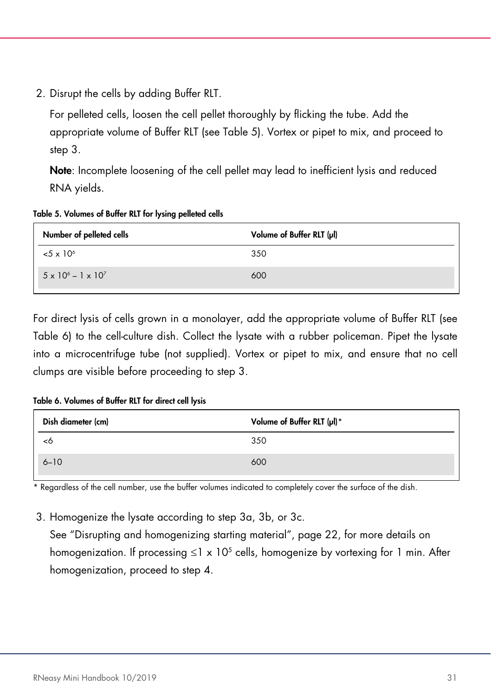2. Disrupt the cells by adding Buffer RLT.

For pelleted cells, loosen the cell pellet thoroughly by flicking the tube. Add the appropriate volume of Buffer RLT (see [Table 5\)](#page-30-1). Vortex or pipet to mix, and proceed to step 3.

Note: Incomplete loosening of the cell pellet may lead to inefficient lysis and reduced RNA yields.

<span id="page-30-1"></span>

| Table 5. Volumes of Buffer RLT for lysing pelleted cells |  |  |  |  |  |  |
|----------------------------------------------------------|--|--|--|--|--|--|
|----------------------------------------------------------|--|--|--|--|--|--|

| Number of pelleted cells            | Volume of Buffer RLT (µl) |
|-------------------------------------|---------------------------|
| $5 \times 10^{6}$                   | 350                       |
| $5 \times 10^{6} - 1 \times 10^{7}$ | 600                       |

For direct lysis of cells grown in a monolayer, add the appropriate volume of Buffer RLT (see [Table 6\)](#page-30-2) to the cell-culture dish. Collect the lysate with a rubber policeman. Pipet the lysate into a microcentrifuge tube (not supplied). Vortex or pipet to mix, and ensure that no cell clumps are visible before proceeding to step 3.

<span id="page-30-2"></span>Table 6. Volumes of Buffer RLT for direct cell lysis

| Dish diameter (cm) | Volume of Buffer RLT (µl)* |
|--------------------|----------------------------|
|                    | 350                        |
| $6 - 10$           | 600                        |

\* Regardless of the cell number, use the buffer volumes indicated to completely cover the surface of the dish.

<span id="page-30-0"></span>3. Homogenize the lysate according to step 3a, 3b, or 3c.

See "Disrupting and homogenizing starting material", page [22,](#page-21-0) for more details on homogenization. If processing  $\leq 1 \times 10^5$  cells, homogenize by vortexing for 1 min. After homogenization, proceed to step 4.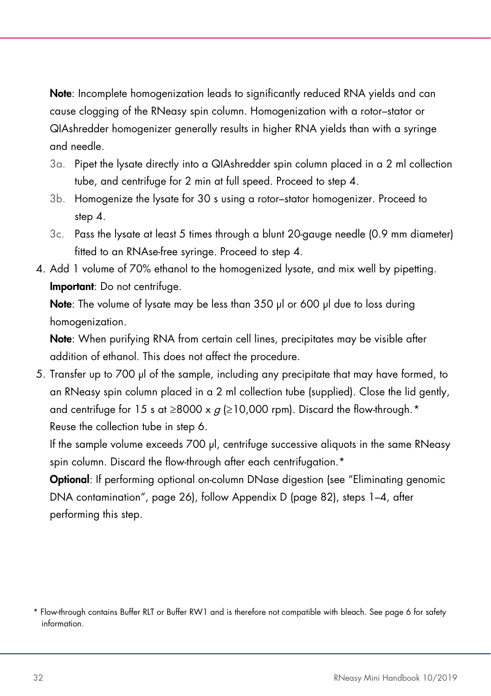Note: Incomplete homogenization leads to significantly reduced RNA yields and can cause clogging of the RNeasy spin column. Homogenization with a rotor–stator or QIAshredder homogenizer generally results in higher RNA yields than with a syringe and needle.

- 3a. Pipet the lysate directly into a QIAshredder spin column placed in a 2 ml collection tube, and centrifuge for 2 min at full speed. Proceed to step 4.
- 3b. Homogenize the lysate for 30 s using a rotor–stator homogenizer. Proceed to step 4.
- 3c. Pass the lysate at least 5 times through a blunt 20-gauge needle (0.9 mm diameter) fitted to an RNAse-free syringe. Proceed to step 4.
- <span id="page-31-0"></span>4. Add 1 volume of 70% ethanol to the homogenized lysate, and mix well by pipetting. Important: Do not centrifuge.

Note: The volume of lysate may be less than 350 µl or 600 µl due to loss during homogenization.

Note: When purifying RNA from certain cell lines, precipitates may be visible after addition of ethanol. This does not affect the procedure.

5. Transfer up to 700 µl of the sample, including any precipitate that may have formed, to an RNeasy spin column placed in a 2 ml collection tube (supplied). Close the lid gently, and centrifuge for 15 s at  $\geq$ 8000 x  $q$  ( $\geq$ 10,000 rpm). Discard the flow-through.<sup>[\\*](#page-31-1)</sup> Reuse the collection tube in step 6.

If the sample volume exceeds 700 µl, centrifuge successive aliquots in the same RNeasy spin column. Discard the flow-through after each centrifugation.<sup>\*</sup>

Optional: If performing optional on-column DNase digestion (see "Eliminating genomic DNA contamination", page [26\)](#page-24-0), follow Appendix D (page [82\)](#page-81-0), steps 1–4, after performing this step.

<span id="page-31-1"></span><sup>\*</sup> Flow-through contains Buffer RLT or Buffer RW1 and is therefore not compatible with bleach. See pag[e 6](#page-6-0) for safety information.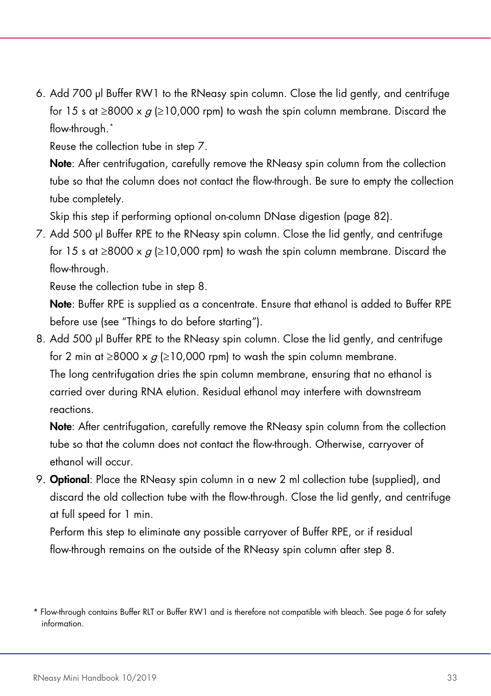6. Add 700 µl Buffer RW1 to the RNeasy spin column. Close the lid gently, and centrifuge for 15 s at ≥8000 x  $q$  (≥10,000 rpm) to wash the spin column membrane. Discard the flow-through.[\\*](#page-32-0)

Reuse the collection tube in step 7.

Note: After centrifugation, carefully remove the RNeasy spin column from the collection tube so that the column does not contact the flow-through. Be sure to empty the collection tube completely.

Skip this step if performing optional on-column DNase digestion (page [82\)](#page-81-0).

7. Add 500 µl Buffer RPE to the RNeasy spin column. Close the lid gently, and centrifuge for 15 s at ≥8000 x  $q \ge 10,000$  rpm) to wash the spin column membrane. Discard the flow-through.

Reuse the collection tube in step 8.

Note: Buffer RPE is supplied as a concentrate. Ensure that ethanol is added to Buffer RPE before use (see "Things to do before starting").

8. Add 500 µl Buffer RPE to the RNeasy spin column. Close the lid gently, and centrifuge for 2 min at  $\geq$ 8000 x  $q \geq$ 10,000 rpm) to wash the spin column membrane. The long centrifugation dries the spin column membrane, ensuring that no ethanol is carried over during RNA elution. Residual ethanol may interfere with downstream reactions.

Note: After centrifugation, carefully remove the RNeasy spin column from the collection tube so that the column does not contact the flow-through. Otherwise, carryover of ethanol will occur.

9. Optional: Place the RNeasy spin column in a new 2 ml collection tube (supplied), and discard the old collection tube with the flow-through. Close the lid gently, and centrifuge at full speed for 1 min.

Perform this step to eliminate any possible carryover of Buffer RPE, or if residual flow-through remains on the outside of the RNeasy spin column after step 8.

<span id="page-32-0"></span><sup>\*</sup> Flow-through contains Buffer RLT or Buffer RW1 and is therefore not compatible with bleach. See pag[e 6](#page-6-0) for safety information.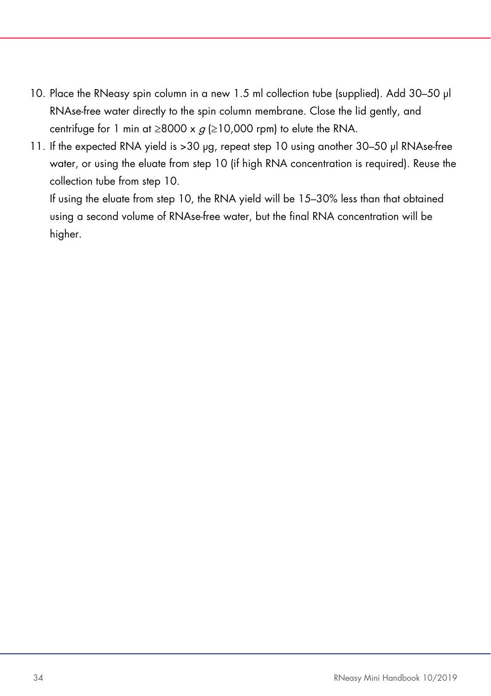- 10. Place the RNeasy spin column in a new 1.5 ml collection tube (supplied). Add 30-50 µl RNAse-free water directly to the spin column membrane. Close the lid gently, and centrifuge for 1 min at  $\geq$ 8000 x  $q$  ( $\geq$ 10,000 rpm) to elute the RNA.
- 11. If the expected RNA yield is >30 µg, repeat step 10 using another 30–50 µl RNAse-free water, or using the eluate from step 10 (if high RNA concentration is required). Reuse the collection tube from step 10.

If using the eluate from step 10, the RNA yield will be 15–30% less than that obtained using a second volume of RNAse-free water, but the final RNA concentration will be higher.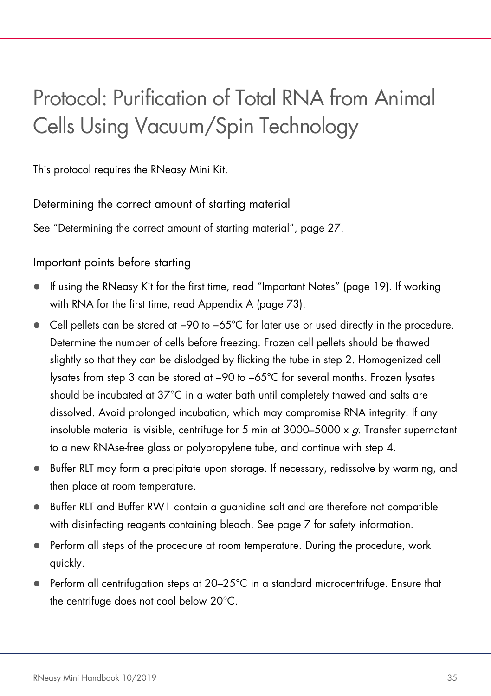# <span id="page-34-0"></span>Protocol: Purification of Total RNA from Animal Cells Using Vacuum/Spin Technology

This protocol requires the RNeasy Mini Kit.

Determining the correct amount of starting material

See "Determining the correct amount of starting material", page [27.](#page-26-1)

Important points before starting

- If using the RNeasy Kit for the first time, read "Important Notes" (page [19\)](#page-18-0). If working with RNA for the first time, read Appendix A (page [73\)](#page-72-0).
- Cell pellets can be stored at −90 to −65°C for later use or used directly in the procedure. Determine the number of cells before freezing. Frozen cell pellets should be thawed slightly so that they can be dislodged by flicking the tube in step 2. Homogenized cell lysates from step 3 can be stored at −90 to −65°C for several months. Frozen lysates should be incubated at 37°C in a water bath until completely thawed and salts are dissolved. Avoid prolonged incubation, which may compromise RNA integrity. If any insoluble material is visible, centrifuge for 5 min at  $3000-5000 \times q$ . Transfer supernatant to a new RNAse-free glass or polypropylene tube, and continue with step 4.
- Buffer RLT may form a precipitate upon storage. If necessary, redissolve by warming, and then place at room temperature.
- Buffer RLT and Buffer RW1 contain a guanidine salt and are therefore not compatible with disinfecting reagents containing bleach. See page [7](#page-6-0) for safety information.
- Perform all steps of the procedure at room temperature. During the procedure, work quickly.
- Perform all centrifugation steps at 20–25°C in a standard microcentrifuge. Ensure that the centrifuge does not cool below 20°C.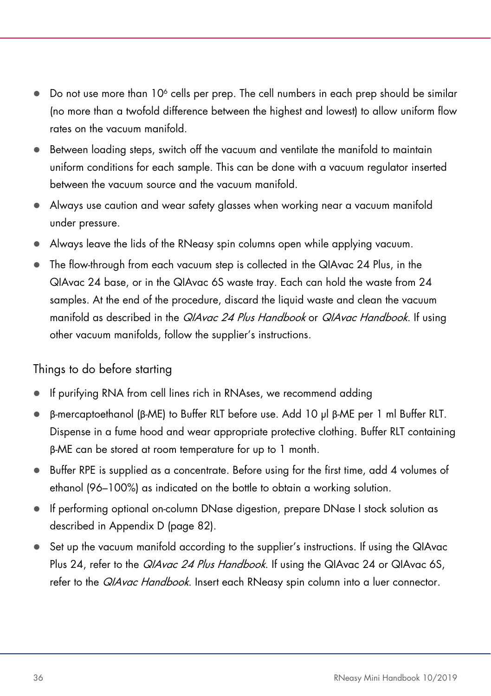- $\bullet$  Do not use more than 10<sup>6</sup> cells per prep. The cell numbers in each prep should be similar (no more than a twofold difference between the highest and lowest) to allow uniform flow rates on the vacuum manifold.
- Between loading steps, switch off the vacuum and ventilate the manifold to maintain uniform conditions for each sample. This can be done with a vacuum regulator inserted between the vacuum source and the vacuum manifold.
- Always use caution and wear safety glasses when working near a vacuum manifold under pressure.
- Always leave the lids of the RNeasy spin columns open while applying vacuum.
- The flow-through from each vacuum step is collected in the QIAvac 24 Plus, in the QIAvac 24 base, or in the QIAvac 6S waste tray. Each can hold the waste from 24 samples. At the end of the procedure, discard the liquid waste and clean the vacuum manifold as described in the *QIAvac 24 Plus Handbook* or *QIAvac Handbook*. If using other vacuum manifolds, follow the supplier's instructions.

### Things to do before starting

- If purifying RNA from cell lines rich in RNAses, we recommend adding
- β-mercaptoethanol (β-ME) to Buffer RLT before use. Add 10 µl β-ME per 1 ml Buffer RLT. Dispense in a fume hood and wear appropriate protective clothing. Buffer RLT containing β-ME can be stored at room temperature for up to 1 month.
- Buffer RPE is supplied as a concentrate. Before using for the first time, add 4 volumes of ethanol (96–100%) as indicated on the bottle to obtain a working solution.
- If performing optional on-column DNase digestion, prepare DNase I stock solution as described in Appendix D (page [82\)](#page-81-0).
- Set up the vacuum manifold according to the supplier's instructions. If using the QIAvac Plus 24, refer to the *QIAvac 24 Plus Handbook*. If using the QIAvac 24 or QIAvac 6S, refer to the *QIAvac Handbook*. Insert each RNeasy spin column into a luer connector.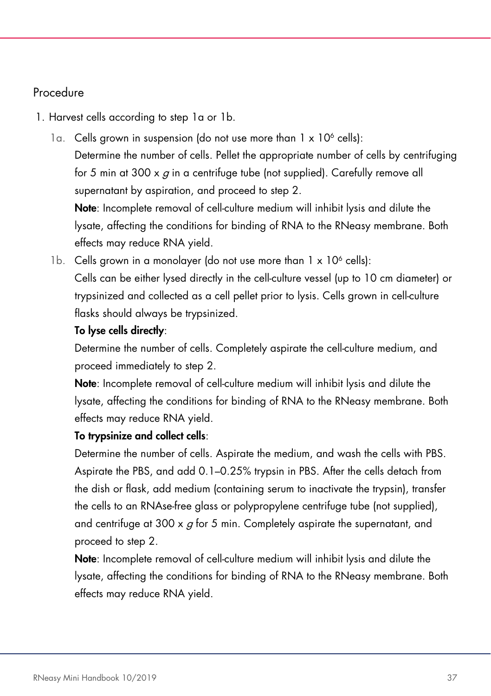## Procedure

- 1. Harvest cells according to step 1a or 1b.
	- 1a. Cells grown in suspension (do not use more than  $1 \times 10^6$  cells): Determine the number of cells. Pellet the appropriate number of cells by centrifuging for 5 min at 300  $\times$  g in a centrifuge tube (not supplied). Carefully remove all supernatant by aspiration, and proceed to step 2.

Note: Incomplete removal of cell-culture medium will inhibit lysis and dilute the lysate, affecting the conditions for binding of RNA to the RNeasy membrane. Both effects may reduce RNA yield.

1b. Cells grown in a monolayer (do not use more than  $1 \times 10^6$  cells): Cells can be either lysed directly in the cell-culture vessel (up to 10 cm diameter) or trypsinized and collected as a cell pellet prior to lysis. Cells grown in cell-culture flasks should always be trypsinized.

## To lyse cells directly:

Determine the number of cells. Completely aspirate the cell-culture medium, and proceed immediately to step 2.

Note: Incomplete removal of cell-culture medium will inhibit lysis and dilute the lysate, affecting the conditions for binding of RNA to the RNeasy membrane. Both effects may reduce RNA yield.

## To trypsinize and collect cells:

Determine the number of cells. Aspirate the medium, and wash the cells with PBS. Aspirate the PBS, and add 0.1–0.25% trypsin in PBS. After the cells detach from the dish or flask, add medium (containing serum to inactivate the trypsin), transfer the cells to an RNAse-free glass or polypropylene centrifuge tube (not supplied), and centrifuge at 300  $\times$  g for 5 min. Completely aspirate the supernatant, and proceed to step 2.

Note: Incomplete removal of cell-culture medium will inhibit lysis and dilute the lysate, affecting the conditions for binding of RNA to the RNeasy membrane. Both effects may reduce RNA yield.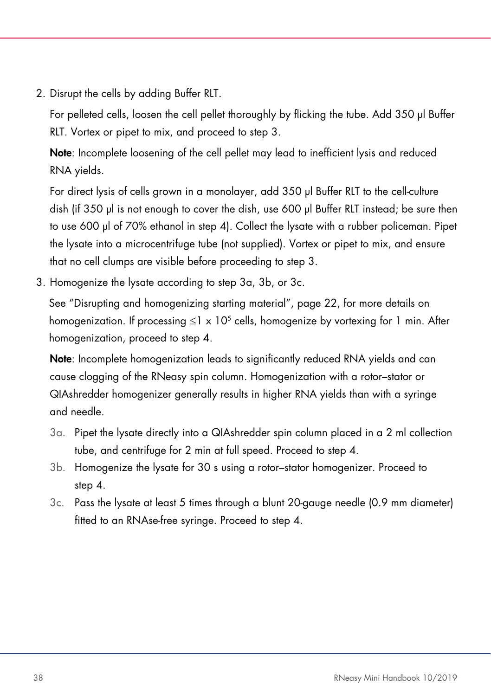2. Disrupt the cells by adding Buffer RLT.

For pelleted cells, loosen the cell pellet thoroughly by flicking the tube. Add 350 µl Buffer RLT. Vortex or pipet to mix, and proceed to step 3.

Note: Incomplete loosening of the cell pellet may lead to inefficient lysis and reduced RNA yields.

For direct lysis of cells grown in a monolayer, add 350 µl Buffer RLT to the cell-culture dish (if 350 ul is not enough to cover the dish, use 600 ul Buffer RLT instead; be sure then to use 600 µl of 70% ethanol in step 4). Collect the lysate with a rubber policeman. Pipet the lysate into a microcentrifuge tube (not supplied). Vortex or pipet to mix, and ensure that no cell clumps are visible before proceeding to step 3.

3. Homogenize the lysate according to step 3a, 3b, or 3c.

See "Disrupting and homogenizing starting material", page [22,](#page-21-0) for more details on homogenization. If processing  $\leq 1 \times 10^5$  cells, homogenize by vortexing for 1 min. After homogenization, proceed to step 4.

Note: Incomplete homogenization leads to significantly reduced RNA yields and can cause clogging of the RNeasy spin column. Homogenization with a rotor–stator or QIAshredder homogenizer generally results in higher RNA yields than with a syringe and needle.

- 3a. Pipet the lysate directly into a QIAshredder spin column placed in a 2 ml collection tube, and centrifuge for 2 min at full speed. Proceed to step 4.
- 3b. Homogenize the lysate for 30 s using a rotor–stator homogenizer. Proceed to step 4.
- 3c. Pass the lysate at least 5 times through a blunt 20-gauge needle (0.9 mm diameter) fitted to an RNAse-free syringe. Proceed to step 4.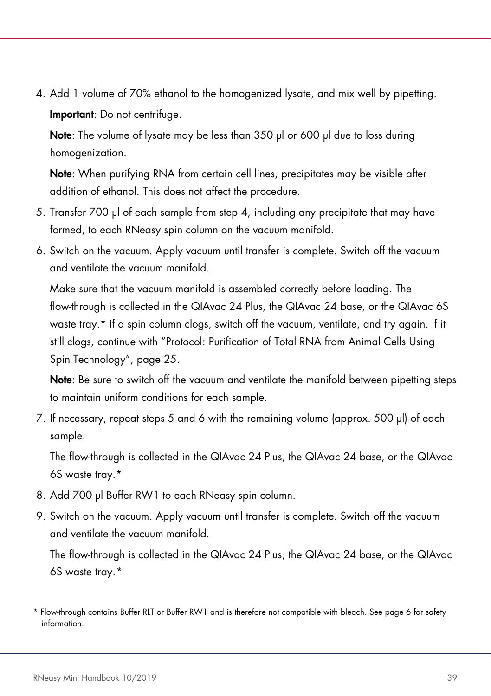4. Add 1 volume of 70% ethanol to the homogenized lysate, and mix well by pipetting. Important: Do not centrifuge.

Note: The volume of lysate may be less than 350 µl or 600 µl due to loss during homogenization.

Note: When purifying RNA from certain cell lines, precipitates may be visible after addition of ethanol. This does not affect the procedure.

- 5. Transfer 700 µl of each sample from step 4, including any precipitate that may have formed, to each RNeasy spin column on the vacuum manifold.
- 6. Switch on the vacuum. Apply vacuum until transfer is complete. Switch off the vacuum and ventilate the vacuum manifold.

Make sure that the vacuum manifold is assembled correctly before loading. The flow-through is collected in the QIAvac 24 Plus, the QIAvac 24 base, or the QIAvac 6S waste tray.\* If a spin column clogs, switch off the vacuum, ventilate, and try again. If it still clogs, continue with "Protocol: Purification of Total RNA from Animal Cells Using Spin Technology", page 25.

Note: Be sure to switch off the vacuum and ventilate the manifold between pipetting steps to maintain uniform conditions for each sample.

7. If necessary, repeat steps 5 and 6 with the remaining volume (approx. 500 µl) of each sample.

The flow-through is collected in the QIAvac 24 Plus, the QIAvac 24 base, or the QIAvac 6S waste tray.\*

- 8. Add 700 µl Buffer RW1 to each RNeasy spin column.
- 9. Switch on the vacuum. Apply vacuum until transfer is complete. Switch off the vacuum and ventilate the vacuum manifold.

The flow-through is collected in the QIAvac 24 Plus, the QIAvac 24 base, or the QIAvac 6S waste tray.[\\*](#page-38-0)

<span id="page-38-0"></span><sup>\*</sup> Flow-through contains Buffer RLT or Buffer RW1 and is therefore not compatible with bleach. See pag[e 6](#page-6-0) for safety information.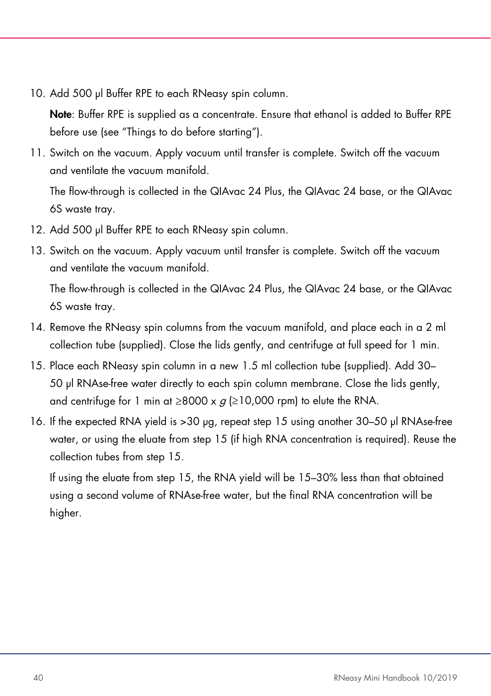10. Add 500 µl Buffer RPE to each RNeasy spin column.

Note: Buffer RPE is supplied as a concentrate. Ensure that ethanol is added to Buffer RPE before use (see "Things to do before starting").

11. Switch on the vacuum. Apply vacuum until transfer is complete. Switch off the vacuum and ventilate the vacuum manifold.

The flow-through is collected in the QIAvac 24 Plus, the QIAvac 24 base, or the QIAvac 6S waste tray.

- 12. Add 500 µl Buffer RPE to each RNeasy spin column.
- 13. Switch on the vacuum. Apply vacuum until transfer is complete. Switch off the vacuum and ventilate the vacuum manifold.

The flow-through is collected in the QIAvac 24 Plus, the QIAvac 24 base, or the QIAvac 6S waste tray.

- 14. Remove the RNeasy spin columns from the vacuum manifold, and place each in a 2 ml collection tube (supplied). Close the lids gently, and centrifuge at full speed for 1 min.
- 15. Place each RNeasy spin column in a new 1.5 ml collection tube (supplied). Add 30– 50 µl RNAse-free water directly to each spin column membrane. Close the lids gently, and centrifuge for 1 min at  $\geq$ 8000 x  $q$  ( $\geq$ 10,000 rpm) to elute the RNA.
- 16. If the expected RNA yield is >30 µg, repeat step 15 using another 30–50 µl RNAse-free water, or using the eluate from step 15 (if high RNA concentration is required). Reuse the collection tubes from step 15.

If using the eluate from step 15, the RNA yield will be 15–30% less than that obtained using a second volume of RNAse-free water, but the final RNA concentration will be higher.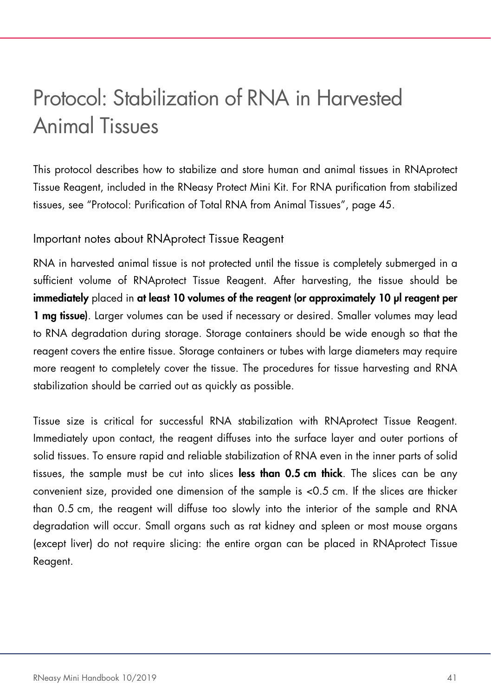## <span id="page-40-1"></span>Protocol: Stabilization of RNA in Harvested Animal Tissues

This protocol describes how to stabilize and store human and animal tissues in RNAprotect Tissue Reagent, included in the RNeasy Protect Mini Kit. For RNA purification from stabilized tissues, see "Protocol: Purification of Total RNA from Animal Tissues", page [45.](#page-44-0)

### <span id="page-40-0"></span>Important notes about RNAprotect Tissue Reagent

RNA in harvested animal tissue is not protected until the tissue is completely submerged in a sufficient volume of RNAprotect Tissue Reagent. After harvesting, the tissue should be immediately placed in at least 10 volumes of the reagent (or approximately 10 µl reagent per 1 mg tissue). Larger volumes can be used if necessary or desired. Smaller volumes may lead to RNA degradation during storage. Storage containers should be wide enough so that the reagent covers the entire tissue. Storage containers or tubes with large diameters may require more reagent to completely cover the tissue. The procedures for tissue harvesting and RNA stabilization should be carried out as quickly as possible.

Tissue size is critical for successful RNA stabilization with RNAprotect Tissue Reagent. Immediately upon contact, the reagent diffuses into the surface layer and outer portions of solid tissues. To ensure rapid and reliable stabilization of RNA even in the inner parts of solid tissues, the sample must be cut into slices less than 0.5 cm thick. The slices can be any convenient size, provided one dimension of the sample is <0.5 cm. If the slices are thicker than 0.5 cm, the reagent will diffuse too slowly into the interior of the sample and RNA degradation will occur. Small organs such as rat kidney and spleen or most mouse organs (except liver) do not require slicing: the entire organ can be placed in RNAprotect Tissue Reagent.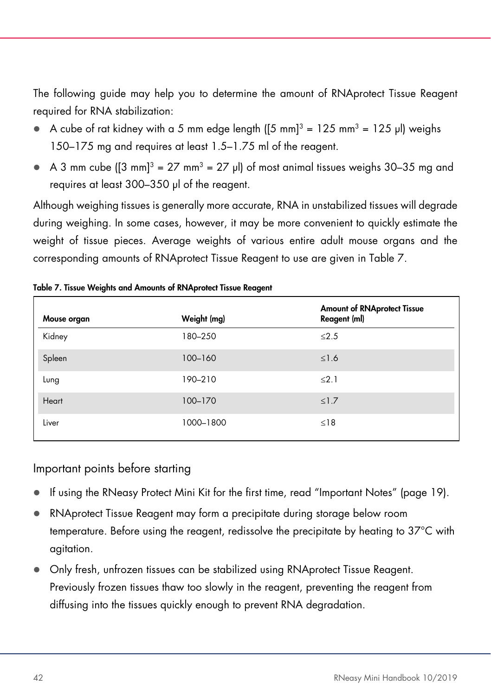The following guide may help you to determine the amount of RNAprotect Tissue Reagent required for RNA stabilization:

- $\bullet$  A cube of rat kidney with a 5 mm edge length ([5 mm]<sup>3</sup> = 125 mm<sup>3</sup> = 125 µl) weighs 150–175 mg and requires at least 1.5–1.75 ml of the reagent.
- $\bullet$  A 3 mm cube ([3 mm]<sup>3</sup> = 27 mm<sup>3</sup> = 27 µl) of most animal tissues weighs 30–35 mg and requires at least 300–350 µl of the reagent.

Although weighing tissues is generally more accurate, RNA in unstabilized tissues will degrade during weighing. In some cases, however, it may be more convenient to quickly estimate the weight of tissue pieces. Average weights of various entire adult mouse organs and the corresponding amounts of RNAprotect Tissue Reagent to use are given in [Table 7.](#page-41-0)

| Mouse organ | Weight (mg) | <b>Amount of RNAprotect Tissue</b><br>Reagent (ml) |
|-------------|-------------|----------------------------------------------------|
| Kidney      | 180-250     | $\leq 2.5$                                         |
| Spleen      | $100 - 160$ | $\leq$ 1.6                                         |
| Lung        | 190-210     | $\leq$ 2.1                                         |
| Heart       | 100-170     | $\leq$ 1.7                                         |
| Liver       | 1000-1800   | $\leq$ 18                                          |

#### <span id="page-41-0"></span>Table 7. Tissue Weights and Amounts of RNAprotect Tissue Reagent

#### Important points before starting

- If using the RNeasy Protect Mini Kit for the first time, read "Important Notes" (page [19\)](#page-18-0).
- RNAprotect Tissue Reagent may form a precipitate during storage below room temperature. Before using the reagent, redissolve the precipitate by heating to 37°C with agitation.
- Only fresh, unfrozen tissues can be stabilized using RNAprotect Tissue Reagent. Previously frozen tissues thaw too slowly in the reagent, preventing the reagent from diffusing into the tissues quickly enough to prevent RNA degradation.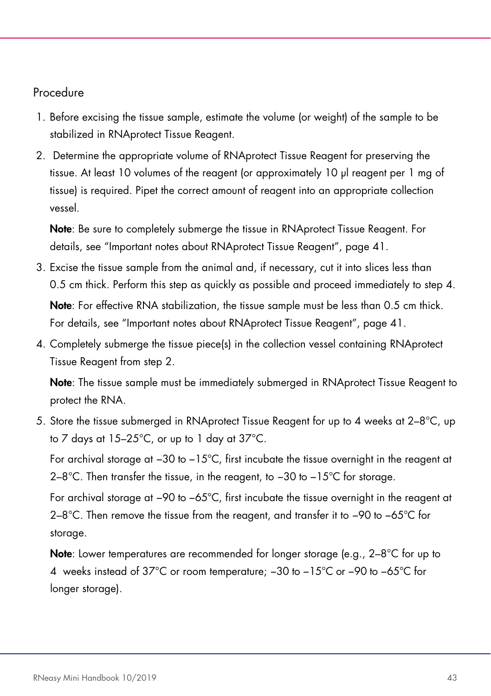#### Procedure

- 1. Before excising the tissue sample, estimate the volume (or weight) of the sample to be stabilized in RNAprotect Tissue Reagent.
- 2. Determine the appropriate volume of RNAprotect Tissue Reagent for preserving the tissue. At least 10 volumes of the reagent (or approximately 10 µl reagent per 1 mg of tissue) is required. Pipet the correct amount of reagent into an appropriate collection vessel.

Note: Be sure to completely submerge the tissue in RNAprotect Tissue Reagent. For details, see "Important notes about RNAprotect Tissue Reagent", page [41.](#page-40-0)

- 3. Excise the tissue sample from the animal and, if necessary, cut it into slices less than 0.5 cm thick. Perform this step as quickly as possible and proceed immediately to step 4. Note: For effective RNA stabilization, the tissue sample must be less than 0.5 cm thick. For details, see "Important notes about RNAprotect Tissue Reagent", pag[e 41.](#page-40-0)
- 4. Completely submerge the tissue piece(s) in the collection vessel containing RNAprotect Tissue Reagent from step 2.

Note: The tissue sample must be immediately submerged in RNAprotect Tissue Reagent to protect the RNA.

5. Store the tissue submerged in RNAprotect Tissue Reagent for up to 4 weeks at 2–8°C, up to 7 days at 15–25°C, or up to 1 day at 37°C.

For archival storage at −30 to −15°C, first incubate the tissue overnight in the reagent at 2–8°C. Then transfer the tissue, in the reagent, to −30 to −15°C for storage.

For archival storage at −90 to −65°C, first incubate the tissue overnight in the reagent at 2–8°C. Then remove the tissue from the reagent, and transfer it to −90 to −65°C for storage.

Note: Lower temperatures are recommended for longer storage (e.g., 2-8°C for up to 4 weeks instead of 37°C or room temperature; −30 to −15°C or −90 to −65°C for longer storage).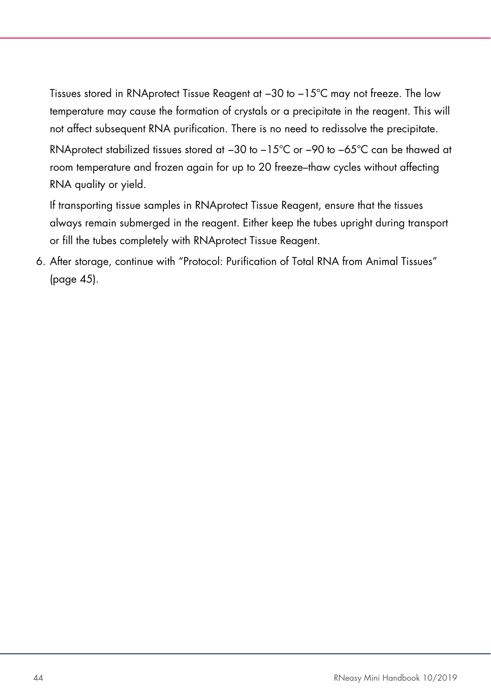Tissues stored in RNAprotect Tissue Reagent at −30 to −15°C may not freeze. The low temperature may cause the formation of crystals or a precipitate in the reagent. This will not affect subsequent RNA purification. There is no need to redissolve the precipitate. RNAprotect stabilized tissues stored at −30 to −15°C or −90 to −65°C can be thawed at room temperature and frozen again for up to 20 freeze–thaw cycles without affecting RNA quality or yield.

If transporting tissue samples in RNAprotect Tissue Reagent, ensure that the tissues always remain submerged in the reagent. Either keep the tubes upright during transport or fill the tubes completely with RNAprotect Tissue Reagent.

6. After storage, continue with "Protocol: Purification of Total RNA from Animal Tissues" (page [45\).](#page-44-0)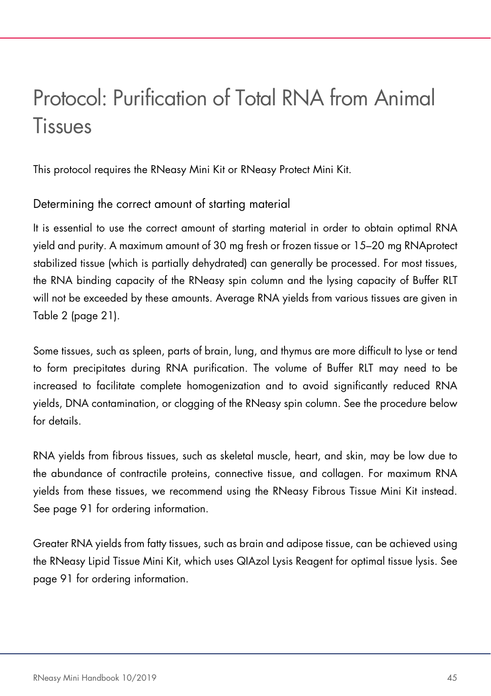# <span id="page-44-0"></span>Protocol: Purification of Total RNA from Animal **Tissues**

This protocol requires the RNeasy Mini Kit or RNeasy Protect Mini Kit.

## Determining the correct amount of starting material

It is essential to use the correct amount of starting material in order to obtain optimal RNA yield and purity. A maximum amount of 30 mg fresh or frozen tissue or 15–20 mg RNAprotect stabilized tissue (which is partially dehydrated) can generally be processed. For most tissues, the RNA binding capacity of the RNeasy spin column and the lysing capacity of Buffer RLT will not be exceeded by these amounts. Average RNA yields from various tissues are given in [Table 2](#page-19-0) (page [21\)](#page-19-0).

Some tissues, such as spleen, parts of brain, lung, and thymus are more difficult to lyse or tend to form precipitates during RNA purification. The volume of Buffer RLT may need to be increased to facilitate complete homogenization and to avoid significantly reduced RNA yields, DNA contamination, or clogging of the RNeasy spin column. See the procedure below for details.

RNA yields from fibrous tissues, such as skeletal muscle, heart, and skin, may be low due to the abundance of contractile proteins, connective tissue, and collagen. For maximum RNA yields from these tissues, we recommend using the RNeasy Fibrous Tissue Mini Kit instead. See page [91](#page-90-0) for ordering information.

Greater RNA yields from fatty tissues, such as brain and adipose tissue, can be achieved using the RNeasy Lipid Tissue Mini Kit, which uses QIAzol Lysis Reagent for optimal tissue lysis. See page [91](#page-90-0) for ordering information.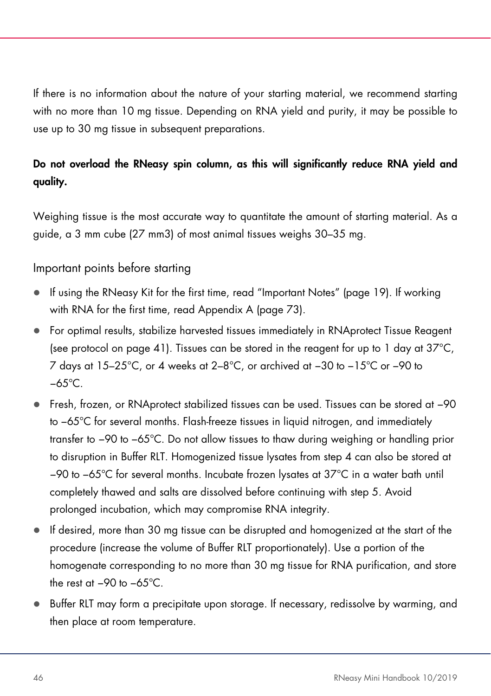If there is no information about the nature of your starting material, we recommend starting with no more than 10 mg tissue. Depending on RNA yield and purity, it may be possible to use up to 30 mg tissue in subsequent preparations.

## Do not overload the RNeasy spin column, as this will significantly reduce RNA yield and quality.

Weighing tissue is the most accurate way to quantitate the amount of starting material. As a guide, a 3 mm cube (27 mm3) of most animal tissues weighs 30–35 mg.

## Important points before starting

- If using the RNeasy Kit for the first time, read "Important Notes" (page [19\)](#page-18-0). If working with RNA for the first time, read Appendix A (page [73\)](#page-72-0).
- For optimal results, stabilize harvested tissues immediately in RNAprotect Tissue Reagent (see protocol on page [41\)](#page-40-1). Tissues can be stored in the reagent for up to 1 day at  $37^{\circ}$ C, 7 days at 15–25°C, or 4 weeks at 2–8°C, or archived at −30 to −15°C or −90 to −65°C.
- Fresh, frozen, or RNAprotect stabilized tissues can be used. Tissues can be stored at −90 to −65°C for several months. Flash-freeze tissues in liquid nitrogen, and immediately transfer to −90 to −65°C. Do not allow tissues to thaw during weighing or handling prior to disruption in Buffer RLT. Homogenized tissue lysates from step 4 can also be stored at −90 to −65°C for several months. Incubate frozen lysates at 37°C in a water bath until completely thawed and salts are dissolved before continuing with step 5. Avoid prolonged incubation, which may compromise RNA integrity.
- If desired, more than 30 mg tissue can be disrupted and homogenized at the start of the procedure (increase the volume of Buffer RLT proportionately). Use a portion of the homogenate corresponding to no more than 30 mg tissue for RNA purification, and store the rest at −90 to −65°C.
- Buffer RLT may form a precipitate upon storage. If necessary, redissolve by warming, and then place at room temperature.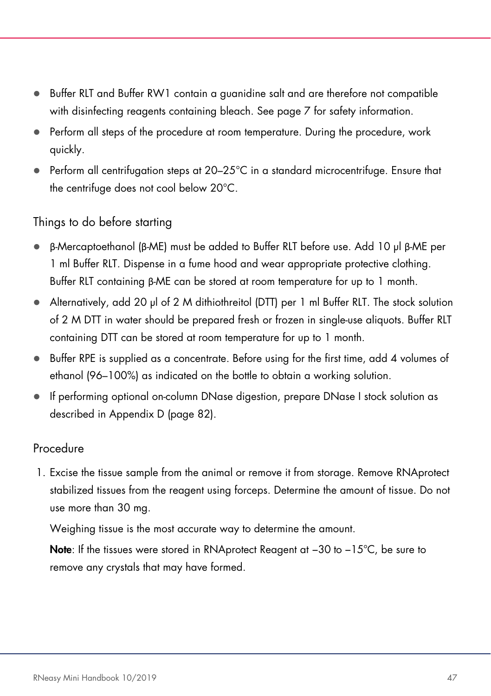- Buffer RLT and Buffer RW1 contain a guanidine salt and are therefore not compatible with disinfecting reagents containing bleach. See page [7](#page-6-0) for safety information.
- Perform all steps of the procedure at room temperature. During the procedure, work quickly.
- Perform all centrifugation steps at 20–25°C in a standard microcentrifuge. Ensure that the centrifuge does not cool below 20°C.

### Things to do before starting

- β-Mercaptoethanol (β-ME) must be added to Buffer RLT before use. Add 10 µl β-ME per 1 ml Buffer RLT. Dispense in a fume hood and wear appropriate protective clothing. Buffer RLT containing β-ME can be stored at room temperature for up to 1 month.
- Alternatively, add 20 µl of 2 M dithiothreitol (DTT) per 1 ml Buffer RLT. The stock solution of 2 M DTT in water should be prepared fresh or frozen in single-use aliquots. Buffer RLT containing DTT can be stored at room temperature for up to 1 month.
- Buffer RPE is supplied as a concentrate. Before using for the first time, add 4 volumes of ethanol (96–100%) as indicated on the bottle to obtain a working solution.
- If performing optional on-column DNase digestion, prepare DNase I stock solution as described in Appendix D (page [82\)](#page-81-0).

#### Procedure

1. Excise the tissue sample from the animal or remove it from storage. Remove RNAprotect stabilized tissues from the reagent using forceps. Determine the amount of tissue. Do not use more than 30 mg.

Weighing tissue is the most accurate way to determine the amount.

Note: If the tissues were stored in RNAprotect Reagent at -30 to -15°C, be sure to remove any crystals that may have formed.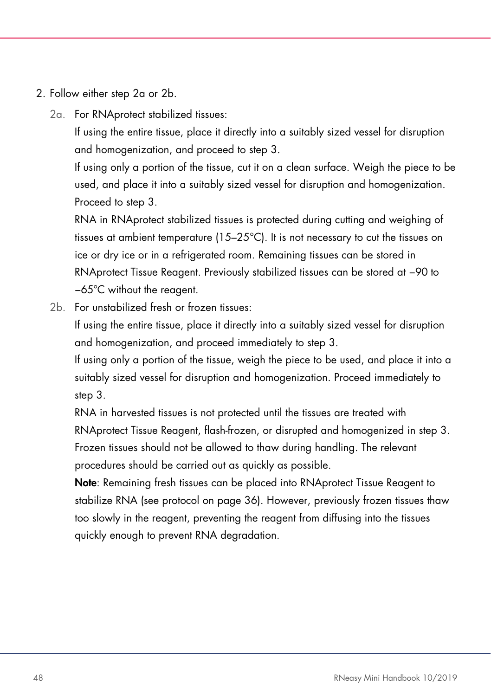- 2. Follow either step 2a or 2b.
	- 2a. For RNAprotect stabilized tissues:

If using the entire tissue, place it directly into a suitably sized vessel for disruption and homogenization, and proceed to step 3.

If using only a portion of the tissue, cut it on a clean surface. Weigh the piece to be used, and place it into a suitably sized vessel for disruption and homogenization. Proceed to step 3.

RNA in RNAprotect stabilized tissues is protected during cutting and weighing of tissues at ambient temperature (15–25°C). It is not necessary to cut the tissues on ice or dry ice or in a refrigerated room. Remaining tissues can be stored in RNAprotect Tissue Reagent. Previously stabilized tissues can be stored at −90 to −65°C without the reagent.

2b. For unstabilized fresh or frozen tissues:

If using the entire tissue, place it directly into a suitably sized vessel for disruption and homogenization, and proceed immediately to step 3.

If using only a portion of the tissue, weigh the piece to be used, and place it into a suitably sized vessel for disruption and homogenization. Proceed immediately to step 3.

RNA in harvested tissues is not protected until the tissues are treated with RNAprotect Tissue Reagent, flash-frozen, or disrupted and homogenized in step 3. Frozen tissues should not be allowed to thaw during handling. The relevant procedures should be carried out as quickly as possible.

Note: Remaining fresh tissues can be placed into RNAprotect Tissue Reagent to stabilize RNA (see protocol on page 36). However, previously frozen tissues thaw too slowly in the reagent, preventing the reagent from diffusing into the tissues quickly enough to prevent RNA degradation.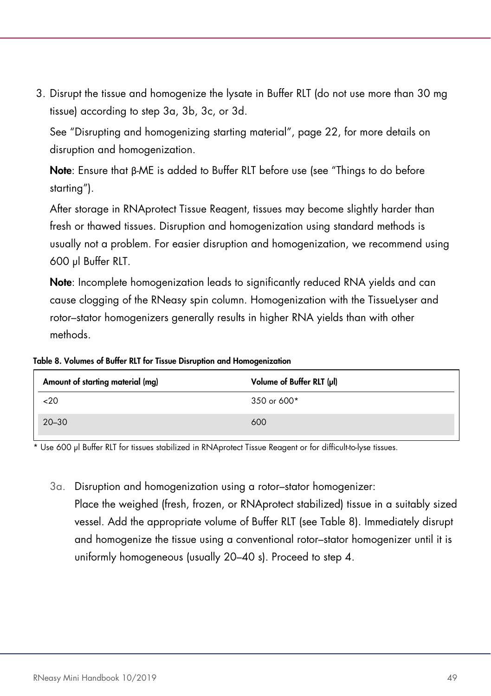3. Disrupt the tissue and homogenize the lysate in Buffer RLT (do not use more than 30 mg tissue) according to step 3a, 3b, 3c, or 3d.

See "Disrupting and homogenizing starting material", page [22,](#page-21-0) for more details on disruption and homogenization.

Note: Ensure that β-ME is added to Buffer RLT before use (see "Things to do before starting").

After storage in RNAprotect Tissue Reagent, tissues may become slightly harder than fresh or thawed tissues. Disruption and homogenization using standard methods is usually not a problem. For easier disruption and homogenization, we recommend using 600 µl Buffer RLT.

Note: Incomplete homogenization leads to significantly reduced RNA yields and can cause clogging of the RNeasy spin column. Homogenization with the TissueLyser and rotor–stator homogenizers generally results in higher RNA yields than with other methods.

<span id="page-48-0"></span>Table 8. Volumes of Buffer RLT for Tissue Disruption and Homogenization

| Amount of starting material (mg) | Volume of Buffer RLT (µl) |
|----------------------------------|---------------------------|
| 20                               | 350 or 600*               |
| $20 - 30$                        | 600                       |

\* Use 600 µl Buffer RLT for tissues stabilized in RNAprotect Tissue Reagent or for difficult-to-lyse tissues.

3a. Disruption and homogenization using a rotor–stator homogenizer: Place the weighed (fresh, frozen, or RNAprotect stabilized) tissue in a suitably sized vessel. Add the appropriate volume of Buffer RLT (see [Table 8\)](#page-48-0). Immediately disrupt and homogenize the tissue using a conventional rotor–stator homogenizer until it is uniformly homogeneous (usually 20–40 s). Proceed to step 4.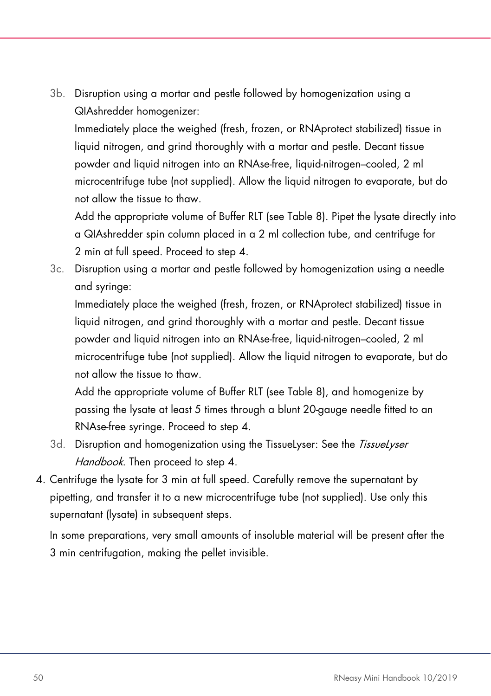3b. Disruption using a mortar and pestle followed by homogenization using a QIAshredder homogenizer:

Immediately place the weighed (fresh, frozen, or RNAprotect stabilized) tissue in liquid nitrogen, and grind thoroughly with a mortar and pestle. Decant tissue powder and liquid nitrogen into an RNAse-free, liquid-nitrogen–cooled, 2 ml microcentrifuge tube (not supplied). Allow the liquid nitrogen to evaporate, but do not allow the tissue to thaw.

Add the appropriate volume of Buffer RLT (see [Table 8\)](#page-48-0). Pipet the lysate directly into a QIAshredder spin column placed in a 2 ml collection tube, and centrifuge for 2 min at full speed. Proceed to step 4.

3c. Disruption using a mortar and pestle followed by homogenization using a needle and syringe:

Immediately place the weighed (fresh, frozen, or RNAprotect stabilized) tissue in liquid nitrogen, and grind thoroughly with a mortar and pestle. Decant tissue powder and liquid nitrogen into an RNAse-free, liquid-nitrogen–cooled, 2 ml microcentrifuge tube (not supplied). Allow the liquid nitrogen to evaporate, but do not allow the tissue to thaw.

Add the appropriate volume of Buffer RLT (see [Table 8\)](#page-48-0), and homogenize by passing the lysate at least 5 times through a blunt 20-gauge needle fitted to an RNAse-free syringe. Proceed to step 4.

- 3d. Disruption and homogenization using the TissueLyser: See the TissueLyser Handbook. Then proceed to step 4.
- 4. Centrifuge the lysate for 3 min at full speed. Carefully remove the supernatant by pipetting, and transfer it to a new microcentrifuge tube (not supplied). Use only this supernatant (lysate) in subsequent steps.

In some preparations, very small amounts of insoluble material will be present after the 3 min centrifugation, making the pellet invisible.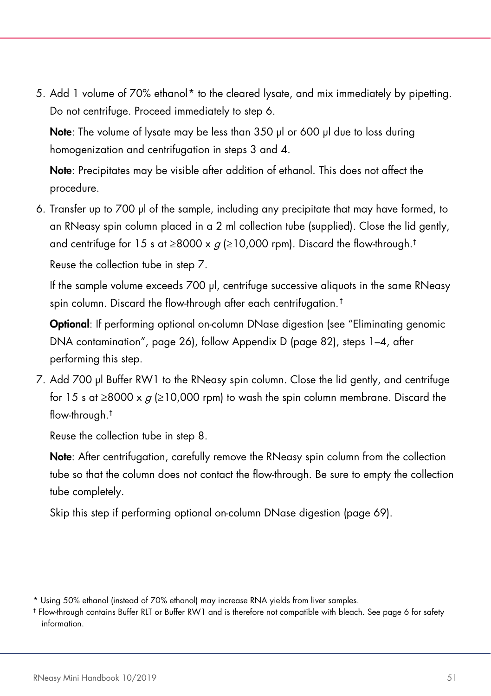5. Add 1 volume of 70% ethanol<sup>[\\*](#page-50-0)</sup> to the cleared lysate, and mix immediately by pipetting. Do not centrifuge. Proceed immediately to step 6.

Note: The volume of lysate may be less than 350 µl or 600 µl due to loss during homogenization and centrifugation in steps 3 and 4.

Note: Precipitates may be visible after addition of ethanol. This does not affect the procedure.

6. Transfer up to 700 µl of the sample, including any precipitate that may have formed, to an RNeasy spin column placed in a 2 ml collection tube (supplied). Close the lid gently, and centrifuge for 15 s at  $\geq 8000 \times a$  ( $\geq 10,000$  rpm). Discard the flow-through.<sup>†</sup>

Reuse the collection tube in step 7.

If the sample volume exceeds 700 µl, centrifuge successive aliquots in the same RNeasy spin column. Discard the flow-through after each centrifugation.[†](#page-50-1)

Optional: If performing optional on-column DNase digestion (see "Eliminating genomic DNA contamination", page [26\)](#page-24-0), follow Appendix D (page [82\)](#page-81-0), steps 1–4, after performing this step.

7. Add 700 µl Buffer RW1 to the RNeasy spin column. Close the lid gently, and centrifuge for 15 s at ≥8000 x  $q$  (≥10,000 rpm) to wash the spin column membrane. Discard the flow-through.†

Reuse the collection tube in step 8.

Note: After centrifugation, carefully remove the RNeasy spin column from the collection tube so that the column does not contact the flow-through. Be sure to empty the collection tube completely.

Skip this step if performing optional on-column DNase digestion (page 69).

<span id="page-50-0"></span><sup>\*</sup> Using 50% ethanol (instead of 70% ethanol) may increase RNA yields from liver samples.

<span id="page-50-1"></span><sup>†</sup> Flow-through contains Buffer RLT or Buffer RW1 and is therefore not compatible with bleach. See pag[e 6](#page-6-0) for safety information.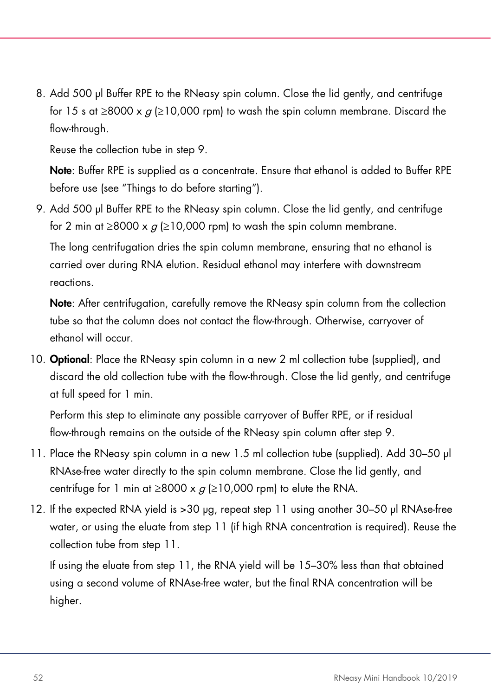8. Add 500 µl Buffer RPE to the RNeasy spin column. Close the lid gently, and centrifuge for 15 s at ≥8000 x  $g$  (≥10,000 rpm) to wash the spin column membrane. Discard the flow-through.

Reuse the collection tube in step 9.

Note: Buffer RPE is supplied as a concentrate. Ensure that ethanol is added to Buffer RPE before use (see "Things to do before starting").

9. Add 500 µl Buffer RPE to the RNeasy spin column. Close the lid gently, and centrifuge for 2 min at  $\geq$ 8000 x  $q$  ( $\geq$ 10,000 rpm) to wash the spin column membrane.

The long centrifugation dries the spin column membrane, ensuring that no ethanol is carried over during RNA elution. Residual ethanol may interfere with downstream reactions.

Note: After centrifugation, carefully remove the RNeasy spin column from the collection tube so that the column does not contact the flow-through. Otherwise, carryover of ethanol will occur.

10. **Optional:** Place the RNeasy spin column in a new 2 ml collection tube (supplied), and discard the old collection tube with the flow-through. Close the lid gently, and centrifuge at full speed for 1 min.

Perform this step to eliminate any possible carryover of Buffer RPE, or if residual flow-through remains on the outside of the RNeasy spin column after step 9.

- 11. Place the RNeasy spin column in a new 1.5 ml collection tube (supplied). Add 30–50 µl RNAse-free water directly to the spin column membrane. Close the lid gently, and centrifuge for 1 min at  $\geq$ 8000 x  $q$  ( $\geq$ 10,000 rpm) to elute the RNA.
- 12. If the expected RNA yield is >30 µg, repeat step 11 using another 30–50 µl RNAse-free water, or using the eluate from step 11 (if high RNA concentration is required). Reuse the collection tube from step 11.

If using the eluate from step 11, the RNA yield will be 15–30% less than that obtained using a second volume of RNAse-free water, but the final RNA concentration will be higher.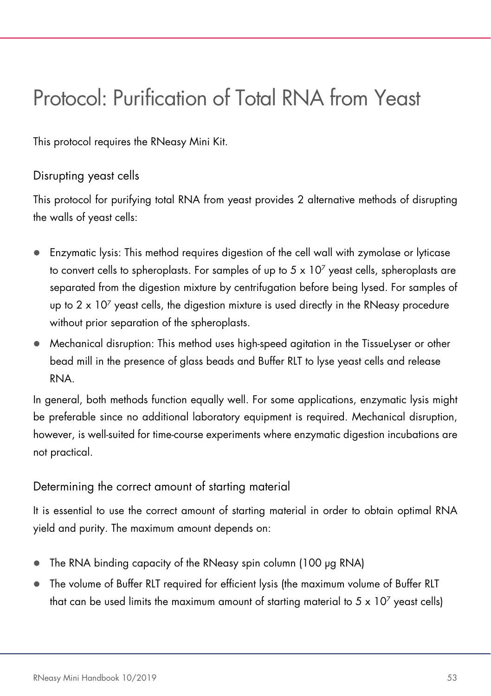## Protocol: Purification of Total RNA from Yeast

This protocol requires the RNeasy Mini Kit.

## Disrupting yeast cells

This protocol for purifying total RNA from yeast provides 2 alternative methods of disrupting the walls of yeast cells:

- Enzymatic lysis: This method requires digestion of the cell wall with zymolase or lyticase to convert cells to spheroplasts. For samples of up to  $5 \times 10^7$  yeast cells, spheroplasts are separated from the digestion mixture by centrifugation before being lysed. For samples of up to  $2 \times 10^7$  yeast cells, the digestion mixture is used directly in the RNeasy procedure without prior separation of the spheroplasts.
- Mechanical disruption: This method uses high-speed agitation in the TissueLyser or other bead mill in the presence of glass beads and Buffer RLT to lyse yeast cells and release RNA.

In general, both methods function equally well. For some applications, enzymatic lysis might be preferable since no additional laboratory equipment is required. Mechanical disruption, however, is well-suited for time-course experiments where enzymatic digestion incubations are not practical.

## Determining the correct amount of starting material

It is essential to use the correct amount of starting material in order to obtain optimal RNA yield and purity. The maximum amount depends on:

- The RNA binding capacity of the RNeasy spin column (100 µg RNA)
- The volume of Buffer RLT required for efficient lysis (the maximum volume of Buffer RLT that can be used limits the maximum amount of starting material to  $5 \times 10^7$  yeast cells)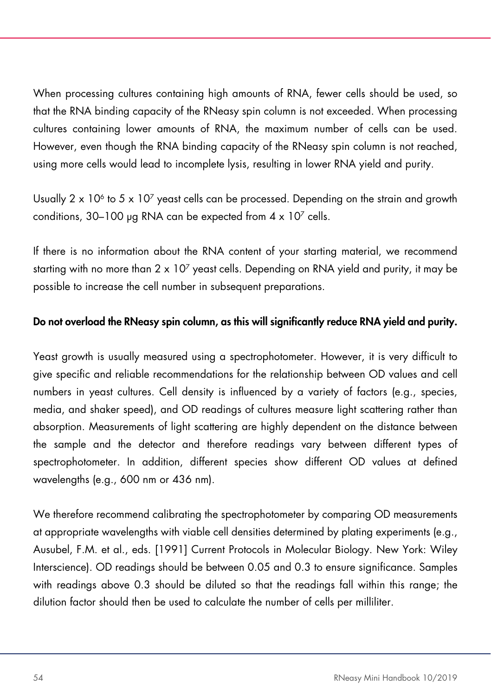When processing cultures containing high amounts of RNA, fewer cells should be used, so that the RNA binding capacity of the RNeasy spin column is not exceeded. When processing cultures containing lower amounts of RNA, the maximum number of cells can be used. However, even though the RNA binding capacity of the RNeasy spin column is not reached, using more cells would lead to incomplete lysis, resulting in lower RNA yield and purity.

Usually  $2 \times 10^6$  to 5  $\times 10^7$  yeast cells can be processed. Depending on the strain and growth conditions, 30–100 µg RNA can be expected from  $4 \times 10^7$  cells.

If there is no information about the RNA content of your starting material, we recommend starting with no more than  $2 \times 10^7$  yeast cells. Depending on RNA yield and purity, it may be possible to increase the cell number in subsequent preparations.

#### Do not overload the RNeasy spin column, as this will significantly reduce RNA yield and purity.

Yeast growth is usually measured using a spectrophotometer. However, it is very difficult to give specific and reliable recommendations for the relationship between OD values and cell numbers in yeast cultures. Cell density is influenced by a variety of factors (e.g., species, media, and shaker speed), and OD readings of cultures measure light scattering rather than absorption. Measurements of light scattering are highly dependent on the distance between the sample and the detector and therefore readings vary between different types of spectrophotometer. In addition, different species show different OD values at defined wavelengths (e.g., 600 nm or 436 nm).

We therefore recommend calibrating the spectrophotometer by comparing OD measurements at appropriate wavelengths with viable cell densities determined by plating experiments (e.g., Ausubel, F.M. et al., eds. [1991] Current Protocols in Molecular Biology. New York: Wiley Interscience). OD readings should be between 0.05 and 0.3 to ensure significance. Samples with readings above 0.3 should be diluted so that the readings fall within this range; the dilution factor should then be used to calculate the number of cells per milliliter.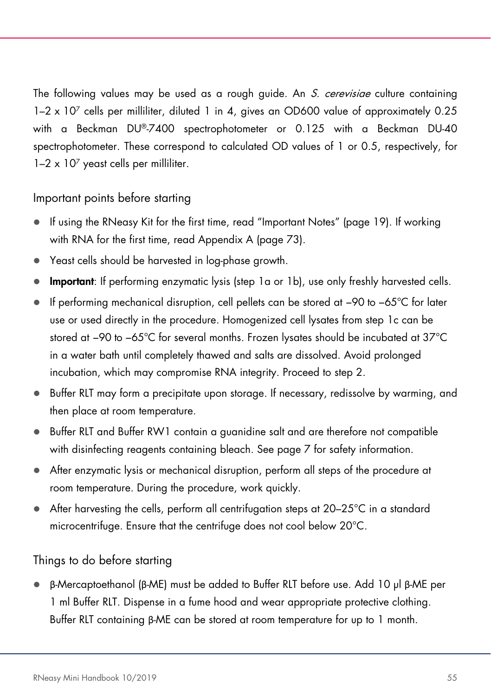The following values may be used as a rough guide. An S. cerevisiae culture containing 1–2 x 107 cells per milliliter, diluted 1 in 4, gives an OD600 value of approximately 0.25 with a Beckman DU®-7400 spectrophotometer or 0.125 with a Beckman DU-40 spectrophotometer. These correspond to calculated OD values of 1 or 0.5, respectively, for  $1-2 \times 10^7$  yeast cells per milliliter.

## Important points before starting

- If using the RNeasy Kit for the first time, read "Important Notes" (page [19\)](#page-18-0). If working with RNA for the first time, read Appendix A (page [73\)](#page-72-0).
- Yeast cells should be harvested in log-phase growth.
- Important: If performing enzymatic lysis (step 1a or 1b), use only freshly harvested cells.
- If performing mechanical disruption, cell pellets can be stored at −90 to −65°C for later use or used directly in the procedure. Homogenized cell lysates from step 1c can be stored at −90 to −65°C for several months. Frozen lysates should be incubated at 37°C in a water bath until completely thawed and salts are dissolved. Avoid prolonged incubation, which may compromise RNA integrity. Proceed to step 2.
- Buffer RLT may form a precipitate upon storage. If necessary, redissolve by warming, and then place at room temperature.
- Buffer RLT and Buffer RW1 contain a guanidine salt and are therefore not compatible with disinfecting reagents containing bleach. See page [7](#page-6-0) for safety information.
- After enzymatic lysis or mechanical disruption, perform all steps of the procedure at room temperature. During the procedure, work quickly.
- After harvesting the cells, perform all centrifugation steps at 20–25°C in a standard microcentrifuge. Ensure that the centrifuge does not cool below 20°C.

## Things to do before starting

 β-Mercaptoethanol (β-ME) must be added to Buffer RLT before use. Add 10 µl β-ME per 1 ml Buffer RLT. Dispense in a fume hood and wear appropriate protective clothing. Buffer RLT containing β-ME can be stored at room temperature for up to 1 month.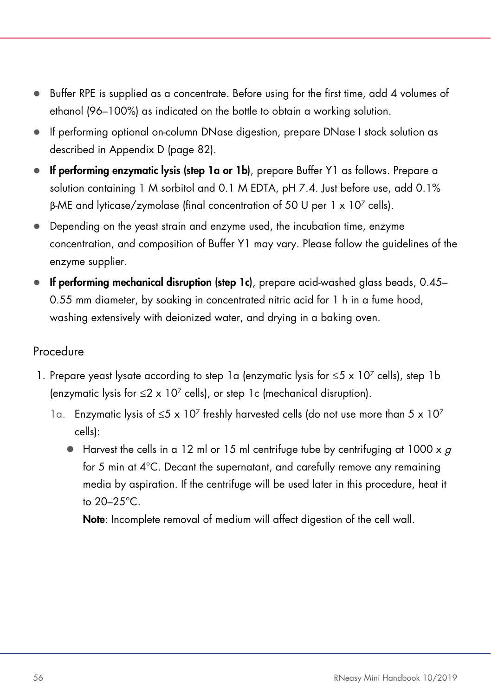- $\bullet$  Buffer RPE is supplied as a concentrate. Before using for the first time, add 4 volumes of ethanol (96–100%) as indicated on the bottle to obtain a working solution.
- If performing optional on-column DNase digestion, prepare DNase I stock solution as described in Appendix D (page [82\)](#page-81-0).
- If performing enzymatic lysis (step 1a or 1b), prepare Buffer Y1 as follows. Prepare a solution containing 1 M sorbitol and 0.1 M EDTA, pH 7.4. Just before use, add 0.1% β-ME and lyticase/zymolase (final concentration of 50 U per  $1 \times 10^7$  cells).
- Depending on the yeast strain and enzyme used, the incubation time, enzyme concentration, and composition of Buffer Y1 may vary. Please follow the guidelines of the enzyme supplier.
- If performing mechanical disruption (step 1c), prepare acid-washed glass beads, 0.45– 0.55 mm diameter, by soaking in concentrated nitric acid for 1 h in a fume hood, washing extensively with deionized water, and drying in a baking oven.

## Procedure

- 1. Prepare yeast lysate according to step 1a (enzymatic lysis for  $\leq 5 \times 10^7$  cells), step 1b (enzymatic lysis for  $\leq 2 \times 10^7$  cells), or step 1c (mechanical disruption).
	- 1a. Enzymatic lysis of  $\leq 5 \times 10^7$  freshly harvested cells (do not use more than 5 x 10<sup>7</sup> cells):
		- Harvest the cells in a 12 ml or 15 ml centrifuge tube by centrifuging at 1000 x  $q$ for 5 min at 4°C. Decant the supernatant, and carefully remove any remaining media by aspiration. If the centrifuge will be used later in this procedure, heat it to 20–25°C.

Note: Incomplete removal of medium will affect digestion of the cell wall.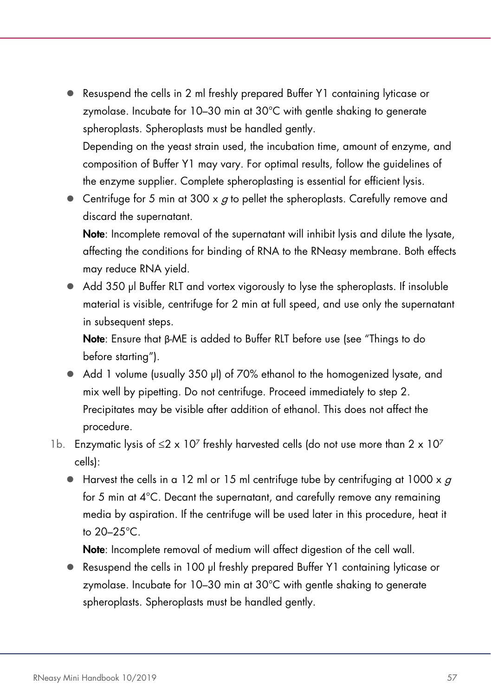- Resuspend the cells in 2 ml freshly prepared Buffer Y1 containing lyticase or zymolase. Incubate for 10–30 min at 30°C with gentle shaking to generate spheroplasts. Spheroplasts must be handled gently. Depending on the yeast strain used, the incubation time, amount of enzyme, and composition of Buffer Y1 may vary. For optimal results, follow the guidelines of
- **Centrifuge for 5 min at 300 x**  $q$  **to pellet the spheroplasts. Carefully remove and** discard the supernatant.

the enzyme supplier. Complete spheroplasting is essential for efficient lysis.

Note: Incomplete removal of the supernatant will inhibit lysis and dilute the lysate, affecting the conditions for binding of RNA to the RNeasy membrane. Both effects may reduce RNA yield.

● Add 350 µl Buffer RLT and vortex vigorously to lyse the spheroplasts. If insoluble material is visible, centrifuge for 2 min at full speed, and use only the supernatant in subsequent steps.

Note: Ensure that β-ME is added to Buffer RLT before use (see "Things to do before starting").

- Add 1 volume (usually 350 µl) of 70% ethanol to the homogenized lysate, and mix well by pipetting. Do not centrifuge. Proceed immediately to step 2. Precipitates may be visible after addition of ethanol. This does not affect the procedure.
- 1b. Enzymatic lysis of ≤2 x 107 freshly harvested cells (do not use more than 2 x 107 cells):
	- $\bullet$  Harvest the cells in a 12 ml or 15 ml centrifuge tube by centrifuging at 1000 x g for 5 min at 4°C. Decant the supernatant, and carefully remove any remaining media by aspiration. If the centrifuge will be used later in this procedure, heat it to 20–25°C.

Note: Incomplete removal of medium will affect digestion of the cell wall.

■ Resuspend the cells in 100 µl freshly prepared Buffer Y1 containing lyticase or zymolase. Incubate for 10–30 min at 30°C with gentle shaking to generate spheroplasts. Spheroplasts must be handled gently.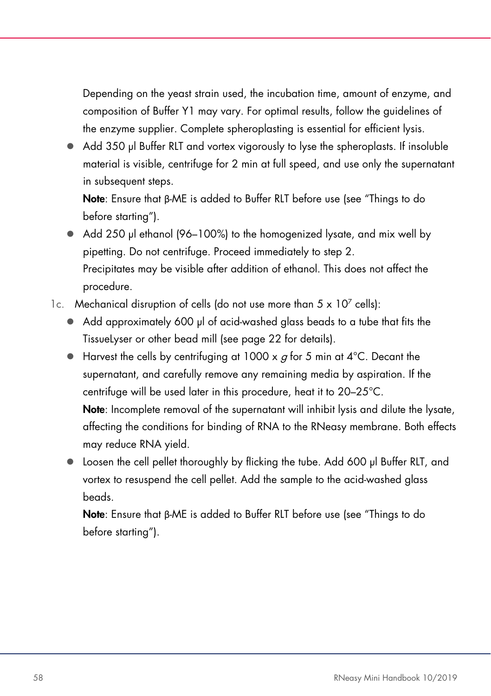Depending on the yeast strain used, the incubation time, amount of enzyme, and composition of Buffer Y1 may vary. For optimal results, follow the guidelines of the enzyme supplier. Complete spheroplasting is essential for efficient lysis.

 Add 350 µl Buffer RLT and vortex vigorously to lyse the spheroplasts. If insoluble material is visible, centrifuge for 2 min at full speed, and use only the supernatant in subsequent steps.

Note: Ensure that β-ME is added to Buffer RLT before use (see "Things to do before starting").

- Add 250 µl ethanol (96–100%) to the homogenized lysate, and mix well by pipetting. Do not centrifuge. Proceed immediately to step 2. Precipitates may be visible after addition of ethanol. This does not affect the procedure.
- 1c. Mechanical disruption of cells (do not use more than  $5 \times 10^7$  cells):
	- Add approximately 600 µl of acid-washed glass beads to a tube that fits the TissueLyser or other bead mill (see page 22 for details).
	- $\bullet$  Harvest the cells by centrifuging at 1000 x  $q$  for 5 min at 4°C. Decant the supernatant, and carefully remove any remaining media by aspiration. If the centrifuge will be used later in this procedure, heat it to 20–25°C. Note: Incomplete removal of the supernatant will inhibit lysis and dilute the lysate, affecting the conditions for binding of RNA to the RNeasy membrane. Both effects may reduce RNA yield.
	- Loosen the cell pellet thoroughly by flicking the tube. Add 600 µl Buffer RLT, and vortex to resuspend the cell pellet. Add the sample to the acid-washed glass beads.

Note: Ensure that β-ME is added to Buffer RLT before use (see "Things to do before starting").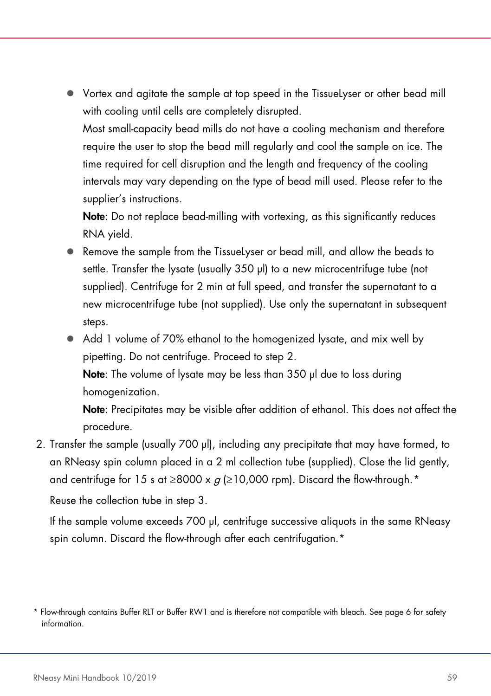Vortex and agitate the sample at top speed in the TissueLyser or other bead mill with cooling until cells are completely disrupted.

Most small-capacity bead mills do not have a cooling mechanism and therefore require the user to stop the bead mill regularly and cool the sample on ice. The time required for cell disruption and the length and frequency of the cooling intervals may vary depending on the type of bead mill used. Please refer to the supplier's instructions.

Note: Do not replace bead-milling with vortexing, as this significantly reduces RNA yield.

- Remove the sample from the TissueLyser or bead mill, and allow the beads to settle. Transfer the lysate (usually 350 µl) to a new microcentrifuge tube (not supplied). Centrifuge for 2 min at full speed, and transfer the supernatant to a new microcentrifuge tube (not supplied). Use only the supernatant in subsequent steps.
- Add 1 volume of 70% ethanol to the homogenized lysate, and mix well by pipetting. Do not centrifuge. Proceed to step 2. Note: The volume of lysate may be less than 350 µl due to loss during

homogenization.

Note: Precipitates may be visible after addition of ethanol. This does not affect the procedure.

2. Transfer the sample (usually 700 µl), including any precipitate that may have formed, to an RNeasy spin column placed in a 2 ml collection tube (supplied). Close the lid gently, and centrifuge for 15 s at  $\geq$ 8000 x  $q$  ( $\geq$ 10,000 rpm). Discard the flow-through.<sup>[\\*](#page-58-0)</sup>

Reuse the collection tube in step 3.

If the sample volume exceeds 700 µl, centrifuge successive aliquots in the same RNeasy spin column. Discard the flow-through after each centrifugation.<sup>\*</sup>

<span id="page-58-0"></span><sup>\*</sup> Flow-through contains Buffer RLT or Buffer RW1 and is therefore not compatible with bleach. See pag[e 6](#page-6-0) for safety information.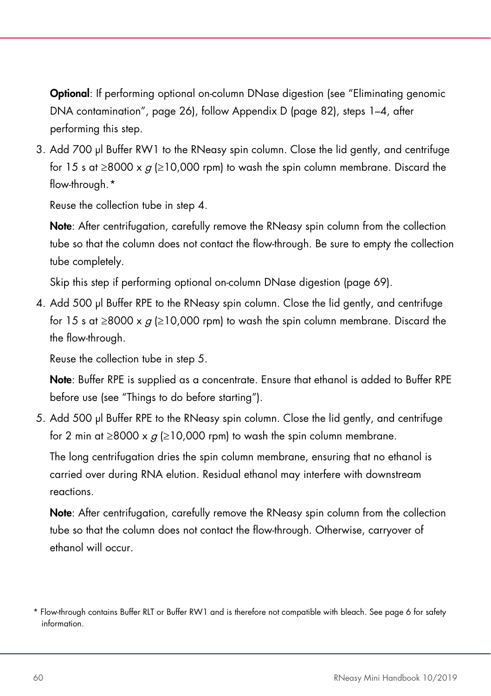Optional: If performing optional on-column DNase digestion (see "Eliminating genomic DNA contamination", page [26\)](#page-24-0), follow Appendix D (page [82\)](#page-81-0), steps 1–4, after performing this step.

3. Add 700 µl Buffer RW1 to the RNeasy spin column. Close the lid gently, and centrifuge for 15 s at ≥8000 x  $q \ge 10,000$  rpm) to wash the spin column membrane. Discard the flow-through.[\\*](#page-59-0)

Reuse the collection tube in step 4.

Note: After centrifugation, carefully remove the RNeasy spin column from the collection tube so that the column does not contact the flow-through. Be sure to empty the collection tube completely.

Skip this step if performing optional on-column DNase digestion (page 69).

4. Add 500 µl Buffer RPE to the RNeasy spin column. Close the lid gently, and centrifuge for 15 s at ≥8000 x  $q$  (≥10,000 rpm) to wash the spin column membrane. Discard the the flow-through.

Reuse the collection tube in step 5.

Note: Buffer RPE is supplied as a concentrate. Ensure that ethanol is added to Buffer RPE before use (see "Things to do before starting").

5. Add 500 µl Buffer RPE to the RNeasy spin column. Close the lid gently, and centrifuge for 2 min at ≥8000 x  $g$  (≥10,000 rpm) to wash the spin column membrane.

The long centrifugation dries the spin column membrane, ensuring that no ethanol is carried over during RNA elution. Residual ethanol may interfere with downstream reactions.

Note: After centrifugation, carefully remove the RNeasy spin column from the collection tube so that the column does not contact the flow-through. Otherwise, carryover of ethanol will occur.

<span id="page-59-0"></span><sup>\*</sup> Flow-through contains Buffer RLT or Buffer RW1 and is therefore not compatible with bleach. See pag[e 6](#page-6-0) for safety information.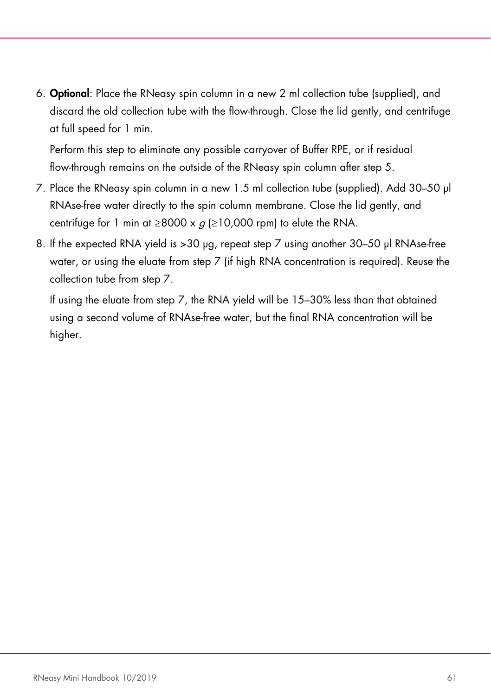6. Optional: Place the RNeasy spin column in a new 2 ml collection tube (supplied), and discard the old collection tube with the flow-through. Close the lid gently, and centrifuge at full speed for 1 min.

Perform this step to eliminate any possible carryover of Buffer RPE, or if residual flow-through remains on the outside of the RNeasy spin column after step 5.

- 7. Place the RNeasy spin column in a new 1.5 ml collection tube (supplied). Add 30–50 µl RNAse-free water directly to the spin column membrane. Close the lid gently, and centrifuge for 1 min at ≥8000 x  $g$  (≥10,000 rpm) to elute the RNA.
- 8. If the expected RNA vield is >30 µg, repeat step 7 using another 30–50 µl RNAse-free water, or using the eluate from step 7 (if high RNA concentration is required). Reuse the collection tube from step 7.

If using the eluate from step 7, the RNA yield will be 15–30% less than that obtained using a second volume of RNAse-free water, but the final RNA concentration will be higher.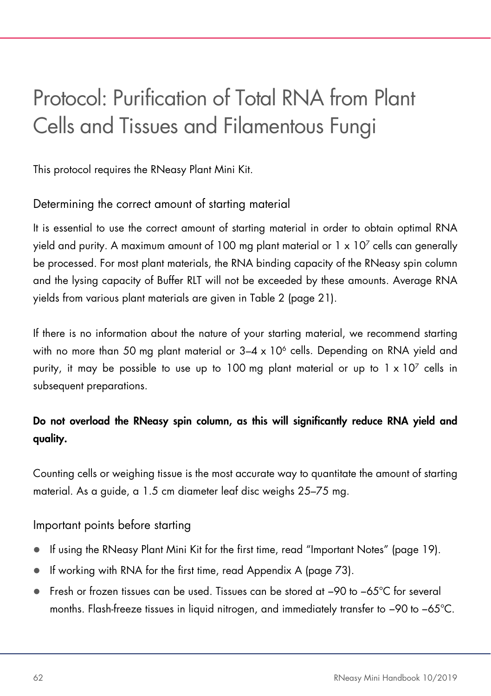# Protocol: Purification of Total RNA from Plant Cells and Tissues and Filamentous Fungi

This protocol requires the RNeasy Plant Mini Kit.

## Determining the correct amount of starting material

It is essential to use the correct amount of starting material in order to obtain optimal RNA yield and purity. A maximum amount of 100 mg plant material or  $1 \times 10^7$  cells can generally be processed. For most plant materials, the RNA binding capacity of the RNeasy spin column and the lysing capacity of Buffer RLT will not be exceeded by these amounts. Average RNA yields from various plant materials are given in [Table 2](#page-19-0) (page [21\)](#page-19-0).

If there is no information about the nature of your starting material, we recommend starting with no more than 50 mg plant material or  $3-4 \times 10^6$  cells. Depending on RNA yield and purity, it may be possible to use up to 100 mg plant material or up to  $1 \times 10^7$  cells in subsequent preparations.

## Do not overload the RNeasy spin column, as this will significantly reduce RNA yield and quality.

Counting cells or weighing tissue is the most accurate way to quantitate the amount of starting material. As a guide, a 1.5 cm diameter leaf disc weighs 25–75 mg.

Important points before starting

- If using the RNeasy Plant Mini Kit for the first time, read "Important Notes" (pag[e 19\)](#page-18-0).
- If working with RNA for the first time, read Appendix A (page [73\)](#page-72-0).
- Fresh or frozen tissues can be used. Tissues can be stored at −90 to −65°C for several months. Flash-freeze tissues in liquid nitrogen, and immediately transfer to −90 to −65°C.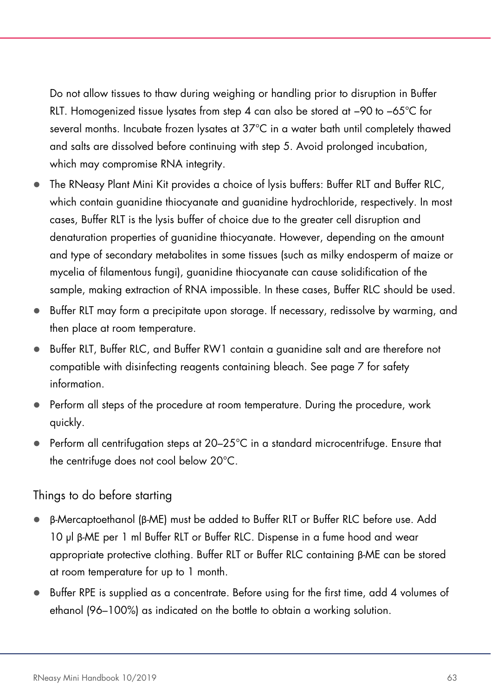Do not allow tissues to thaw during weighing or handling prior to disruption in Buffer RLT. Homogenized tissue lysates from step 4 can also be stored at −90 to −65°C for several months. Incubate frozen lysates at 37°C in a water bath until completely thawed and salts are dissolved before continuing with step 5. Avoid prolonged incubation, which may compromise RNA integrity.

- The RNeasy Plant Mini Kit provides a choice of lysis buffers: Buffer RLT and Buffer RLC, which contain guanidine thiocyanate and guanidine hydrochloride, respectively. In most cases, Buffer RLT is the lysis buffer of choice due to the greater cell disruption and denaturation properties of guanidine thiocyanate. However, depending on the amount and type of secondary metabolites in some tissues (such as milky endosperm of maize or mycelia of filamentous fungi), guanidine thiocyanate can cause solidification of the sample, making extraction of RNA impossible. In these cases, Buffer RLC should be used.
- Buffer RLT may form a precipitate upon storage. If necessary, redissolve by warming, and then place at room temperature.
- Buffer RLT, Buffer RLC, and Buffer RW1 contain a guanidine salt and are therefore not compatible with disinfecting reagents containing bleach. See page [7](#page-6-0) for safety information.
- Perform all steps of the procedure at room temperature. During the procedure, work quickly.
- Perform all centrifugation steps at 20–25°C in a standard microcentrifuge. Ensure that the centrifuge does not cool below 20°C.

#### Things to do before starting

- β-Mercaptoethanol (β-ME) must be added to Buffer RLT or Buffer RLC before use. Add 10 µl β-ME per 1 ml Buffer RLT or Buffer RLC. Dispense in a fume hood and wear appropriate protective clothing. Buffer RLT or Buffer RLC containing β-ME can be stored at room temperature for up to 1 month.
- Buffer RPE is supplied as a concentrate. Before using for the first time, add 4 volumes of ethanol (96–100%) as indicated on the bottle to obtain a working solution.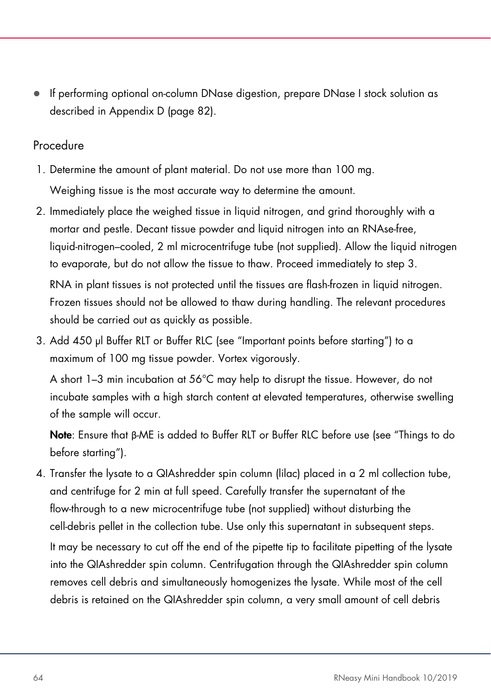If performing optional on-column DNase digestion, prepare DNase I stock solution as described in Appendix D (page [82\)](#page-81-0).

### Procedure

- 1. Determine the amount of plant material. Do not use more than 100 mg. Weighing tissue is the most accurate way to determine the amount.
- 2. Immediately place the weighed tissue in liquid nitrogen, and grind thoroughly with a mortar and pestle. Decant tissue powder and liquid nitrogen into an RNAse-free, liquid-nitrogen–cooled, 2 ml microcentrifuge tube (not supplied). Allow the liquid nitrogen to evaporate, but do not allow the tissue to thaw. Proceed immediately to step 3.

RNA in plant tissues is not protected until the tissues are flash-frozen in liquid nitrogen. Frozen tissues should not be allowed to thaw during handling. The relevant procedures should be carried out as quickly as possible.

3. Add 450 µl Buffer RLT or Buffer RLC (see "Important points before starting") to a maximum of 100 mg tissue powder. Vortex vigorously.

A short 1–3 min incubation at 56°C may help to disrupt the tissue. However, do not incubate samples with a high starch content at elevated temperatures, otherwise swelling of the sample will occur.

Note: Ensure that β-ME is added to Buffer RLT or Buffer RLC before use (see "Things to do before starting").

4. Transfer the lysate to a QIAshredder spin column (lilac) placed in a 2 ml collection tube, and centrifuge for 2 min at full speed. Carefully transfer the supernatant of the flow-through to a new microcentrifuge tube (not supplied) without disturbing the cell-debris pellet in the collection tube. Use only this supernatant in subsequent steps. It may be necessary to cut off the end of the pipette tip to facilitate pipetting of the lysate into the QIAshredder spin column. Centrifugation through the QIAshredder spin column removes cell debris and simultaneously homogenizes the lysate. While most of the cell debris is retained on the QIAshredder spin column, a very small amount of cell debris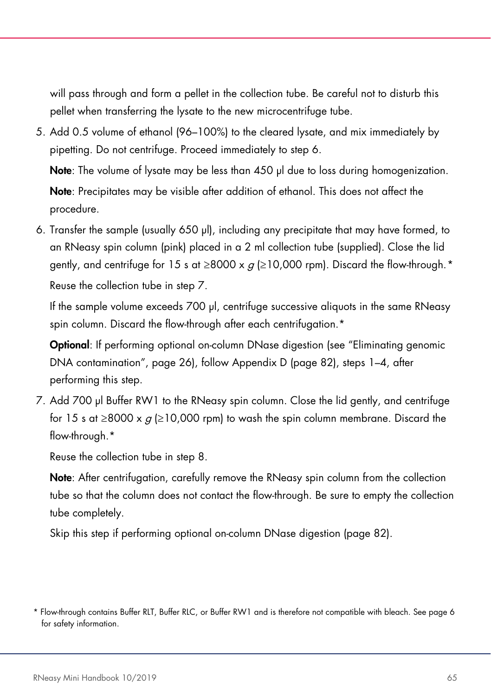will pass through and form a pellet in the collection tube. Be careful not to disturb this pellet when transferring the lysate to the new microcentrifuge tube.

5. Add 0.5 volume of ethanol (96–100%) to the cleared lysate, and mix immediately by pipetting. Do not centrifuge. Proceed immediately to step 6.

Note: The volume of lysate may be less than 450 µl due to loss during homogenization. Note: Precipitates may be visible after addition of ethanol. This does not affect the procedure.

6. Transfer the sample (usually 650 µl), including any precipitate that may have formed, to an RNeasy spin column (pink) placed in a 2 ml collection tube (supplied). Close the lid gently, and centrifuge for 15 s at  $\geq$ 8000 x  $q \geq 10,000$  rpm). Discard the flow-through. [\\*](#page-64-0) Reuse the collection tube in step 7.

If the sample volume exceeds 700 µl, centrifuge successive aliquots in the same RNeasy spin column. Discard the flow-through after each centrifugation.\*

Optional: If performing optional on-column DNase digestion (see "Eliminating genomic DNA contamination", page [26\)](#page-24-0), follow Appendix D (page [82\)](#page-81-0), steps 1–4, after performing this step.

7. Add 700 µl Buffer RW1 to the RNeasy spin column. Close the lid gently, and centrifuge for 15 s at ≥8000 x  $q$  (≥10,000 rpm) to wash the spin column membrane. Discard the flow-through.\*

Reuse the collection tube in step 8.

Note: After centrifugation, carefully remove the RNeasy spin column from the collection tube so that the column does not contact the flow-through. Be sure to empty the collection tube completely.

Skip this step if performing optional on-column DNase digestion (page [82\)](#page-81-0).

<span id="page-64-0"></span><sup>\*</sup> Flow-through contains Buffer RLT, Buffer RLC, or Buffer RW1 and is therefore not compatible with bleach. See pag[e 6](#page-6-0) for safety information.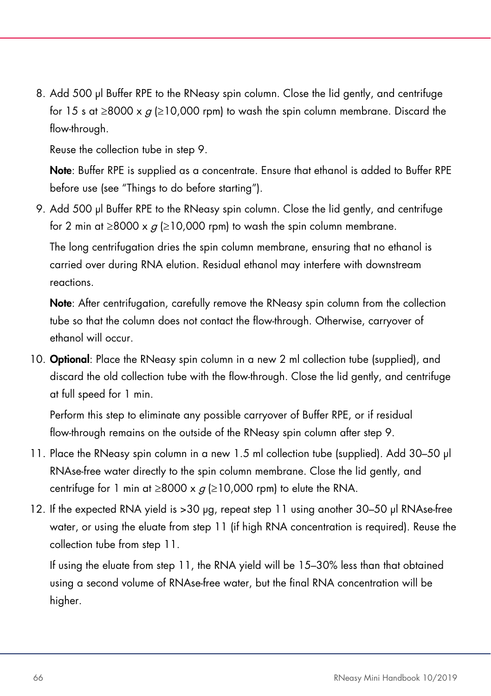8. Add 500 µl Buffer RPE to the RNeasy spin column. Close the lid gently, and centrifuge for 15 s at ≥8000 x  $g$  (≥10,000 rpm) to wash the spin column membrane. Discard the flow-through.

Reuse the collection tube in step 9.

Note: Buffer RPE is supplied as a concentrate. Ensure that ethanol is added to Buffer RPE before use (see "Things to do before starting").

9. Add 500 µl Buffer RPE to the RNeasy spin column. Close the lid gently, and centrifuge for 2 min at  $\geq$ 8000 x  $q$  ( $\geq$ 10,000 rpm) to wash the spin column membrane.

The long centrifugation dries the spin column membrane, ensuring that no ethanol is carried over during RNA elution. Residual ethanol may interfere with downstream reactions.

Note: After centrifugation, carefully remove the RNeasy spin column from the collection tube so that the column does not contact the flow-through. Otherwise, carryover of ethanol will occur.

10. **Optional:** Place the RNeasy spin column in a new 2 ml collection tube (supplied), and discard the old collection tube with the flow-through. Close the lid gently, and centrifuge at full speed for 1 min.

Perform this step to eliminate any possible carryover of Buffer RPE, or if residual flow-through remains on the outside of the RNeasy spin column after step 9.

- 11. Place the RNeasy spin column in a new 1.5 ml collection tube (supplied). Add 30–50 µl RNAse-free water directly to the spin column membrane. Close the lid gently, and centrifuge for 1 min at  $\geq$ 8000 x  $q$  ( $\geq$ 10,000 rpm) to elute the RNA.
- 12. If the expected RNA yield is >30 µg, repeat step 11 using another 30–50 µl RNAse-free water, or using the eluate from step 11 (if high RNA concentration is required). Reuse the collection tube from step 11.

If using the eluate from step 11, the RNA yield will be 15–30% less than that obtained using a second volume of RNAse-free water, but the final RNA concentration will be higher.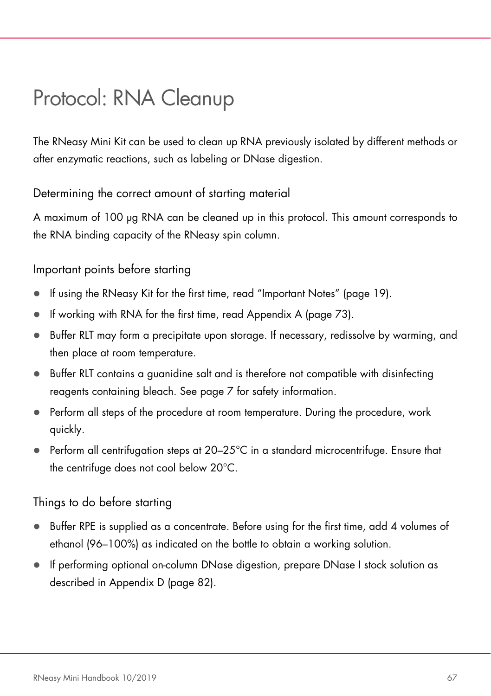# <span id="page-66-0"></span>Protocol: RNA Cleanup

The RNeasy Mini Kit can be used to clean up RNA previously isolated by different methods or after enzymatic reactions, such as labeling or DNase digestion.

Determining the correct amount of starting material

A maximum of 100 µg RNA can be cleaned up in this protocol. This amount corresponds to the RNA binding capacity of the RNeasy spin column.

## Important points before starting

- If using the RNeasy Kit for the first time, read "Important Notes" (page [19\)](#page-18-0).
- If working with RNA for the first time, read Appendix A (page [73\)](#page-72-0).
- Buffer RLT may form a precipitate upon storage. If necessary, redissolve by warming, and then place at room temperature.
- Buffer RLT contains a guanidine salt and is therefore not compatible with disinfecting reagents containing bleach. See page [7](#page-6-0) for safety information.
- Perform all steps of the procedure at room temperature. During the procedure, work quickly.
- $\bullet$  Perform all centrifugation steps at 20–25°C in a standard microcentrifuge. Ensure that the centrifuge does not cool below 20°C.

## Things to do before starting

- Buffer RPE is supplied as a concentrate. Before using for the first time, add 4 volumes of ethanol (96–100%) as indicated on the bottle to obtain a working solution.
- If performing optional on-column DNase digestion, prepare DNase I stock solution as described in Appendix D (page [82\)](#page-81-0).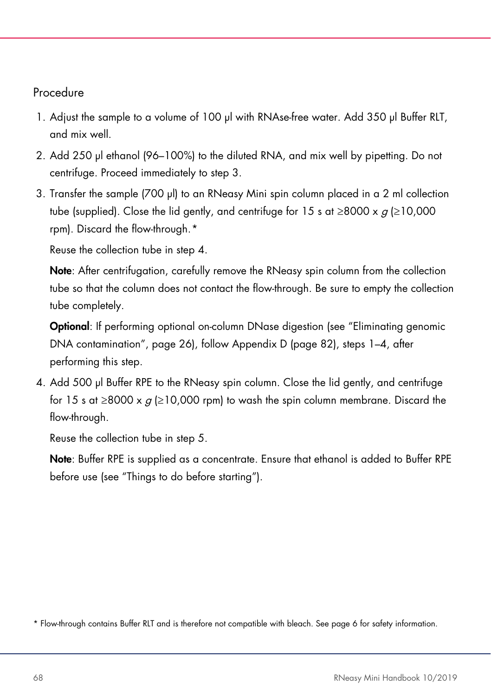## Procedure

- 1. Adjust the sample to a volume of 100 µl with RNAse-free water. Add 350 µl Buffer RLT, and mix well.
- 2. Add 250 µl ethanol (96–100%) to the diluted RNA, and mix well by pipetting. Do not centrifuge. Proceed immediately to step 3.
- 3. Transfer the sample (700 µl) to an RNeasy Mini spin column placed in a 2 ml collection tube (supplied). Close the lid gently, and centrifuge for 15 s at  $\geq 8000 \times g$  ( $\geq 10,000$ ) rpm). Discard the flow-through. [\\*](#page-67-0)

Reuse the collection tube in step 4.

Note: After centrifugation, carefully remove the RNeasy spin column from the collection tube so that the column does not contact the flow-through. Be sure to empty the collection tube completely.

Optional: If performing optional on-column DNase digestion (see "Eliminating genomic DNA contamination", page [26\)](#page-24-0), follow Appendix D (page [82\)](#page-81-0), steps 1–4, after performing this step.

4. Add 500 µl Buffer RPE to the RNeasy spin column. Close the lid gently, and centrifuge for 15 s at ≥8000 x  $g$  (≥10,000 rpm) to wash the spin column membrane. Discard the flow-through.

Reuse the collection tube in step 5.

Note: Buffer RPE is supplied as a concentrate. Ensure that ethanol is added to Buffer RPE before use (see "Things to do before starting").

<span id="page-67-0"></span><sup>\*</sup> Flow-through contains Buffer RLT and is therefore not compatible with bleach. See pag[e 6](#page-6-0) for safety information.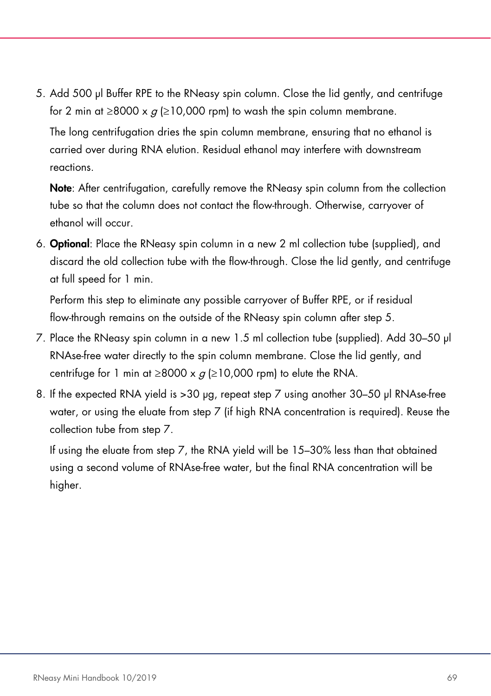5. Add 500 µl Buffer RPE to the RNeasy spin column. Close the lid gently, and centrifuge for 2 min at  $\geq$ 8000 x  $q \geq$ 10,000 rpm) to wash the spin column membrane.

The long centrifugation dries the spin column membrane, ensuring that no ethanol is carried over during RNA elution. Residual ethanol may interfere with downstream reactions.

Note: After centrifugation, carefully remove the RNeasy spin column from the collection tube so that the column does not contact the flow-through. Otherwise, carryover of ethanol will occur.

6. Optional: Place the RNeasy spin column in a new 2 ml collection tube (supplied), and discard the old collection tube with the flow-through. Close the lid gently, and centrifuge at full speed for 1 min.

Perform this step to eliminate any possible carryover of Buffer RPE, or if residual flow-through remains on the outside of the RNeasy spin column after step 5.

- 7. Place the RNeasy spin column in a new 1.5 ml collection tube (supplied). Add 30–50 µl RNAse-free water directly to the spin column membrane. Close the lid gently, and centrifuge for 1 min at  $\geq$ 8000 x  $g$  ( $\geq$ 10,000 rpm) to elute the RNA.
- 8. If the expected RNA yield is > 30 µg, repeat step 7 using another 30–50 µl RNAse-free water, or using the eluate from step 7 (if high RNA concentration is required). Reuse the collection tube from step 7.

If using the eluate from step 7, the RNA yield will be 15–30% less than that obtained using a second volume of RNAse-free water, but the final RNA concentration will be higher.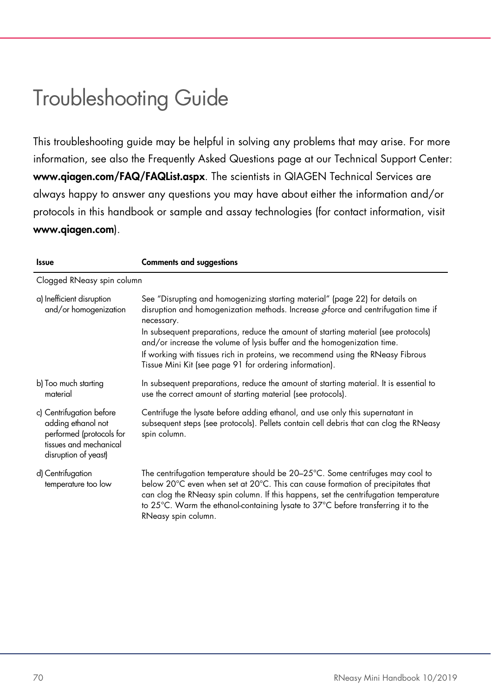## Troubleshooting Guide

This troubleshooting guide may be helpful in solving any problems that may arise. For more information, see also the Frequently Asked Questions page at our Technical Support Center: [www.qiagen.com/FAQ/FAQList.aspx](http://www.qiagen.com/FAQ/FAQList.aspx). The scientists in QIAGEN Technical Services are always happy to answer any questions you may have about either the information and/or protocols in this handbook or sample and assay technologies (for contact information, visit [www.qiagen.com](http://www.qiagen.com/)).

| Issue                                                                                                                        | <b>Comments and suggestions</b>                                                                                                                                                                                                                                                                                                                                                                                                                                                                         |  |
|------------------------------------------------------------------------------------------------------------------------------|---------------------------------------------------------------------------------------------------------------------------------------------------------------------------------------------------------------------------------------------------------------------------------------------------------------------------------------------------------------------------------------------------------------------------------------------------------------------------------------------------------|--|
| Clogged RNeasy spin column                                                                                                   |                                                                                                                                                                                                                                                                                                                                                                                                                                                                                                         |  |
| a) Inefficient disruption<br>and/or homogenization                                                                           | See "Disrupting and homogenizing starting material" (page 22) for details on<br>disruption and homogenization methods. Increase <i>a</i> -force and centrifugation time if<br>necessary.<br>In subsequent preparations, reduce the amount of starting material (see protocols)<br>and/or increase the volume of lysis buffer and the homogenization time.<br>If working with tissues rich in proteins, we recommend using the RNeasy Fibrous<br>Tissue Mini Kit (see page 91 for ordering information). |  |
| b) Too much starting<br>material                                                                                             | In subsequent preparations, reduce the amount of starting material. It is essential to<br>use the correct amount of starting material (see protocols).                                                                                                                                                                                                                                                                                                                                                  |  |
| c) Centrifugation before<br>adding ethanol not<br>performed (protocols for<br>tissues and mechanical<br>disruption of yeast) | Centrifuge the lysate before adding ethanol, and use only this supernatant in<br>subsequent steps (see protocols). Pellets contain cell debris that can clog the RNeasy<br>spin column.                                                                                                                                                                                                                                                                                                                 |  |
| d) Centrifugation<br>temperature too low                                                                                     | The centrifugation temperature should be 20-25°C. Some centrifuges may cool to<br>below 20°C even when set at 20°C. This can cause formation of precipitates that<br>can clog the RNeasy spin column. If this happens, set the centrifugation temperature<br>to 25°C. Warm the ethanol-containing lysate to 37°C before transferring it to the<br>RNeasy spin column.                                                                                                                                   |  |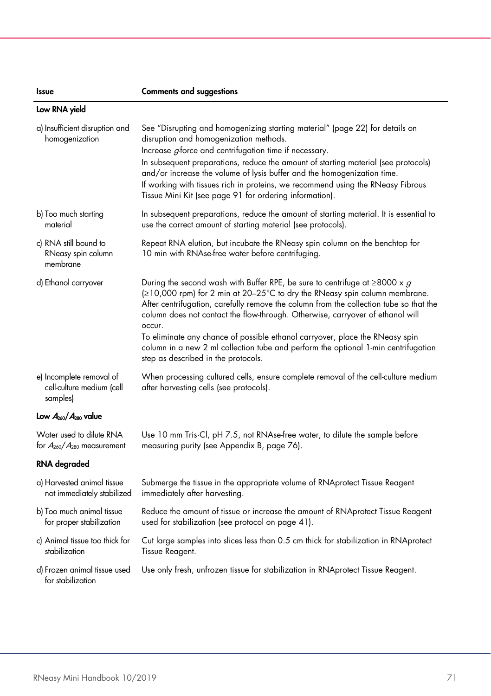| <b>Issue</b> | <b>Comments and suggestions</b> |  |
|--------------|---------------------------------|--|
|              |                                 |  |

Low RNA yield

| a) Insufficient disruption and<br>homogenization                  | See "Disrupting and homogenizing starting material" (page 22) for details on<br>disruption and homogenization methods.<br>Increase <i>g</i> -force and centrifugation time if necessary.<br>In subsequent preparations, reduce the amount of starting material (see protocols)<br>and/or increase the volume of lysis buffer and the homogenization time.<br>If working with tissues rich in proteins, we recommend using the RNeasy Fibrous<br>Tissue Mini Kit (see page 91 for ordering information).                                                           |
|-------------------------------------------------------------------|-------------------------------------------------------------------------------------------------------------------------------------------------------------------------------------------------------------------------------------------------------------------------------------------------------------------------------------------------------------------------------------------------------------------------------------------------------------------------------------------------------------------------------------------------------------------|
| b) Too much starting<br>material                                  | In subsequent preparations, reduce the amount of starting material. It is essential to<br>use the correct amount of starting material (see protocols).                                                                                                                                                                                                                                                                                                                                                                                                            |
| c) RNA still bound to<br>RNeasy spin column<br>membrane           | Repeat RNA elution, but incubate the RNeasy spin column on the benchtop for<br>10 min with RNAse-free water before centrifuging.                                                                                                                                                                                                                                                                                                                                                                                                                                  |
| d) Ethanol carryover                                              | During the second wash with Buffer RPE, be sure to centrifuge at $\geq$ 8000 x g<br>(≥10,000 rpm) for 2 min at 20–25°C to dry the RNeasy spin column membrane.<br>After centrifugation, carefully remove the column from the collection tube so that the<br>column does not contact the flow-through. Otherwise, carryover of ethanol will<br>occur.<br>To eliminate any chance of possible ethanol carryover, place the RNeasy spin<br>column in a new 2 ml collection tube and perform the optional 1-min centrifugation<br>step as described in the protocols. |
| e) Incomplete removal of<br>cell-culture medium (cell<br>samples) | When processing cultured cells, ensure complete removal of the cell-culture medium<br>after harvesting cells (see protocols).                                                                                                                                                                                                                                                                                                                                                                                                                                     |
| Low $A_{260}/A_{280}$ value                                       |                                                                                                                                                                                                                                                                                                                                                                                                                                                                                                                                                                   |

Water used to dilute RNA for  $A_{260}/A_{280}$  measurement Use 10 mm Tris·Cl, pH 7.5, not RNAse-free water, to dilute the sample before measuring purity (see Appendix B, page [76\).](#page-75-0)

#### RNA degraded

| a) Harvested animal tissue                        | Submerge the tissue in the appropriate volume of RNA protect Tissue Reagent          |
|---------------------------------------------------|--------------------------------------------------------------------------------------|
| not immediately stabilized                        | immediately after harvesting.                                                        |
| b) Too much animal tissue                         | Reduce the amount of tissue or increase the amount of RNAprotect Tissue Reagent      |
| for proper stabilization                          | used for stabilization (see protocol on page 41).                                    |
| c) Animal tissue too thick for                    | Cut large samples into slices less than 0.5 cm thick for stabilization in RNAprotect |
| stabilization                                     | Tissue Reagent.                                                                      |
| d) Frozen animal tissue used<br>for stabilization | Use only fresh, unfrozen tissue for stabilization in RNAprotect Tissue Reagent.      |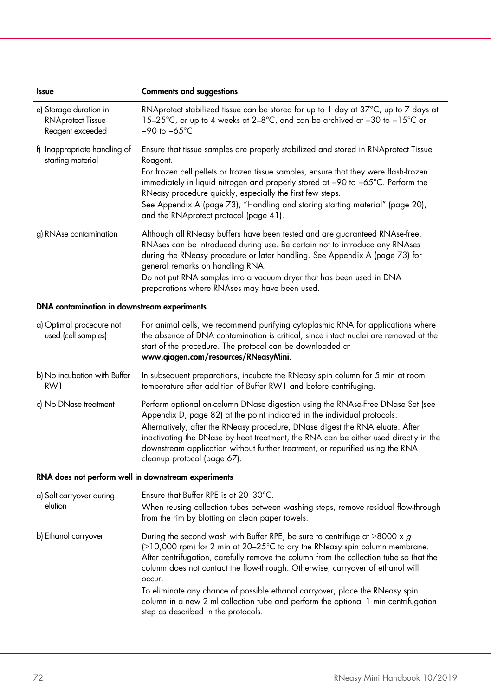| <b>Issue</b>                                                           | <b>Comments and suggestions</b>                                                                                                                                                                                                                                                                                                                                                                                                                                                                                            |  |
|------------------------------------------------------------------------|----------------------------------------------------------------------------------------------------------------------------------------------------------------------------------------------------------------------------------------------------------------------------------------------------------------------------------------------------------------------------------------------------------------------------------------------------------------------------------------------------------------------------|--|
| e) Storage duration in<br><b>RNAprotect Tissue</b><br>Reagent exceeded | RNAprotect stabilized tissue can be stored for up to 1 day at 37°C, up to 7 days at<br>15-25°C, or up to 4 weeks at 2-8°C, and can be archived at -30 to -15°C or<br>$-90$ to $-65^{\circ}$ C.                                                                                                                                                                                                                                                                                                                             |  |
| f) Inappropriate handling of<br>starting material                      | Ensure that tissue samples are properly stabilized and stored in RNAprotect Tissue<br>Reagent.<br>For frozen cell pellets or frozen tissue samples, ensure that they were flash-frozen<br>immediately in liquid nitrogen and properly stored at -90 to -65°C. Perform the<br>RNeasy procedure quickly, especially the first few steps.<br>See Appendix A (page 73), "Handling and storing starting material" (page 20),<br>and the RNAprotect protocol (page 41).                                                          |  |
| g) RNAse contamination                                                 | Although all RNeasy buffers have been tested and are guaranteed RNAse-free,<br>RNAses can be introduced during use. Be certain not to introduce any RNAses<br>during the RNeasy procedure or later handling. See Appendix A (page 73) for<br>general remarks on handling RNA.<br>Do not put RNA samples into a vacuum dryer that has been used in DNA<br>preparations where RNAses may have been used.                                                                                                                     |  |
| DNA contamination in downstream experiments                            |                                                                                                                                                                                                                                                                                                                                                                                                                                                                                                                            |  |
| a) Optimal procedure not<br>used (cell samples)                        | For animal cells, we recommend purifying cytoplasmic RNA for applications where<br>the absence of DNA contamination is critical, since intact nuclei are removed at the<br>start of the procedure. The protocol can be downloaded at<br>www.qiagen.com/resources/RNeasyMini.                                                                                                                                                                                                                                               |  |
| b) No incubation with Buffer<br>RW1                                    | In subsequent preparations, incubate the RNeasy spin column for 5 min at room<br>temperature after addition of Buffer RW1 and before centrifuging.                                                                                                                                                                                                                                                                                                                                                                         |  |
| c) No DNase treatment                                                  | Perform optional on-column DNase digestion using the RNAse-Free DNase Set (see<br>Appendix D, page 82) at the point indicated in the individual protocols.<br>Alternatively, after the RNeasy procedure, DNase digest the RNA eluate. After<br>inactivating the DNase by heat treatment, the RNA can be either used directly in the<br>downstream application without further treatment, or repurified using the RNA<br>cleanup protocol (page 67).                                                                        |  |
| RNA does not perform well in downstream experiments                    |                                                                                                                                                                                                                                                                                                                                                                                                                                                                                                                            |  |
| a) Salt carryover during<br>elution                                    | Ensure that Buffer RPE is at 20-30°C.<br>When reusing collection tubes between washing steps, remove residual flow-through<br>from the rim by blotting on clean paper towels.                                                                                                                                                                                                                                                                                                                                              |  |
| b) Ethanol carryover                                                   | During the second wash with Buffer RPE, be sure to centrifuge at $\geq$ 8000 x g<br>(≥10,000 rpm) for 2 min at 20–25°C to dry the RNeasy spin column membrane.<br>After centrifugation, carefully remove the column from the collection tube so that the<br>column does not contact the flow-through. Otherwise, carryover of ethanol will<br>occur.<br>To eliminate any chance of possible ethanol carryover, place the RNeasy spin<br>column in a new 2 ml collection tube and perform the optional 1 min centrifugation |  |
|                                                                        | step as described in the protocols.                                                                                                                                                                                                                                                                                                                                                                                                                                                                                        |  |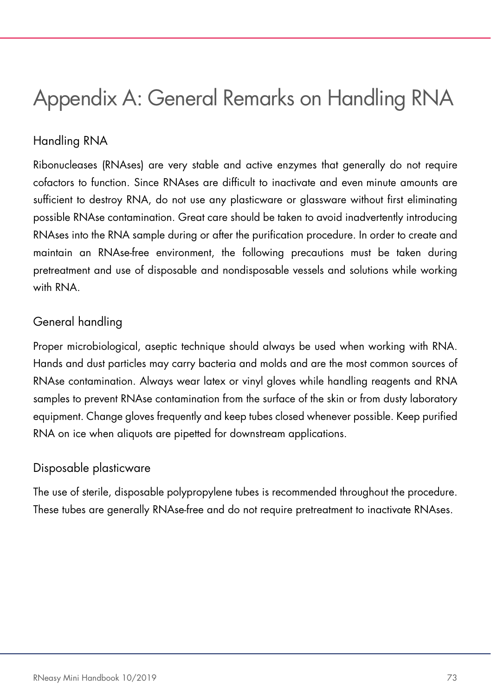# Appendix A: General Remarks on Handling RNA

# Handling RNA

Ribonucleases (RNAses) are very stable and active enzymes that generally do not require cofactors to function. Since RNAses are difficult to inactivate and even minute amounts are sufficient to destroy RNA, do not use any plasticware or glassware without first eliminating possible RNAse contamination. Great care should be taken to avoid inadvertently introducing RNAses into the RNA sample during or after the purification procedure. In order to create and maintain an RNAse-free environment, the following precautions must be taken during pretreatment and use of disposable and nondisposable vessels and solutions while working with RNA

# General handling

Proper microbiological, aseptic technique should always be used when working with RNA. Hands and dust particles may carry bacteria and molds and are the most common sources of RNAse contamination. Always wear latex or vinyl gloves while handling reagents and RNA samples to prevent RNAse contamination from the surface of the skin or from dusty laboratory equipment. Change gloves frequently and keep tubes closed whenever possible. Keep purified RNA on ice when aliquots are pipetted for downstream applications.

# Disposable plasticware

The use of sterile, disposable polypropylene tubes is recommended throughout the procedure. These tubes are generally RNAse-free and do not require pretreatment to inactivate RNAses.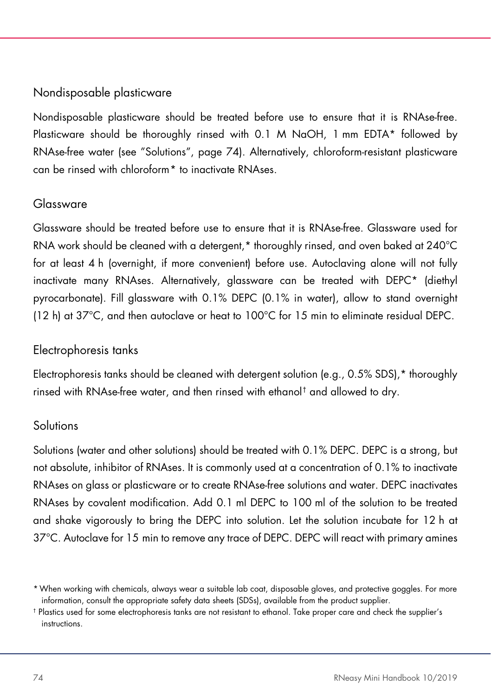# Nondisposable plasticware

Nondisposable plasticware should be treated before use to ensure that it is RNAse-free. Plasticware should be thoroughly rinsed with 0.1 M NaOH, 1 mm EDTA\* followed by RNAse-free water (see "Solutions", page [74\)](#page-73-0). Alternatively, chloroform-resistant plasticware can be rinsed with chloroform[\\*](#page-73-1) to inactivate RNAses.

#### Glassware

Glassware should be treated before use to ensure that it is RNAse-free. Glassware used for RNA work should be cleaned with a detergent,\* thoroughly rinsed, and oven baked at 240°C for at least 4 h (overnight, if more convenient) before use. Autoclaving alone will not fully inactivate many RNAses. Alternatively, glassware can be treated with DEPC\* (diethyl pyrocarbonate). Fill glassware with 0.1% DEPC (0.1% in water), allow to stand overnight (12 h) at 37°C, and then autoclave or heat to 100°C for 15 min to eliminate residual DEPC.

# Electrophoresis tanks

Electrophoresis tanks should be cleaned with detergent solution (e.g., 0.5% SDS),\* thoroughly rinsed with RNAse-free water, and then rinsed with ethanol[†](#page-73-2) and allowed to dry.

# <span id="page-73-0"></span>**Solutions**

Solutions (water and other solutions) should be treated with 0.1% DEPC. DEPC is a strong, but not absolute, inhibitor of RNAses. It is commonly used at a concentration of 0.1% to inactivate RNAses on glass or plasticware or to create RNAse-free solutions and water. DEPC inactivates RNAses by covalent modification. Add 0.1 ml DEPC to 100 ml of the solution to be treated and shake vigorously to bring the DEPC into solution. Let the solution incubate for 12 h at 37°C. Autoclave for 15 min to remove any trace of DEPC. DEPC will react with primary amines

<span id="page-73-1"></span><sup>\*</sup>When working with chemicals, always wear a suitable lab coat, disposable gloves, and protective goggles. For more information, consult the appropriate safety data sheets (SDSs), available from the product supplier.

<span id="page-73-2"></span><sup>†</sup> Plastics used for some electrophoresis tanks are not resistant to ethanol. Take proper care and check the supplier's instructions.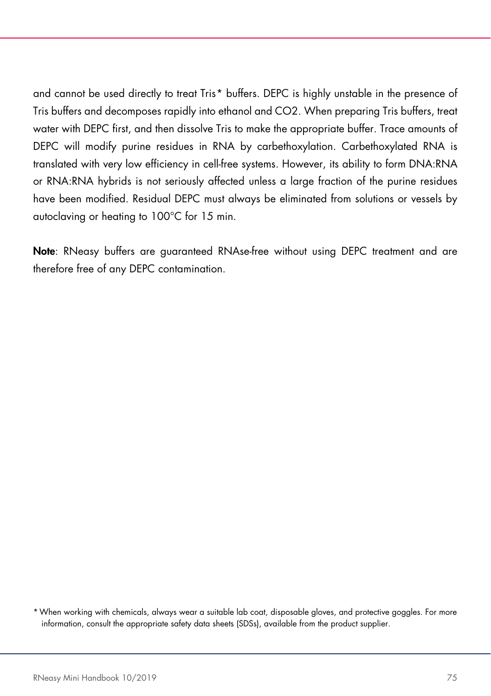and cannot be used directly to treat Tris[\\*](#page-74-0) buffers. DEPC is highly unstable in the presence of Tris buffers and decomposes rapidly into ethanol and CO2. When preparing Tris buffers, treat water with DEPC first, and then dissolve Tris to make the appropriate buffer. Trace amounts of DEPC will modify purine residues in RNA by carbethoxylation. Carbethoxylated RNA is translated with very low efficiency in cell-free systems. However, its ability to form DNA:RNA or RNA:RNA hybrids is not seriously affected unless a large fraction of the purine residues have been modified. Residual DEPC must always be eliminated from solutions or vessels by autoclaving or heating to 100°C for 15 min.

Note: RNeasy buffers are guaranteed RNAse-free without using DEPC treatment and are therefore free of any DEPC contamination.

<span id="page-74-0"></span>\*When working with chemicals, always wear a suitable lab coat, disposable gloves, and protective goggles. For more information, consult the appropriate safety data sheets (SDSs), available from the product supplier.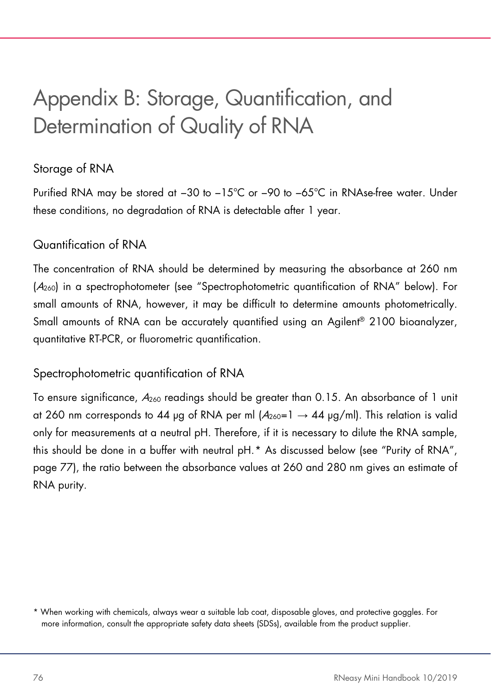# Appendix B: Storage, Quantification, and Determination of Quality of RNA

# Storage of RNA

Purified RNA may be stored at −30 to −15°C or −90 to −65°C in RNAse-free water. Under these conditions, no degradation of RNA is detectable after 1 year.

# Quantification of RNA

The concentration of RNA should be determined by measuring the absorbance at 260 nm (A260) in a spectrophotometer (see "Spectrophotometric quantification of RNA" below). For small amounts of RNA, however, it may be difficult to determine amounts photometrically. Small amounts of RNA can be accurately quantified using an Agilent® 2100 bioanalyzer, quantitative RT-PCR, or fluorometric quantification.

# <span id="page-75-1"></span>Spectrophotometric quantification of RNA

To ensure significance, A<sup>260</sup> readings should be greater than 0.15. An absorbance of 1 unit at 260 nm corresponds to 44 µg of RNA per ml  $(A_{260}=1 \rightarrow 44 \text{ µg/ml})$ . This relation is valid only for measurements at a neutral pH. Therefore, if it is necessary to dilute the RNA sample, this should be done in a buffer with neutral pH.[\\*](#page-75-0) As discussed below (see "Purity of RNA", page [77\)](#page-76-0), the ratio between the absorbance values at 260 and 280 nm gives an estimate of RNA purity.

<span id="page-75-0"></span><sup>\*</sup> When working with chemicals, always wear a suitable lab coat, disposable gloves, and protective goggles. For more information, consult the appropriate safety data sheets (SDSs), available from the product supplier.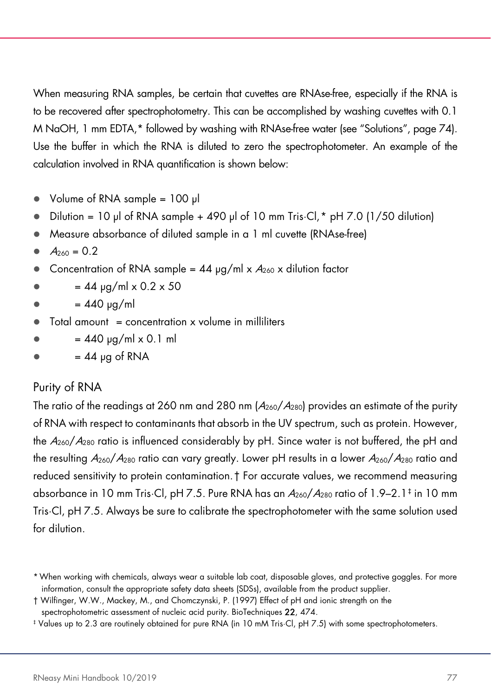When measuring RNA samples, be certain that cuvettes are RNAse-free, especially if the RNA is to be recovered after spectrophotometry. This can be accomplished by washing cuvettes with 0.1 M NaOH, 1 mm EDTA,\* followed by washing with RNAse-free water (see "Solutions", pag[e 74\)](#page-73-0). Use the buffer in which the RNA is diluted to zero the spectrophotometer. An example of the calculation involved in RNA quantification is shown below:

- Volume of RNA sample = 100 µl
- Dilution = 10 µl of RNA sample + 490 µl of 10 mm Tris·Cl,  $*$  pH 7.0 (1/50 dilution)
- Measure absorbance of diluted sample in a 1 ml cuvette (RNAse-free)
- $A_{260} = 0.2$
- Concentration of RNA sample =  $44 \mu q/ml \times A_{260} \times$  dilution factor
- $= 44$  yg/ml x 0.2 x 50
- $= 440 \mu q/ml$
- $\bullet$  Total amount = concentration x volume in milliliters
- $= 440 \mu q/ml \times 0.1 \text{ ml}$
- <span id="page-76-0"></span> $= 44$  yg of RNA

# Purity of RNA

The ratio of the readings at 260 nm and 280 nm  $(A<sub>260</sub>/A<sub>280</sub>)$  provides an estimate of the purity of RNA with respect to contaminants that absorb in the UV spectrum, such as protein. However, the  $A_{260}/A_{280}$  ratio is influenced considerably by pH. Since water is not buffered, the pH and the resulting  $A_{260}/A_{280}$  ratio can vary greatly. Lower pH results in a lower  $A_{260}/A_{280}$  ratio and reduced sensitivity to protein contamination.[†](#page-76-2) For accurate values, we recommend measuring absorbance in 10 mm Tris·Cl, pH 7.5. Pure RNA has an  $A_{260}/A_{280}$  ratio of 1.9–2.1<sup>[‡](#page-76-3)</sup> in 10 mm Tris·Cl, pH 7.5. Always be sure to calibrate the spectrophotometer with the same solution used for dilution.

<span id="page-76-1"></span><sup>\*</sup>When working with chemicals, always wear a suitable lab coat, disposable gloves, and protective goggles. For more information, consult the appropriate safety data sheets (SDSs), available from the product supplier.

<span id="page-76-2"></span><sup>†</sup> Wilfinger, W.W., Mackey, M., and Chomczynski, P. (1997) Effect of pH and ionic strength on the spectrophotometric assessment of nucleic acid purity. BioTechniques 22, 474.

<span id="page-76-3"></span><sup>‡</sup> Values up to 2.3 are routinely obtained for pure RNA (in 10 mM Tris·Cl, pH 7.5) with some spectrophotometers.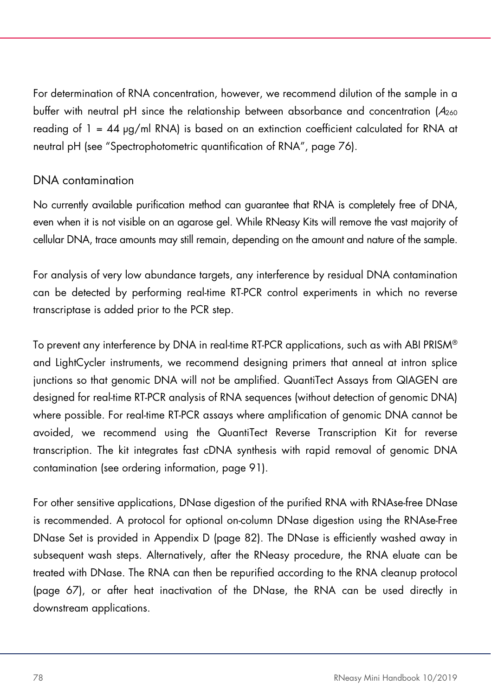For determination of RNA concentration, however, we recommend dilution of the sample in a buffer with neutral pH since the relationship between absorbance and concentration  $(A_{260}$ reading of  $1 = 44$   $\mu$ g/ml RNA) is based on an extinction coefficient calculated for RNA at neutral pH (see "Spectrophotometric quantification of RNA", page [76\)](#page-75-1).

#### DNA contamination

No currently available purification method can guarantee that RNA is completely free of DNA, even when it is not visible on an agarose gel. While RNeasy Kits will remove the vast majority of cellular DNA, trace amounts may still remain, depending on the amount and nature of the sample.

For analysis of very low abundance targets, any interference by residual DNA contamination can be detected by performing real-time RT-PCR control experiments in which no reverse transcriptase is added prior to the PCR step.

To prevent any interference by DNA in real-time RT-PCR applications, such as with ABI PRISM® and LightCycler instruments, we recommend designing primers that anneal at intron splice junctions so that genomic DNA will not be amplified. QuantiTect Assays from QIAGEN are designed for real-time RT-PCR analysis of RNA sequences (without detection of genomic DNA) where possible. For real-time RT-PCR assays where amplification of genomic DNA cannot be avoided, we recommend using the QuantiTect Reverse Transcription Kit for reverse transcription. The kit integrates fast cDNA synthesis with rapid removal of genomic DNA contamination (see ordering information, page [91\)](#page-90-0).

For other sensitive applications, DNase digestion of the purified RNA with RNAse-free DNase is recommended. A protocol for optional on-column DNase digestion using the RNAse-Free DNase Set is provided in Appendix D (page [82\)](#page-81-0). The DNase is efficiently washed away in subsequent wash steps. Alternatively, after the RNeasy procedure, the RNA eluate can be treated with DNase. The RNA can then be repurified according to the RNA cleanup protocol (page [67\)](#page-66-0), or after heat inactivation of the DNase, the RNA can be used directly in downstream applications.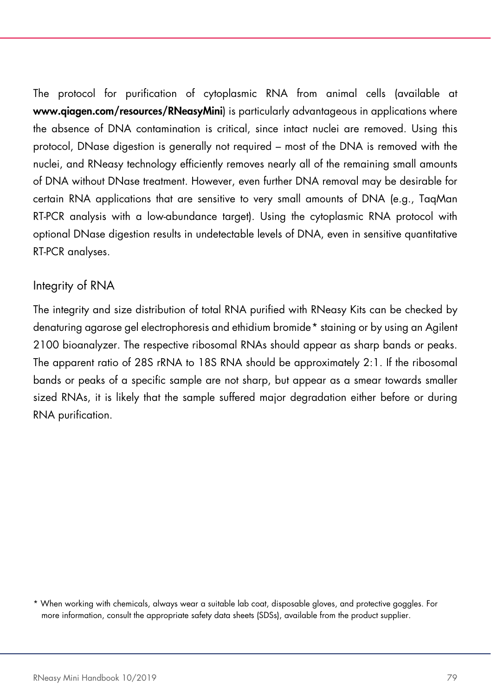The protocol for purification of cytoplasmic RNA from animal cells (available at www.qiagen.com/resources/RNeasyMini) is particularly advantageous in applications where the absence of DNA contamination is critical, since intact nuclei are removed. Using this protocol, DNase digestion is generally not required – most of the DNA is removed with the nuclei, and RNeasy technology efficiently removes nearly all of the remaining small amounts of DNA without DNase treatment. However, even further DNA removal may be desirable for certain RNA applications that are sensitive to very small amounts of DNA (e.g., TaqMan RT-PCR analysis with a low-abundance target). Using the cytoplasmic RNA protocol with optional DNase digestion results in undetectable levels of DNA, even in sensitive quantitative RT-PCR analyses.

# Integrity of RNA

The integrity and size distribution of total RNA purified with RNeasy Kits can be checked by denaturing agarose gel electrophoresis and ethidium bromide[\\*](#page-78-0) staining or by using an Agilent 2100 bioanalyzer. The respective ribosomal RNAs should appear as sharp bands or peaks. The apparent ratio of 28S rRNA to 18S RNA should be approximately 2:1. If the ribosomal bands or peaks of a specific sample are not sharp, but appear as a smear towards smaller sized RNAs, it is likely that the sample suffered major degradation either before or during RNA purification.

<span id="page-78-0"></span><sup>\*</sup> When working with chemicals, always wear a suitable lab coat, disposable gloves, and protective goggles. For more information, consult the appropriate safety data sheets (SDSs), available from the product supplier.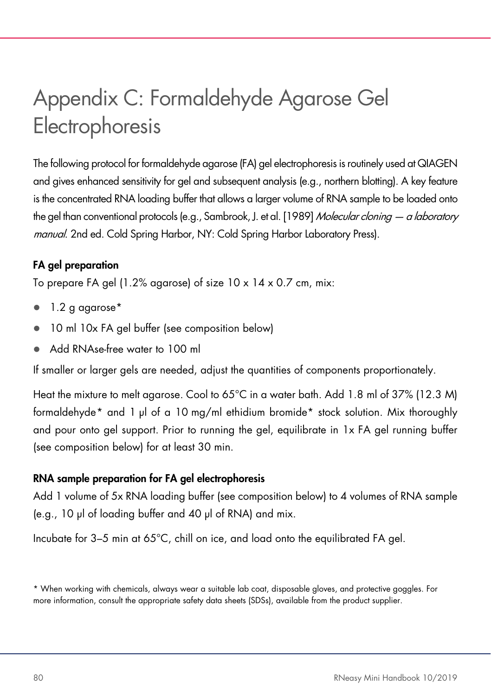# Appendix C: Formaldehyde Agarose Gel Electrophoresis

The following protocol for formaldehyde agarose (FA) gel electrophoresis is routinely used at QIAGEN and gives enhanced sensitivity for gel and subsequent analysis (e.g., northern blotting). A key feature is the concentrated RNA loading buffer that allows a larger volume of RNA sample to be loaded onto the gel than conventional protocols (e.g., Sambrook, J. et al. [1989] Molecular cloning — a laboratory manual. 2nd ed. Cold Spring Harbor, NY: Cold Spring Harbor Laboratory Press).

# FA gel preparation

To prepare FA gel (1.2% agarose) of size 10 x 14 x 0.7 cm, mix:

- 1.2 g agarose\*
- 10 ml 10x FA gel buffer (see composition below)
- Add RNAse-free water to 100 ml

If smaller or larger gels are needed, adjust the quantities of components proportionately.

Heat the mixture to melt agarose. Cool to 65°C in a water bath. Add 1.8 ml of 37% (12.3 M) formaldehyde[\\*](#page-79-0) and 1 µl of a 10 mg/ml ethidium bromide\* stock solution. Mix thoroughly and pour onto gel support. Prior to running the gel, equilibrate in 1x FA gel running buffer (see composition below) for at least 30 min.

# RNA sample preparation for FA gel electrophoresis

Add 1 volume of 5x RNA loading buffer (see composition below) to 4 volumes of RNA sample (e.g., 10 µl of loading buffer and 40 µl of RNA) and mix.

Incubate for 3–5 min at 65°C, chill on ice, and load onto the equilibrated FA gel.

<span id="page-79-0"></span><sup>\*</sup> When working with chemicals, always wear a suitable lab coat, disposable gloves, and protective goggles. For more information, consult the appropriate safety data sheets (SDSs), available from the product supplier.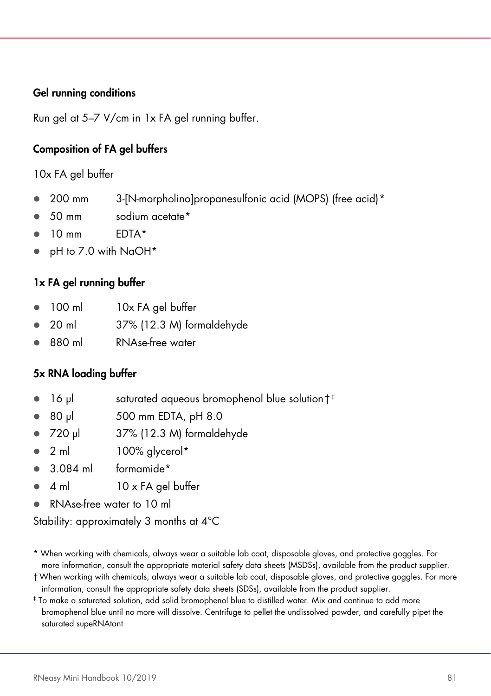#### Gel running conditions

Run gel at 5–7 V/cm in 1x FA gel running buffer.

#### Composition of FA gel buffers

10x FA gel buffer

- 200 mm 3-[N-morpholino]propanesulfonic acid (MOPS) (free acid) [\\*](#page-80-0)
- 50 mm sodium acetate\*
- 10 mm EDTA\*
- pH to 7.0 with NaOH\*

#### 1x FA gel running buffer

- 100 ml 10x FA gel buffer
- 20 ml 37% (12.3 M) formaldehyde
- 880 ml RNAse-free water

#### 5x RNA loading buffer

- 16 µl saturated aqueous bromophenol blue solution<sup>[†](#page-80-1)[‡](#page-80-2)</sup>
- 80 µl 500 mm EDTA, pH 8.0
- 720 µl 37% (12.3 M) formaldehyde
- 2 ml 100% glycerol\*
- 3.084 ml formamide\*
- 4 ml 10 x FA gel buffer
- RNAse-free water to 10 ml

Stability: approximately 3 months at 4°C

- <span id="page-80-0"></span>\* When working with chemicals, always wear a suitable lab coat, disposable gloves, and protective goggles. For more information, consult the appropriate material safety data sheets (MSDSs), available from the product supplier.
- <span id="page-80-1"></span>†When working with chemicals, always wear a suitable lab coat, disposable gloves, and protective goggles. For more information, consult the appropriate safety data sheets (SDSs), available from the product supplier.
- <span id="page-80-2"></span>‡ To make a saturated solution, add solid bromophenol blue to distilled water. Mix and continue to add more bromophenol blue until no more will dissolve. Centrifuge to pellet the undissolved powder, and carefully pipet the saturated supeRNAtant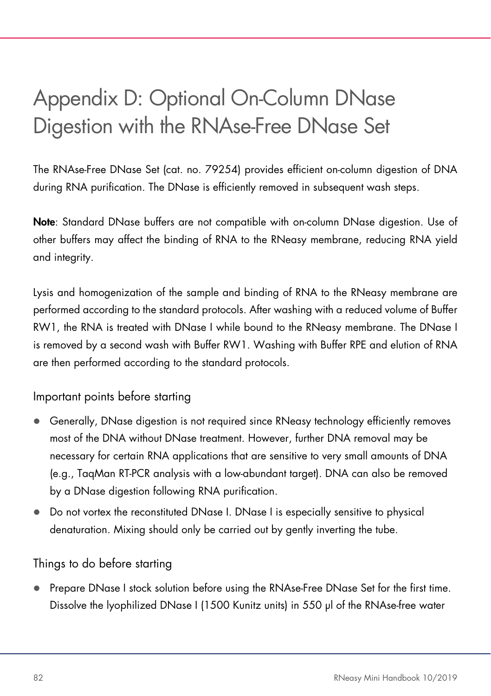# <span id="page-81-0"></span>Appendix D: Optional On-Column DNase Digestion with the RNAse-Free DNase Set

The RNAse-Free DNase Set (cat. no. 79254) provides efficient on-column digestion of DNA during RNA purification. The DNase is efficiently removed in subsequent wash steps.

Note: Standard DNase buffers are not compatible with on-column DNase digestion. Use of other buffers may affect the binding of RNA to the RNeasy membrane, reducing RNA yield and integrity.

Lysis and homogenization of the sample and binding of RNA to the RNeasy membrane are performed according to the standard protocols. After washing with a reduced volume of Buffer RW1, the RNA is treated with DNase I while bound to the RNeasy membrane. The DNase I is removed by a second wash with Buffer RW1. Washing with Buffer RPE and elution of RNA are then performed according to the standard protocols.

Important points before starting

- Generally, DNase digestion is not required since RNeasy technology efficiently removes most of the DNA without DNase treatment. However, further DNA removal may be necessary for certain RNA applications that are sensitive to very small amounts of DNA (e.g., TaqMan RT-PCR analysis with a low-abundant target). DNA can also be removed by a DNase digestion following RNA purification.
- Do not vortex the reconstituted DNase I. DNase I is especially sensitive to physical denaturation. Mixing should only be carried out by gently inverting the tube.

# Things to do before starting

 Prepare DNase I stock solution before using the RNAse-Free DNase Set for the first time. Dissolve the lyophilized DNase I (1500 Kunitz units) in 550 µl of the RNAse-free water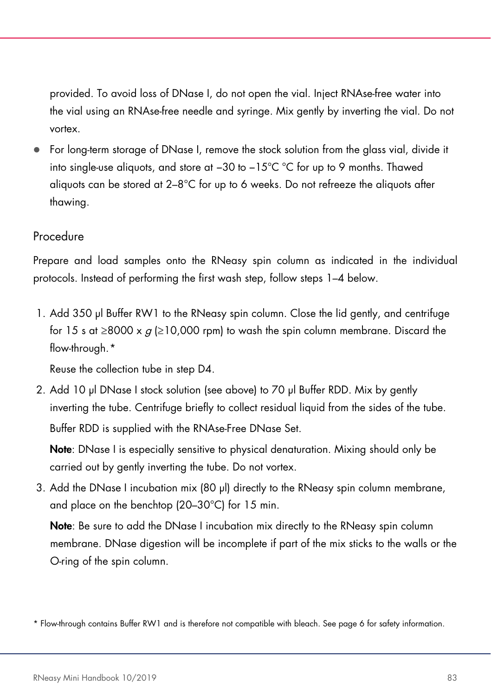provided. To avoid loss of DNase I, do not open the vial. Inject RNAse-free water into the vial using an RNAse-free needle and syringe. Mix gently by inverting the vial. Do not vortex.

 For long-term storage of DNase I, remove the stock solution from the glass vial, divide it into single-use aliquots, and store at −30 to −15°C °C for up to 9 months. Thawed aliquots can be stored at 2–8°C for up to 6 weeks. Do not refreeze the aliquots after thawing.

# Procedure

Prepare and load samples onto the RNeasy spin column as indicated in the individual protocols. Instead of performing the first wash step, follow steps 1–4 below.

1. Add 350 µl Buffer RW1 to the RNeasy spin column. Close the lid gently, and centrifuge for 15 s at ≥8000 x  $q$  (≥10,000 rpm) to wash the spin column membrane. Discard the flow-through.[\\*](#page-82-0)

Reuse the collection tube in step D4.

2. Add 10 µl DNase I stock solution (see above) to 70 µl Buffer RDD. Mix by gently inverting the tube. Centrifuge briefly to collect residual liquid from the sides of the tube. Buffer RDD is supplied with the RNAse-Free DNase Set.

Note: DNase I is especially sensitive to physical denaturation. Mixing should only be carried out by gently inverting the tube. Do not vortex.

3. Add the DNase I incubation mix (80 µl) directly to the RNeasy spin column membrane, and place on the benchtop (20–30°C) for 15 min.

Note: Be sure to add the DNase I incubation mix directly to the RNeasy spin column membrane. DNase digestion will be incomplete if part of the mix sticks to the walls or the O-ring of the spin column.

<span id="page-82-0"></span><sup>\*</sup> Flow-through contains Buffer RW1 and is therefore not compatible with bleach. See pag[e 6](#page-6-0) for safety information.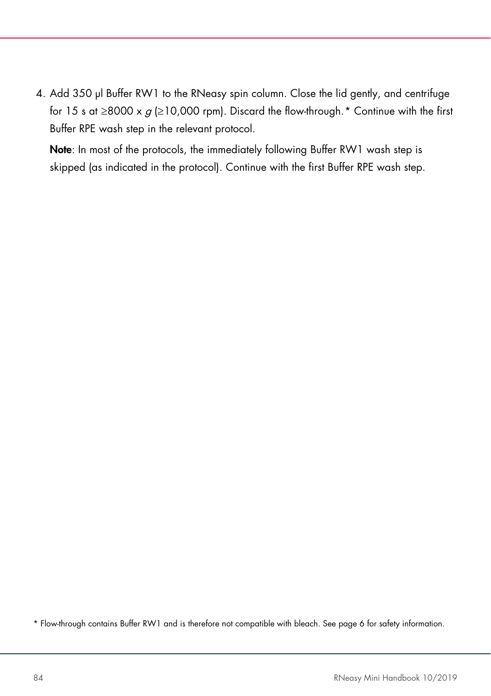4. Add 350 µl Buffer RW1 to the RNeasy spin column. Close the lid gently, and centrifuge for 15 s at ≥8000 x  $g$  (≥10,000 rpm). Discard the flow-through.[\\*](#page-83-0) Continue with the first Buffer RPE wash step in the relevant protocol.

Note: In most of the protocols, the immediately following Buffer RW1 wash step is skipped (as indicated in the protocol). Continue with the first Buffer RPE wash step.

<span id="page-83-0"></span>\* Flow-through contains Buffer RW1 and is therefore not compatible with bleach. See pag[e 6](#page-6-0) for safety information.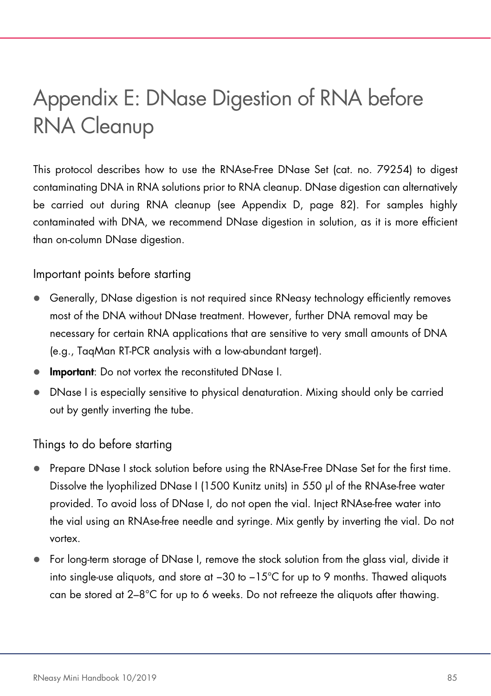# Appendix E: DNase Digestion of RNA before RNA Cleanup

This protocol describes how to use the RNAse-Free DNase Set (cat. no. 79254) to digest contaminating DNA in RNA solutions prior to RNA cleanup. DNase digestion can alternatively be carried out during RNA cleanup (see Appendix D, page [82\)](#page-81-0). For samples highly contaminated with DNA, we recommend DNase digestion in solution, as it is more efficient than on-column DNase digestion.

Important points before starting

- Generally, DNase digestion is not required since RNeasy technology efficiently removes most of the DNA without DNase treatment. However, further DNA removal may be necessary for certain RNA applications that are sensitive to very small amounts of DNA (e.g., TaqMan RT-PCR analysis with a low-abundant target).
- **Important:** Do not vortex the reconstituted DNase I.
- DNase I is especially sensitive to physical denaturation. Mixing should only be carried out by gently inverting the tube.

Things to do before starting

- Prepare DNase I stock solution before using the RNAse-Free DNase Set for the first time. Dissolve the lyophilized DNase I (1500 Kunitz units) in 550 µl of the RNAse-free water provided. To avoid loss of DNase I, do not open the vial. Inject RNAse-free water into the vial using an RNAse-free needle and syringe. Mix gently by inverting the vial. Do not vortex.
- For long-term storage of DNase I, remove the stock solution from the glass vial, divide it into single-use aliquots, and store at −30 to −15°C for up to 9 months. Thawed aliquots can be stored at  $2-8^{\circ}$ C for up to 6 weeks. Do not refreeze the aliquots after thawing.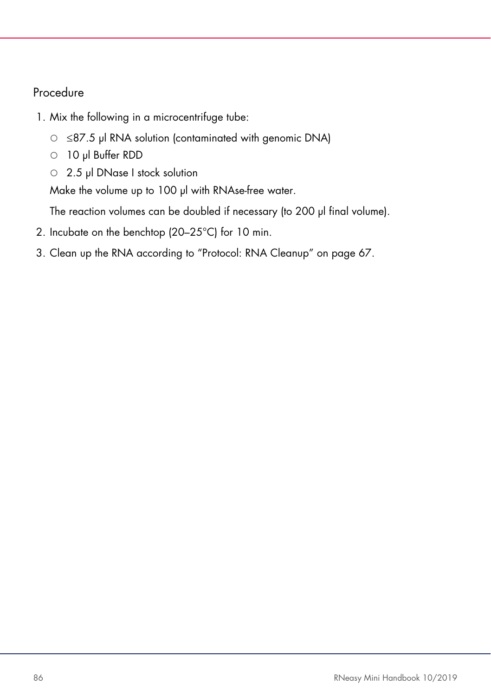# Procedure

- 1. Mix the following in a microcentrifuge tube:
	- ≤87.5 µl RNA solution (contaminated with genomic DNA)
	- 10 µl Buffer RDD
	- 2.5 µl DNase I stock solution

Make the volume up to 100 µl with RNAse-free water.

The reaction volumes can be doubled if necessary (to 200 µl final volume).

- 2. Incubate on the benchtop (20–25°C) for 10 min.
- 3. Clean up the RNA according to "Protocol: RNA Cleanup" on page [67.](#page-66-0)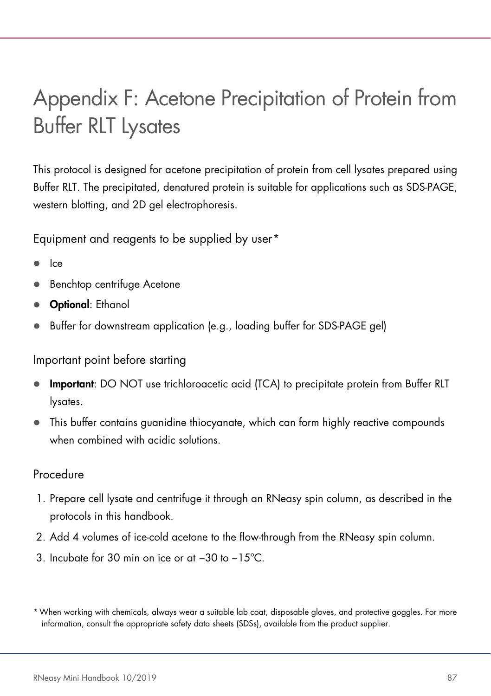# Appendix F: Acetone Precipitation of Protein from Buffer RLT Lysates

This protocol is designed for acetone precipitation of protein from cell lysates prepared using Buffer RLT. The precipitated, denatured protein is suitable for applications such as SDS-PAGE, western blotting, and 2D gel electrophoresis.

Equipment and reagents to be supplied by user[\\*](#page-86-0)

- Ice
- Benchtop centrifuge Acetone
- **Optional:** Ethanol
- Buffer for downstream application (e.g., loading buffer for SDS-PAGE gel)

Important point before starting

- Important: DO NOT use trichloroacetic acid (TCA) to precipitate protein from Buffer RLT lysates.
- This buffer contains guanidine thiocyanate, which can form highly reactive compounds when combined with acidic solutions.

# Procedure

- 1. Prepare cell lysate and centrifuge it through an RNeasy spin column, as described in the protocols in this handbook.
- 2. Add 4 volumes of ice-cold acetone to the flow-through from the RNeasy spin column.
- 3. Incubate for 30 min on ice or at −30 to −15°C.

<span id="page-86-0"></span><sup>\*</sup>When working with chemicals, always wear a suitable lab coat, disposable gloves, and protective goggles. For more information, consult the appropriate safety data sheets (SDSs), available from the product supplier.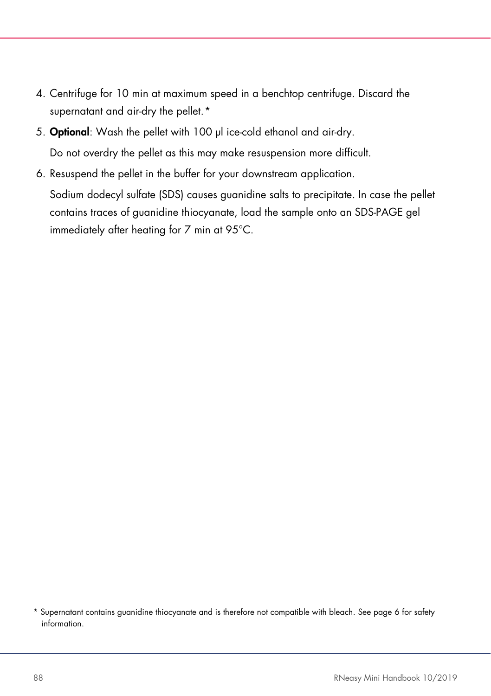- 4. Centrifuge for 10 min at maximum speed in a benchtop centrifuge. Discard the supernatant and air-dry the pellet.[\\*](#page-87-0)
- 5. Optional: Wash the pellet with 100 µl ice-cold ethanol and air-dry. Do not overdry the pellet as this may make resuspension more difficult.
- 6. Resuspend the pellet in the buffer for your downstream application. Sodium dodecyl sulfate (SDS) causes guanidine salts to precipitate. In case the pellet contains traces of guanidine thiocyanate, load the sample onto an SDS-PAGE gel immediately after heating for 7 min at 95°C.

<span id="page-87-0"></span><sup>\*</sup> Supernatant contains guanidine thiocyanate and is therefore not compatible with bleach. See pag[e 6](#page-6-0) for safety information.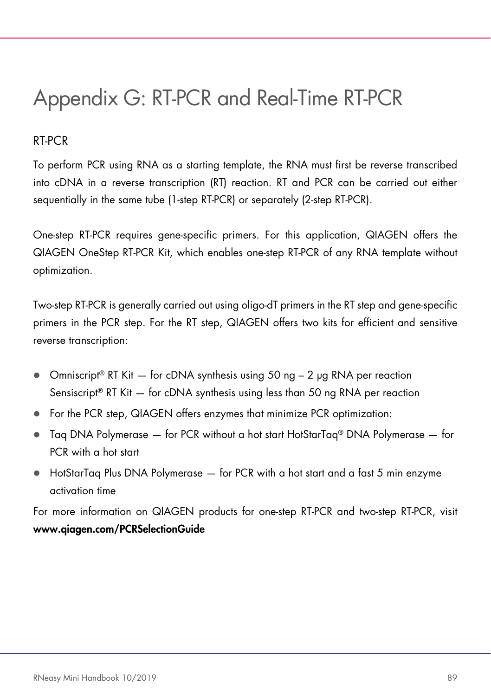# Appendix G: RT-PCR and Real-Time RT-PCR

# RT-PCR

To perform PCR using RNA as a starting template, the RNA must first be reverse transcribed into cDNA in a reverse transcription (RT) reaction. RT and PCR can be carried out either sequentially in the same tube (1-step RT-PCR) or separately (2-step RT-PCR).

One-step RT-PCR requires gene-specific primers. For this application, QIAGEN offers the QIAGEN OneStep RT-PCR Kit, which enables one-step RT-PCR of any RNA template without optimization.

Two-step RT-PCR is generally carried out using oligo-dT primers in the RT step and gene-specific primers in the PCR step. For the RT step, QIAGEN offers two kits for efficient and sensitive reverse transcription:

- $\bullet$  Omniscript® RT Kit  $-$  for cDNA synthesis using 50 ng  $-$  2 µg RNA per reaction Sensiscript® RT Kit — for cDNA synthesis using less than 50 ng RNA per reaction
- For the PCR step, QIAGEN offers enzymes that minimize PCR optimization:
- Taq DNA Polymerase for PCR without a hot start HotStarTaq® DNA Polymerase for PCR with a hot start
- HotStarTaq Plus DNA Polymerase for PCR with a hot start and a fast 5 min enzyme activation time

For more information on QIAGEN products for one-step RT-PCR and two-step RT-PCR, visit www.qiagen.com/PCRSelectionGuide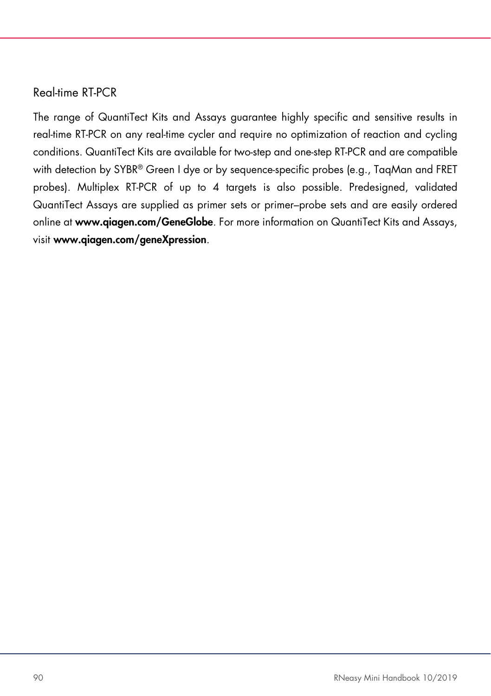### Real-time RT-PCR

The range of QuantiTect Kits and Assays guarantee highly specific and sensitive results in real-time RT-PCR on any real-time cycler and require no optimization of reaction and cycling conditions. QuantiTect Kits are available for two-step and one-step RT-PCR and are compatible with detection by SYBR® Green I dye or by sequence-specific probes (e.g., TaqMan and FRET probes). Multiplex RT-PCR of up to 4 targets is also possible. Predesigned, validated QuantiTect Assays are supplied as primer sets or primer–probe sets and are easily ordered online at www.qiagen.com/GeneGlobe. For more information on QuantiTect Kits and Assays, visit [www.qiagen.com/geneXpression](http://www.qiagen.com/geneXpression).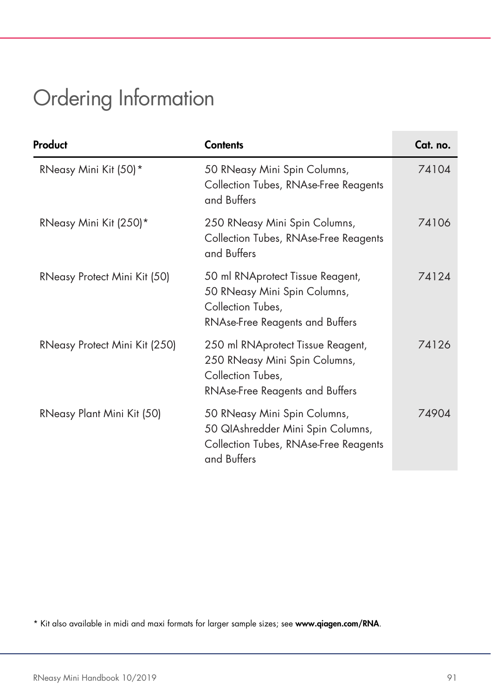# <span id="page-90-0"></span>Ordering Information

| Product                       | <b>Contents</b>                                                                                                                   | Cat. no. |
|-------------------------------|-----------------------------------------------------------------------------------------------------------------------------------|----------|
| RNeasy Mini Kit (50)*         | 50 RNeasy Mini Spin Columns,<br>Collection Tubes, RNAse-Free Reagents<br>and Buffers                                              | 74104    |
| RNeasy Mini Kit (250)*        | 250 RNeasy Mini Spin Columns,<br>Collection Tubes, RNAse-Free Reagents<br>and Buffers                                             | 74106    |
| RNeasy Protect Mini Kit (50)  | 50 ml RNAprotect Tissue Reagent,<br>50 RNeasy Mini Spin Columns,<br>Collection Tubes,<br><b>RNAse-Free Reagents and Buffers</b>   | 74124    |
| RNeasy Protect Mini Kit (250) | 250 ml RNAprotect Tissue Reagent,<br>250 RNeasy Mini Spin Columns,<br>Collection Tubes,<br><b>RNAse-Free Reagents and Buffers</b> | 74126    |
| RNeasy Plant Mini Kit (50)    | 50 RNeasy Mini Spin Columns,<br>50 QIAshredder Mini Spin Columns,<br>Collection Tubes, RNAse-Free Reagents<br>and Buffers         | 74904    |

<span id="page-90-1"></span>\* Kit also available in midi and maxi formats for larger sample sizes; see www.qiagen.com/RNA.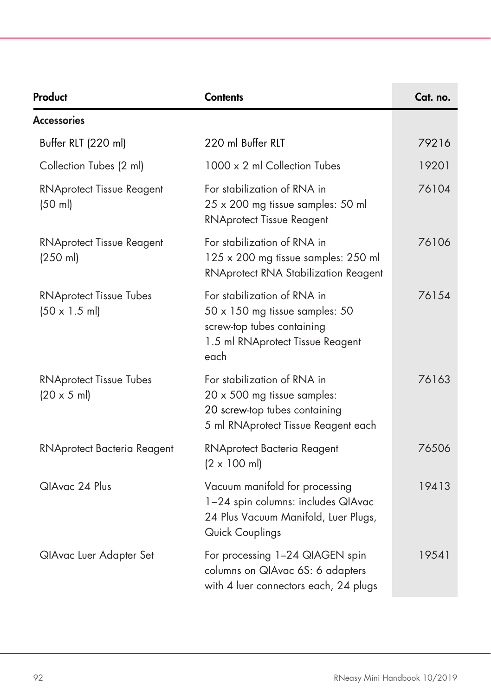| Product                                                        | <b>Contents</b>                                                                                                                         | Cat. no. |
|----------------------------------------------------------------|-----------------------------------------------------------------------------------------------------------------------------------------|----------|
| <b>Accessories</b>                                             |                                                                                                                                         |          |
| Buffer RLT (220 ml)                                            | 220 ml Buffer RLT                                                                                                                       | 79216    |
| Collection Tubes (2 ml)                                        | 1000 x 2 ml Collection Tubes                                                                                                            | 19201    |
| <b>RNAprotect Tissue Reagent</b><br>(50 ml)                    | For stabilization of RNA in<br>25 x 200 mg tissue samples: 50 ml<br><b>RNAprotect Tissue Reagent</b>                                    | 76104    |
| <b>RNAprotect Tissue Reagent</b><br>$(250 \text{ ml})$         | For stabilization of RNA in<br>125 x 200 mg tissue samples: 250 ml<br>RNAprotect RNA Stabilization Reagent                              | 76106    |
| <b>RNAprotect Tissue Tubes</b><br>$(50 \times 1.5 \text{ ml})$ | For stabilization of RNA in<br>50 x 150 mg tissue samples: 50<br>screw-top tubes containing<br>1.5 ml RNAprotect Tissue Reagent<br>each | 76154    |
| <b>RNAprotect Tissue Tubes</b><br>$(20 \times 5 \text{ ml})$   | For stabilization of RNA in<br>20 x 500 mg tissue samples:<br>20 screw-top tubes containing<br>5 ml RNAprotect Tissue Reagent each      | 76163    |
| RNAprotect Bacteria Reagent                                    | RNAprotect Bacteria Reagent<br>$(2 \times 100 \text{ ml})$                                                                              | 76506    |
| QIAvac 24 Plus                                                 | Vacuum manifold for processing<br>1-24 spin columns: includes QIAvac<br>24 Plus Vacuum Manifold, Luer Plugs,<br>Quick Couplings         | 19413    |
| QIAvac Luer Adapter Set                                        | For processing 1-24 QIAGEN spin<br>columns on QIAvac 6S: 6 adapters<br>with 4 luer connectors each, 24 plugs                            | 19541    |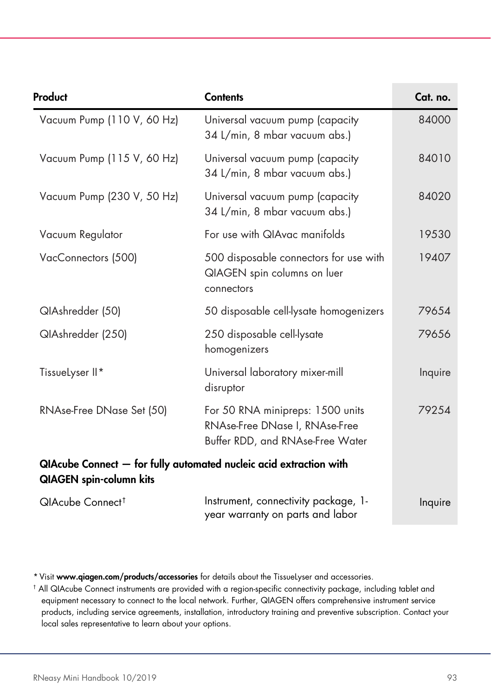| Product                        | <b>Contents</b>                                                                                        | Cat. no. |
|--------------------------------|--------------------------------------------------------------------------------------------------------|----------|
| Vacuum Pump (110 V, 60 Hz)     | Universal vacuum pump (capacity<br>34 L/min, 8 mbar vacuum abs.)                                       | 84000    |
| Vacuum Pump (115 V, 60 Hz)     | Universal vacuum pump (capacity<br>34 L/min, 8 mbar vacuum abs.)                                       | 84010    |
| Vacuum Pump (230 V, 50 Hz)     | Universal vacuum pump (capacity<br>34 L/min, 8 mbar vacuum abs.)                                       | 84020    |
| Vacuum Regulator               | For use with QIAvac manifolds                                                                          | 19530    |
| VacConnectors (500)            | 500 disposable connectors for use with<br>QIAGEN spin columns on luer<br>connectors                    | 19407    |
| QIAshredder (50)               | 50 disposable cell-lysate homogenizers                                                                 | 79654    |
| QIAshredder (250)              | 250 disposable cell-lysate<br>homogenizers                                                             | 79656    |
| TissueLyser II*                | Universal laboratory mixer-mill<br>disruptor                                                           | Inquire  |
| RNAse-Free DNase Set (50)      | For 50 RNA minipreps: 1500 units<br>RNAse-Free DNase I, RNAse-Free<br>Buffer RDD, and RNAse-Free Water | 79254    |
| <b>QIAGEN</b> spin-column kits | QIAcube Connect - for fully automated nucleic acid extraction with                                     |          |
| QIAcube Connect <sup>†</sup>   | Instrument, connectivity package, 1-<br>year warranty on parts and labor                               | Inquire  |

<span id="page-92-0"></span>\* Visit www.qiagen.com/products/accessories for details about the TissueLyser and accessories.

<span id="page-92-1"></span>† All QIAcube Connect instruments are provided with a region-specific connectivity package, including tablet and equipment necessary to connect to the local network. Further, QIAGEN offers comprehensive instrument service products, including service agreements, installation, introductory training and preventive subscription. Contact your local sales representative to learn about your options.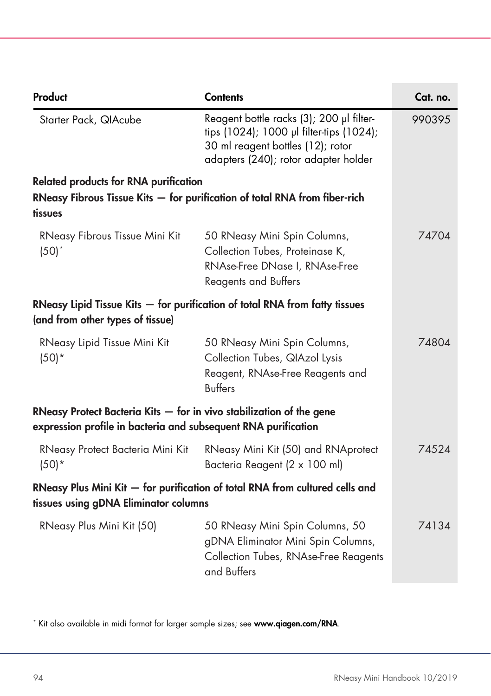| Product                                                                                                                                  | <b>Contents</b>                                                                                                                                                   | Cat. no. |
|------------------------------------------------------------------------------------------------------------------------------------------|-------------------------------------------------------------------------------------------------------------------------------------------------------------------|----------|
| Starter Pack, QIAcube                                                                                                                    | Reagent bottle racks (3); 200 µl filter-<br>tips (1024); 1000 µl filter-tips (1024);<br>30 ml reagent bottles (12); rotor<br>adapters (240); rotor adapter holder | 990395   |
| <b>Related products for RNA purification</b>                                                                                             |                                                                                                                                                                   |          |
| tissues                                                                                                                                  | RNeasy Fibrous Tissue Kits $-$ for purification of total RNA from fiber-rich                                                                                      |          |
| RNeasy Fibrous Tissue Mini Kit<br>$(50)^*$                                                                                               | 50 RNeasy Mini Spin Columns,<br>Collection Tubes, Proteinase K,<br>RNAse-Free DNase I, RNAse-Free<br><b>Reagents and Buffers</b>                                  | 74704    |
| (and from other types of tissue)                                                                                                         | RNeasy Lipid Tissue Kits $-$ for purification of total RNA from fatty tissues                                                                                     |          |
| RNeasy Lipid Tissue Mini Kit<br>$(50)*$                                                                                                  | 50 RNeasy Mini Spin Columns,<br>Collection Tubes, QIAzol Lysis<br>Reagent, RNAse-Free Reagents and<br><b>Buffers</b>                                              | 74804    |
| RNeasy Protect Bacteria Kits $-$ for in vivo stabilization of the gene<br>expression profile in bacteria and subsequent RNA purification |                                                                                                                                                                   |          |
| RNeasy Protect Bacteria Mini Kit<br>$(50)*$                                                                                              | RNeasy Mini Kit (50) and RNAprotect<br>Bacteria Reagent (2 x 100 ml)                                                                                              | 74524    |
| tissues using gDNA Eliminator columns                                                                                                    | RNeasy Plus Mini Kit - for purification of total RNA from cultured cells and                                                                                      |          |
| RNeasy Plus Mini Kit (50)                                                                                                                | 50 RNeasy Mini Spin Columns, 50<br>gDNA Eliminator Mini Spin Columns,<br>Collection Tubes, RNAse-Free Reagents<br>and Buffers                                     | 74134    |

<span id="page-93-0"></span>\* Kit also available in midi format for larger sample sizes; see www.qiagen.com/RNA.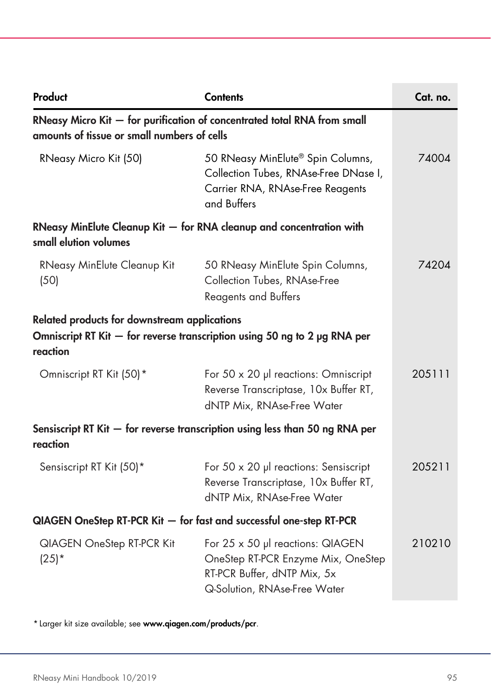| Product                                                             | <b>Contents</b>                                                                                                                       | Cat. no. |
|---------------------------------------------------------------------|---------------------------------------------------------------------------------------------------------------------------------------|----------|
| amounts of tissue or small numbers of cells                         | RNeasy Micro Kit - for purification of concentrated total RNA from small                                                              |          |
| RNeasy Micro Kit (50)                                               | 50 RNeasy MinElute® Spin Columns,<br>Collection Tubes, RNAse-Free DNase I,<br>Carrier RNA, RNAse-Free Reagents<br>and Buffers         | 74004    |
| small elution volumes                                               | RNeasy MinElute Cleanup Kit - for RNA cleanup and concentration with                                                                  |          |
| RNeasy MinElute Cleanup Kit<br>(50)                                 | 50 RNeasy MinElute Spin Columns,<br>Collection Tubes, RNAse-Free<br><b>Reagents and Buffers</b>                                       | 74204    |
| Related products for downstream applications<br>reaction            | Omniscript RT Kit - for reverse transcription using 50 ng to 2 µg RNA per                                                             |          |
| Omniscript RT Kit (50)*                                             | For 50 x 20 µ reactions: Omniscript<br>Reverse Transcriptase, 10x Buffer RT,<br>dNTP Mix, RNAse-Free Water                            | 205111   |
| reaction                                                            | Sensiscript RT Kit - for reverse transcription using less than 50 ng RNA per                                                          |          |
| Sensiscript RT Kit (50)*                                            | For $50 \times 20$ µ reactions: Sensiscript<br>Reverse Transcriptase, 10x Buffer RT,<br>dNTP Mix, RNAse-Free Water                    | 205211   |
| QIAGEN OneStep RT-PCR Kit - for fast and successful one-step RT-PCR |                                                                                                                                       |          |
| QIAGEN OneStep RT-PCR Kit<br>$(25)^*$                               | For 25 x 50 µl reactions: QIAGEN<br>OneStep RT-PCR Enzyme Mix, OneStep<br>RT-PCR Buffer, dNTP Mix, 5x<br>Q-Solution, RNAse-Free Water | 210210   |

<span id="page-94-0"></span>\* Larger kit size available; see www.qiagen.com/products/pcr.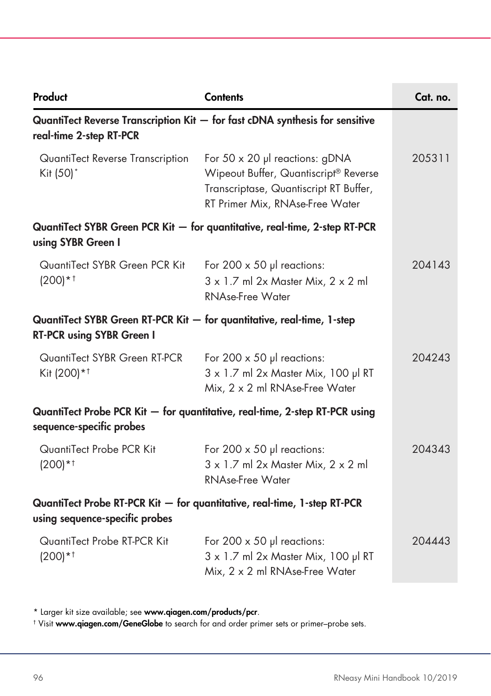| Product                                                                                                    | <b>Contents</b>                                                                                                                                      | Cat. no. |
|------------------------------------------------------------------------------------------------------------|------------------------------------------------------------------------------------------------------------------------------------------------------|----------|
| real-time 2-step RT-PCR                                                                                    | QuantiTect Reverse Transcription $Kit -$ for fast cDNA synthesis for sensitive                                                                       |          |
| QuantiTect Reverse Transcription<br>Kit (50)*                                                              | For 50 x 20 µl reactions: gDNA<br>Wipeout Buffer, Quantiscript® Reverse<br>Transcriptase, Quantiscript RT Buffer,<br>RT Primer Mix, RNAse-Free Water | 205311   |
| using SYBR Green I                                                                                         | QuantiTect SYBR Green PCR Kit - for quantitative, real-time, 2-step RT-PCR                                                                           |          |
| QuantiTect SYBR Green PCR Kit<br>$(200)*†$                                                                 | For 200 $\times$ 50 µl reactions:<br>$3 \times 1.7$ ml 2x Master Mix, $2 \times 2$ ml<br>RNAse-Free Water                                            | 204143   |
| QuantiTect SYBR Green RT-PCR Kit - for quantitative, real-time, 1-step<br><b>RT-PCR using SYBR Green I</b> |                                                                                                                                                      |          |
| QuantiTect SYBR Green RT-PCR<br>Kit (200)*1                                                                | For 200 $\times$ 50 µ reactions:<br>3 x 1.7 ml 2x Master Mix, 100 µl RT<br>Mix, 2 x 2 ml RNAse-Free Water                                            | 204243   |
| sequence-specific probes                                                                                   | QuantiTect Probe PCR Kit - for quantitative, real-time, 2-step RT-PCR using                                                                          |          |
| QuantiTect Probe PCR Kit<br>$(200)*†$                                                                      | For 200 $\times$ 50 µ reactions:<br>$3 \times 1.7$ ml 2x Master Mix, $2 \times 2$ ml<br><b>RNAse-Free Water</b>                                      | 204343   |
| using sequence-specific probes                                                                             | QuantiTect Probe RT-PCR Kit - for quantitative, real-time, 1-step RT-PCR                                                                             |          |
| QuantiTect Probe RT-PCR Kit<br>$(200)*†$                                                                   | For 200 $\times$ 50 µ reactions:<br>3 x 1.7 ml 2x Master Mix, 100 µl RT<br>Mix, 2 x 2 ml RNAse-Free Water                                            | 204443   |

<span id="page-95-0"></span>\* Larger kit size available; see www.qiagen.com/products/pcr.

<span id="page-95-1"></span>† Visit www.qiagen.com/GeneGlobe to search for and order primer sets or primer–probe sets.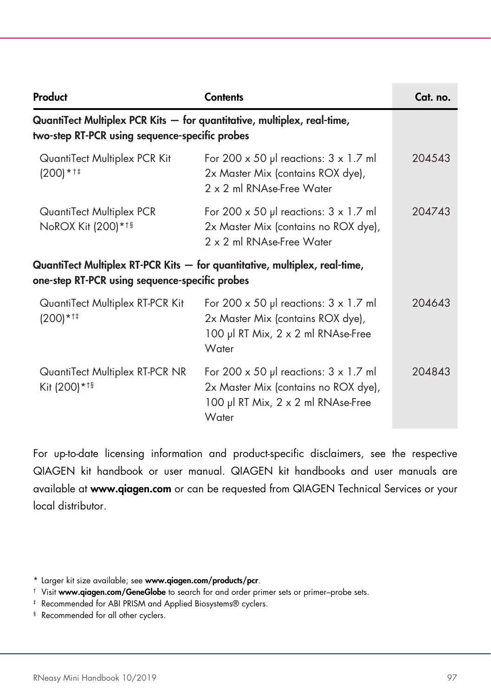| Product                                                                                                                   | <b>Contents</b>                                                                                                                          | Cat. no. |
|---------------------------------------------------------------------------------------------------------------------------|------------------------------------------------------------------------------------------------------------------------------------------|----------|
| QuantiTect Multiplex PCR Kits - for quantitative, multiplex, real-time,<br>two-step RT-PCR using sequence-specific probes |                                                                                                                                          |          |
| QuantiTect Multiplex PCR Kit<br>$(200)*14$                                                                                | For 200 x 50 µl reactions: $3 \times 1.7$ ml<br>2x Master Mix (contains ROX dye),<br>2 x 2 ml RNAse-Free Water                           | 204.543  |
| QuantiTect Multiplex PCR<br>NoROX Kit (200)*1§                                                                            | For 200 x 50 $\mu$ reactions: 3 x 1.7 ml<br>2x Master Mix (contains no ROX dye),<br>2 x 2 ml RNAse-Free Water                            | 204743   |
| one-step RT-PCR using sequence-specific probes                                                                            | QuantiTect Multiplex RT-PCR Kits - for quantitative, multiplex, real-time,                                                               |          |
| QuantiTect Multiplex RT-PCR Kit<br>$(200)*14$                                                                             | For 200 $\times$ 50 µ reactions: 3 $\times$ 1.7 m<br>2x Master Mix (contains ROX dye),<br>100 µl RT Mix, 2 x 2 ml RNAse-Free<br>Water    | 204643   |
| QuantiTect Multiplex RT-PCR NR<br>Kit (200) * 19                                                                          | For 200 $\times$ 50 µ reactions: 3 $\times$ 1.7 m<br>2x Master Mix (contains no ROX dye),<br>100 µl RT Mix, 2 x 2 ml RNAse-Free<br>Water | 204843   |

For up-to-date licensing information and product-specific disclaimers, see the respective QIAGEN kit handbook or user manual. QIAGEN kit handbooks and user manuals are available at www.qiagen.com or can be requested from QIAGEN Technical Services or your local distributor.

<span id="page-96-0"></span><sup>\*</sup> Larger kit size available; see www.qiagen.com/products/pcr.

<span id="page-96-1"></span><sup>&</sup>lt;sup>†</sup> Visit www.qiagen.com/GeneGlobe to search for and order primer sets or primer–probe sets.

<span id="page-96-2"></span><sup>‡</sup> Recommended for ABI PRISM and Applied Biosystems® cyclers.

<span id="page-96-3"></span><sup>§</sup> Recommended for all other cyclers.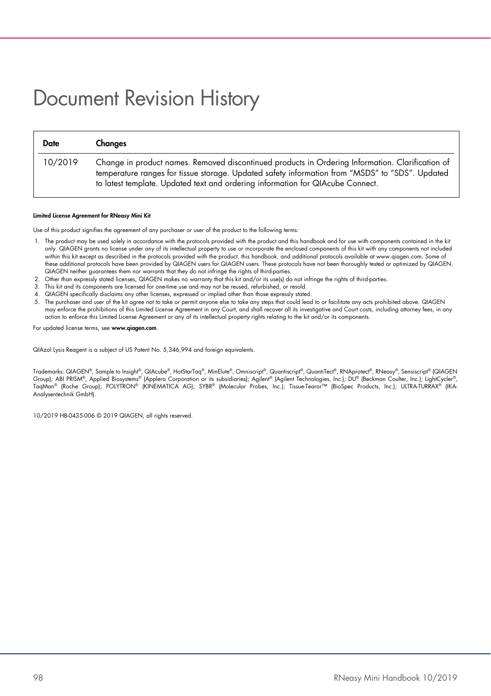# Document Revision History

| <b>Date</b> | Changes                                                                                                                                                                                                                                                                               |
|-------------|---------------------------------------------------------------------------------------------------------------------------------------------------------------------------------------------------------------------------------------------------------------------------------------|
| 10/2019     | Change in product names. Removed discontinued products in Ordering Information. Clarification of<br>temperature ranges for tissue storage. Updated safety information from "MSDS" to "SDS". Updated<br>to latest template. Updated text and ordering information for QIAcube Connect. |

#### Limited License Agreement for RNeasy Mini Kit

Use of this product signifies the agreement of any purchaser or user of the product to the following terms:

- 1. The product may be used solely in accordance with the protocols provided with the product and this handbook and for use with components contained in the kit only. QIAGEN grants no license under any of its intellectual property to use or incorporate the enclosed components of this kit with any components not included within this kit except as described in the protocols provided with the product, this handbook, and additional protocols available at www.qiagen.com. Some of these additional protocols have been provided by QIAGEN users for QIAGEN users. These protocols have not been thoroughly tested or optimized by QIAGEN. QIAGEN neither guarantees them nor warrants that they do not infringe the rights of third-parties.
- 2. Other than expressly stated licenses, QIAGEN makes no warranty that this kit and/or its use(s) do not infringe the rights of third-parties.
- 3. This kit and its components are licensed for one-time use and may not be reused, refurbished, or resold.
- 4. QIAGEN specifically disclaims any other licenses, expressed or implied other than those expressly stated.
- 5. The purchaser and user of the kit agree not to take or permit anyone else to take any steps that could lead to or facilitate any acts prohibited above. QIAGEN may enforce the prohibitions of this Limited License Agreement in any Court, and shall recover all its investigative and Court costs, including attorney fees, in any action to enforce this Limited License Agreement or any of its intellectual property rights relating to the kit and/or its components.

For updated license terms, see [www.qiagen.com](http://www.qiagen.com/).

QIAzol Lysis Reagent is a subject of US Patent No. 5,346,994 and foreign equivalents.

Trademarks: QIAGEN®, Sample to Insight®, QIAcube®, HotStarTaq®, MinElute®, Omniscript®, Quantiscript®, QuantiTect®, RNAprotect®, RNeasy®, Sensiscript® (QIAGEN Group); ABI PRISM®, Applied Biosystems® (Applera Corporation or its subsidiaries); Agilent® (Agilent Technologies, Inc.); DU® (Beckman Coulter, Inc.); LightCycler®, TaqMan® (Roche Group); POLYTRON® (KINEMATICA AG); SYBR® (Molecular Probes, Inc.); Tissue-Tearor™ (BioSpec Products, Inc.); ULTRA-TURRAX® (IKA-Analysentechnik GmbH).

10/2019 HB-0435-006 © 2019 QIAGEN, all rights reserved.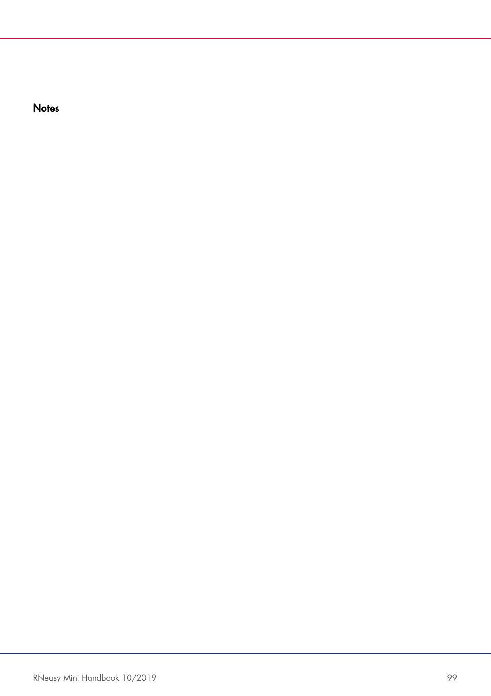**Notes**